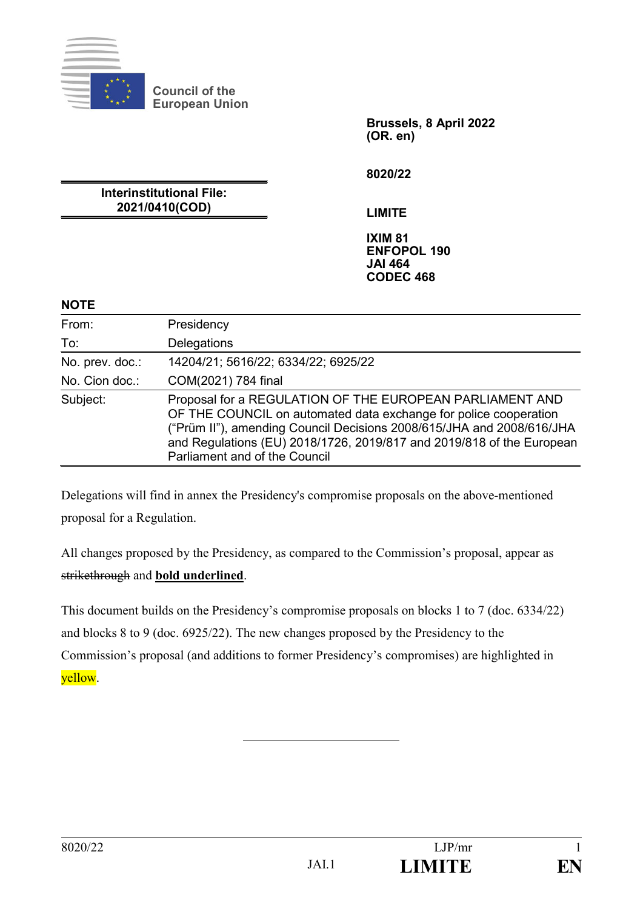

**Council of the European Union**

> **Brussels, 8 April 2022 (OR. en)**

**8020/22**

**Interinstitutional File: 2021/0410(COD)**

**LIMITE**

**IXIM 81 ENFOPOL 190 JAI 464 CODEC 468**

#### **NOTE**

| From:           | Presidency                                                                                                                                                                                                                                                                                                      |
|-----------------|-----------------------------------------------------------------------------------------------------------------------------------------------------------------------------------------------------------------------------------------------------------------------------------------------------------------|
| To:             | Delegations                                                                                                                                                                                                                                                                                                     |
| No. prev. doc.: | 14204/21; 5616/22; 6334/22; 6925/22                                                                                                                                                                                                                                                                             |
| No. Cion doc.:  | COM(2021) 784 final                                                                                                                                                                                                                                                                                             |
| Subject:        | Proposal for a REGULATION OF THE EUROPEAN PARLIAMENT AND<br>OF THE COUNCIL on automated data exchange for police cooperation<br>("Prüm II"), amending Council Decisions 2008/615/JHA and 2008/616/JHA<br>and Regulations (EU) 2018/1726, 2019/817 and 2019/818 of the European<br>Parliament and of the Council |

Delegations will find in annex the Presidency's compromise proposals on the above-mentioned proposal for a Regulation.

All changes proposed by the Presidency, as compared to the Commission's proposal, appear as strikethrough and **bold underlined**.

This document builds on the Presidency's compromise proposals on blocks 1 to 7 (doc. 6334/22) and blocks 8 to 9 (doc. 6925/22). The new changes proposed by the Presidency to the Commission's proposal (and additions to former Presidency's compromises) are highlighted in yellow.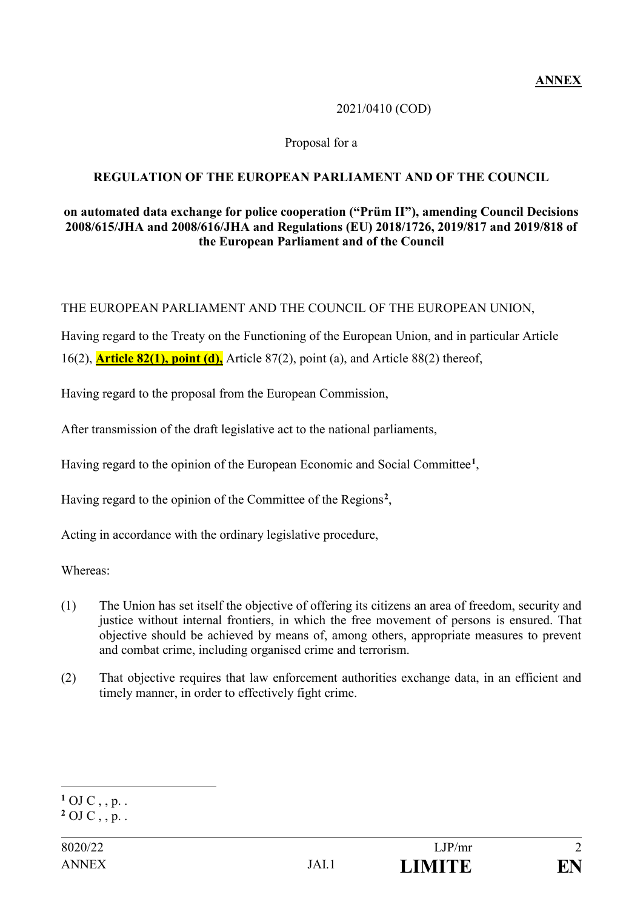### 2021/0410 (COD)

### Proposal for a

### **REGULATION OF THE EUROPEAN PARLIAMENT AND OF THE COUNCIL**

#### **on automated data exchange for police cooperation ("Prüm II"), amending Council Decisions 2008/615/JHA and 2008/616/JHA and Regulations (EU) 2018/1726, 2019/817 and 2019/818 of the European Parliament and of the Council**

THE EUROPEAN PARLIAMENT AND THE COUNCIL OF THE EUROPEAN UNION,

Having regard to the Treaty on the Functioning of the European Union, and in particular Article 16(2), **Article 82(1), point (d),** Article 87(2), point (a), and Article 88(2) thereof,

Having regard to the proposal from the European Commission,

After transmission of the draft legislative act to the national parliaments,

Having regard to the opinion of the European Economic and Social Committee**<sup>1</sup>**,

Having regard to the opinion of the Committee of the Regions**<sup>2</sup>**,

Acting in accordance with the ordinary legislative procedure,

Whereas:

- (1) The Union has set itself the objective of offering its citizens an area of freedom, security and justice without internal frontiers, in which the free movement of persons is ensured. That objective should be achieved by means of, among others, appropriate measures to prevent and combat crime, including organised crime and terrorism.
- (2) That objective requires that law enforcement authorities exchange data, in an efficient and timely manner, in order to effectively fight crime.

<u>.</u>

 $1$  OJ C , , p. .

 $2$  OJ C, , p. .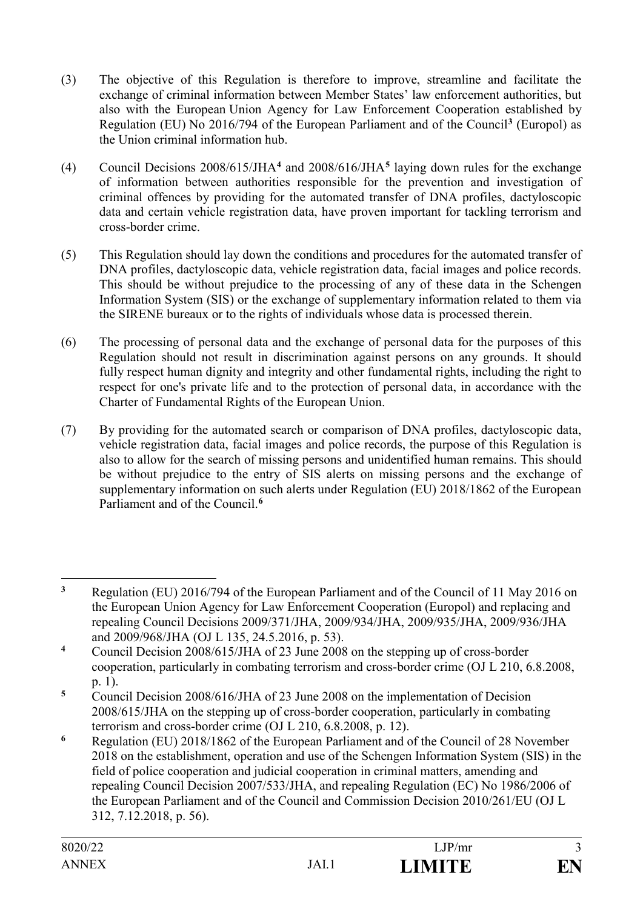- (3) The objective of this Regulation is therefore to improve, streamline and facilitate the exchange of criminal information between Member States' law enforcement authorities, but also with the European Union Agency for Law Enforcement Cooperation established by Regulation (EU) No 2016/794 of the European Parliament and of the Council**<sup>3</sup>** (Europol) as the Union criminal information hub.
- (4) Council Decisions 2008/615/JHA**<sup>4</sup>** and 2008/616/JHA**<sup>5</sup>** laying down rules for the exchange of information between authorities responsible for the prevention and investigation of criminal offences by providing for the automated transfer of DNA profiles, dactyloscopic data and certain vehicle registration data, have proven important for tackling terrorism and cross-border crime.
- (5) This Regulation should lay down the conditions and procedures for the automated transfer of DNA profiles, dactyloscopic data, vehicle registration data, facial images and police records. This should be without prejudice to the processing of any of these data in the Schengen Information System (SIS) or the exchange of supplementary information related to them via the SIRENE bureaux or to the rights of individuals whose data is processed therein.
- (6) The processing of personal data and the exchange of personal data for the purposes of this Regulation should not result in discrimination against persons on any grounds. It should fully respect human dignity and integrity and other fundamental rights, including the right to respect for one's private life and to the protection of personal data, in accordance with the Charter of Fundamental Rights of the European Union.
- (7) By providing for the automated search or comparison of DNA profiles, dactyloscopic data, vehicle registration data, facial images and police records, the purpose of this Regulation is also to allow for the search of missing persons and unidentified human remains. This should be without prejudice to the entry of SIS alerts on missing persons and the exchange of supplementary information on such alerts under Regulation (EU) 2018/1862 of the European Parliament and of the Council.**<sup>6</sup>**

<sup>&</sup>lt;u>.</u> **<sup>3</sup>** Regulation (EU) 2016/794 of the European Parliament and of the Council of 11 May 2016 on the European Union Agency for Law Enforcement Cooperation (Europol) and replacing and repealing Council Decisions 2009/371/JHA, 2009/934/JHA, 2009/935/JHA, 2009/936/JHA and 2009/968/JHA (OJ L 135, 24.5.2016, p. 53).

**<sup>4</sup>** Council Decision 2008/615/JHA of 23 June 2008 on the stepping up of cross-border cooperation, particularly in combating terrorism and cross-border crime (OJ L 210, 6.8.2008, p. 1).

**<sup>5</sup>** Council Decision 2008/616/JHA of 23 June 2008 on the implementation of Decision 2008/615/JHA on the stepping up of cross-border cooperation, particularly in combating terrorism and cross-border crime (OJ L 210, 6.8.2008, p. 12).

**<sup>6</sup>** Regulation (EU) 2018/1862 of the European Parliament and of the Council of 28 November 2018 on the establishment, operation and use of the Schengen Information System (SIS) in the field of police cooperation and judicial cooperation in criminal matters, amending and repealing Council Decision 2007/533/JHA, and repealing Regulation (EC) No 1986/2006 of the European Parliament and of the Council and Commission Decision 2010/261/EU (OJ L 312, 7.12.2018, p. 56).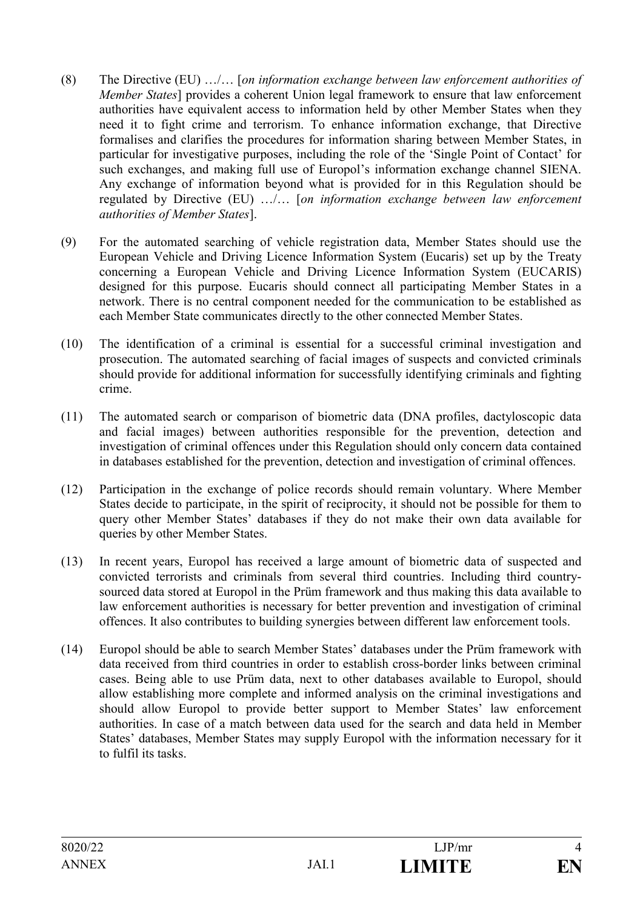- (8) The Directive (EU) …/… [*on information exchange between law enforcement authorities of Member States*] provides a coherent Union legal framework to ensure that law enforcement authorities have equivalent access to information held by other Member States when they need it to fight crime and terrorism. To enhance information exchange, that Directive formalises and clarifies the procedures for information sharing between Member States, in particular for investigative purposes, including the role of the 'Single Point of Contact' for such exchanges, and making full use of Europol's information exchange channel SIENA. Any exchange of information beyond what is provided for in this Regulation should be regulated by Directive (EU) …/… [*on information exchange between law enforcement authorities of Member States*].
- (9) For the automated searching of vehicle registration data, Member States should use the European Vehicle and Driving Licence Information System (Eucaris) set up by the Treaty concerning a European Vehicle and Driving Licence Information System (EUCARIS) designed for this purpose. Eucaris should connect all participating Member States in a network. There is no central component needed for the communication to be established as each Member State communicates directly to the other connected Member States.
- (10) The identification of a criminal is essential for a successful criminal investigation and prosecution. The automated searching of facial images of suspects and convicted criminals should provide for additional information for successfully identifying criminals and fighting crime.
- (11) The automated search or comparison of biometric data (DNA profiles, dactyloscopic data and facial images) between authorities responsible for the prevention, detection and investigation of criminal offences under this Regulation should only concern data contained in databases established for the prevention, detection and investigation of criminal offences.
- (12) Participation in the exchange of police records should remain voluntary. Where Member States decide to participate, in the spirit of reciprocity, it should not be possible for them to query other Member States' databases if they do not make their own data available for queries by other Member States.
- (13) In recent years, Europol has received a large amount of biometric data of suspected and convicted terrorists and criminals from several third countries. Including third countrysourced data stored at Europol in the Prüm framework and thus making this data available to law enforcement authorities is necessary for better prevention and investigation of criminal offences. It also contributes to building synergies between different law enforcement tools.
- (14) Europol should be able to search Member States' databases under the Prüm framework with data received from third countries in order to establish cross-border links between criminal cases. Being able to use Prüm data, next to other databases available to Europol, should allow establishing more complete and informed analysis on the criminal investigations and should allow Europol to provide better support to Member States' law enforcement authorities. In case of a match between data used for the search and data held in Member States' databases, Member States may supply Europol with the information necessary for it to fulfil its tasks.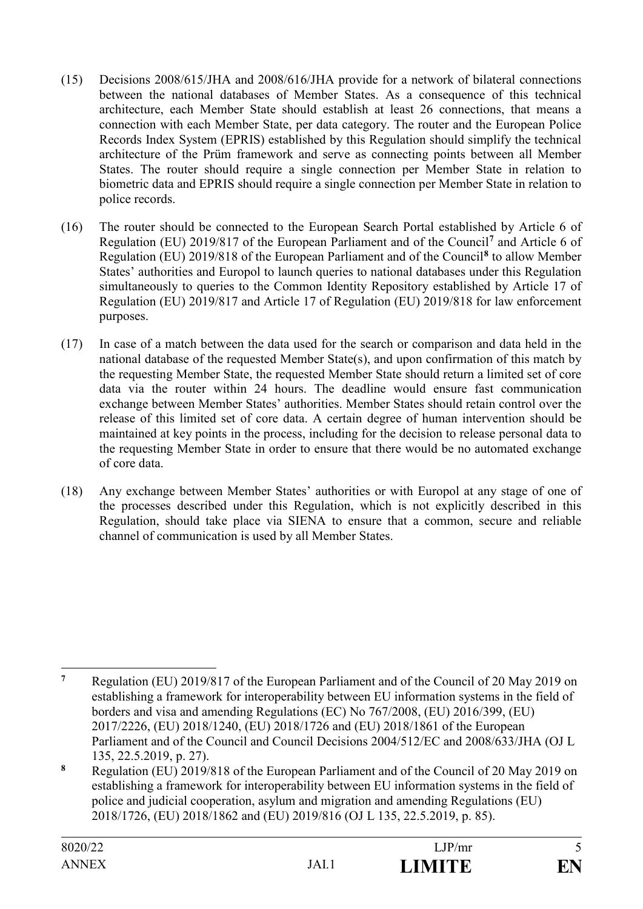- (15) Decisions 2008/615/JHA and 2008/616/JHA provide for a network of bilateral connections between the national databases of Member States. As a consequence of this technical architecture, each Member State should establish at least 26 connections, that means a connection with each Member State, per data category. The router and the European Police Records Index System (EPRIS) established by this Regulation should simplify the technical architecture of the Prüm framework and serve as connecting points between all Member States. The router should require a single connection per Member State in relation to biometric data and EPRIS should require a single connection per Member State in relation to police records.
- (16) The router should be connected to the European Search Portal established by Article 6 of Regulation (EU) 2019/817 of the European Parliament and of the Council**<sup>7</sup>** and Article 6 of Regulation (EU) 2019/818 of the European Parliament and of the Council**<sup>8</sup>** to allow Member States' authorities and Europol to launch queries to national databases under this Regulation simultaneously to queries to the Common Identity Repository established by Article 17 of Regulation (EU) 2019/817 and Article 17 of Regulation (EU) 2019/818 for law enforcement purposes.
- (17) In case of a match between the data used for the search or comparison and data held in the national database of the requested Member State(s), and upon confirmation of this match by the requesting Member State, the requested Member State should return a limited set of core data via the router within 24 hours. The deadline would ensure fast communication exchange between Member States' authorities. Member States should retain control over the release of this limited set of core data. A certain degree of human intervention should be maintained at key points in the process, including for the decision to release personal data to the requesting Member State in order to ensure that there would be no automated exchange of core data.
- (18) Any exchange between Member States' authorities or with Europol at any stage of one of the processes described under this Regulation, which is not explicitly described in this Regulation, should take place via SIENA to ensure that a common, secure and reliable channel of communication is used by all Member States.

 $\overline{7}$ **<sup>7</sup>** Regulation (EU) 2019/817 of the European Parliament and of the Council of 20 May 2019 on establishing a framework for interoperability between EU information systems in the field of borders and visa and amending Regulations (EC) No 767/2008, (EU) 2016/399, (EU) 2017/2226, (EU) 2018/1240, (EU) 2018/1726 and (EU) 2018/1861 of the European Parliament and of the Council and Council Decisions 2004/512/EC and 2008/633/JHA (OJ L 135, 22.5.2019, p. 27).

**<sup>8</sup>** Regulation (EU) 2019/818 of the European Parliament and of the Council of 20 May 2019 on establishing a framework for interoperability between EU information systems in the field of police and judicial cooperation, asylum and migration and amending Regulations (EU) 2018/1726, (EU) 2018/1862 and (EU) 2019/816 (OJ L 135, 22.5.2019, p. 85).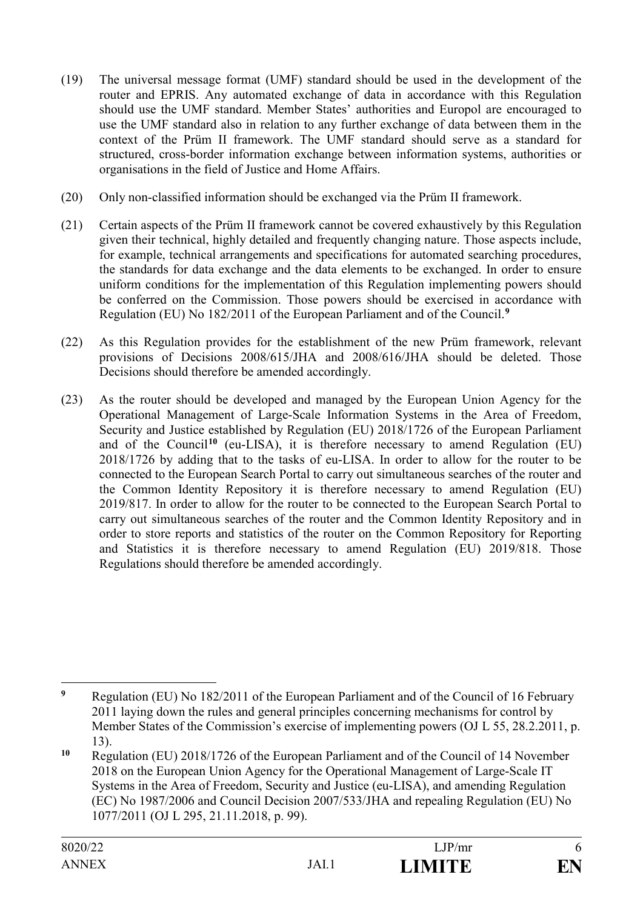- (19) The universal message format (UMF) standard should be used in the development of the router and EPRIS. Any automated exchange of data in accordance with this Regulation should use the UMF standard. Member States' authorities and Europol are encouraged to use the UMF standard also in relation to any further exchange of data between them in the context of the Prüm II framework. The UMF standard should serve as a standard for structured, cross-border information exchange between information systems, authorities or organisations in the field of Justice and Home Affairs.
- (20) Only non-classified information should be exchanged via the Prüm II framework.
- (21) Certain aspects of the Prüm II framework cannot be covered exhaustively by this Regulation given their technical, highly detailed and frequently changing nature. Those aspects include, for example, technical arrangements and specifications for automated searching procedures, the standards for data exchange and the data elements to be exchanged. In order to ensure uniform conditions for the implementation of this Regulation implementing powers should be conferred on the Commission. Those powers should be exercised in accordance with Regulation (EU) No 182/2011 of the European Parliament and of the Council.**<sup>9</sup>**
- (22) As this Regulation provides for the establishment of the new Prüm framework, relevant provisions of Decisions 2008/615/JHA and 2008/616/JHA should be deleted. Those Decisions should therefore be amended accordingly.
- (23) As the router should be developed and managed by the European Union Agency for the Operational Management of Large-Scale Information Systems in the Area of Freedom, Security and Justice established by Regulation (EU) 2018/1726 of the European Parliament and of the Council**<sup>10</sup>** (eu-LISA), it is therefore necessary to amend Regulation (EU) 2018/1726 by adding that to the tasks of eu-LISA. In order to allow for the router to be connected to the European Search Portal to carry out simultaneous searches of the router and the Common Identity Repository it is therefore necessary to amend Regulation (EU) 2019/817. In order to allow for the router to be connected to the European Search Portal to carry out simultaneous searches of the router and the Common Identity Repository and in order to store reports and statistics of the router on the Common Repository for Reporting and Statistics it is therefore necessary to amend Regulation (EU) 2019/818. Those Regulations should therefore be amended accordingly.

 $\boldsymbol{9}$ **<sup>9</sup>** Regulation (EU) No 182/2011 of the European Parliament and of the Council of 16 February 2011 laying down the rules and general principles concerning mechanisms for control by Member States of the Commission's exercise of implementing powers (OJ L 55, 28.2.2011, p. 13).

**<sup>10</sup>** Regulation (EU) 2018/1726 of the European Parliament and of the Council of 14 November 2018 on the European Union Agency for the Operational Management of Large-Scale IT Systems in the Area of Freedom, Security and Justice (eu-LISA), and amending Regulation (EC) No 1987/2006 and Council Decision 2007/533/JHA and repealing Regulation (EU) No 1077/2011 (OJ L 295, 21.11.2018, p. 99).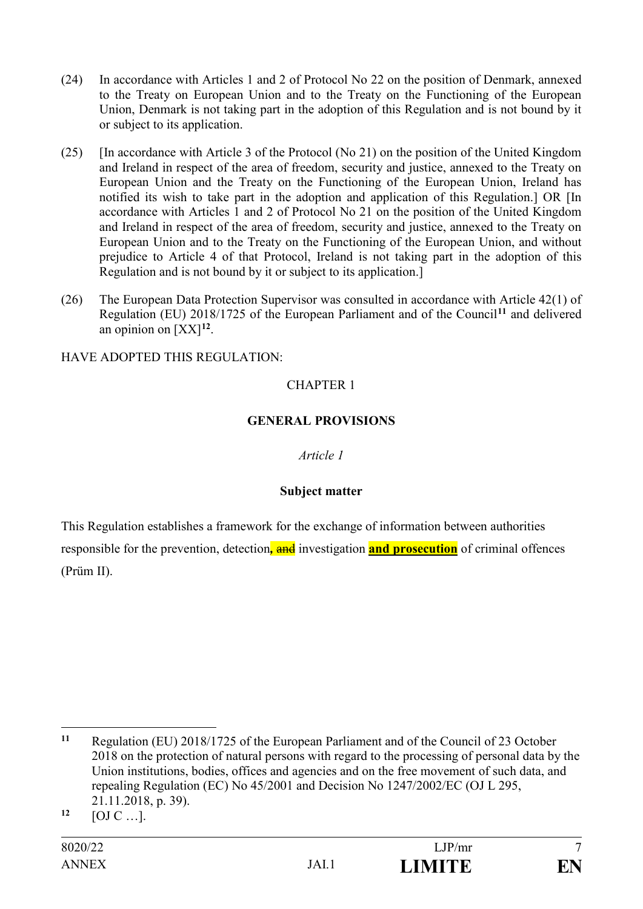- (24) In accordance with Articles 1 and 2 of Protocol No 22 on the position of Denmark, annexed to the Treaty on European Union and to the Treaty on the Functioning of the European Union, Denmark is not taking part in the adoption of this Regulation and is not bound by it or subject to its application.
- (25) [In accordance with Article 3 of the Protocol (No 21) on the position of the United Kingdom and Ireland in respect of the area of freedom, security and justice, annexed to the Treaty on European Union and the Treaty on the Functioning of the European Union, Ireland has notified its wish to take part in the adoption and application of this Regulation.] OR [In accordance with Articles 1 and 2 of Protocol No 21 on the position of the United Kingdom and Ireland in respect of the area of freedom, security and justice, annexed to the Treaty on European Union and to the Treaty on the Functioning of the European Union, and without prejudice to Article 4 of that Protocol, Ireland is not taking part in the adoption of this Regulation and is not bound by it or subject to its application.]
- (26) The European Data Protection Supervisor was consulted in accordance with Article 42(1) of Regulation (EU) 2018/1725 of the European Parliament and of the Council**<sup>11</sup>** and delivered an opinion on [XX]**<sup>12</sup>**.

HAVE ADOPTED THIS REGULATION:

# CHAPTER 1

### **GENERAL PROVISIONS**

### *Article 1*

### **Subject matter**

This Regulation establishes a framework for the exchange of information between authorities responsible for the prevention, detection*,* and investigation **and prosecution** of criminal offences (Prüm II).

<u>.</u>

**<sup>11</sup>** Regulation (EU) 2018/1725 of the European Parliament and of the Council of 23 October 2018 on the protection of natural persons with regard to the processing of personal data by the Union institutions, bodies, offices and agencies and on the free movement of such data, and repealing Regulation (EC) No 45/2001 and Decision No 1247/2002/EC (OJ L 295, 21.11.2018, p. 39).

**<sup>12</sup>** [OJ C …].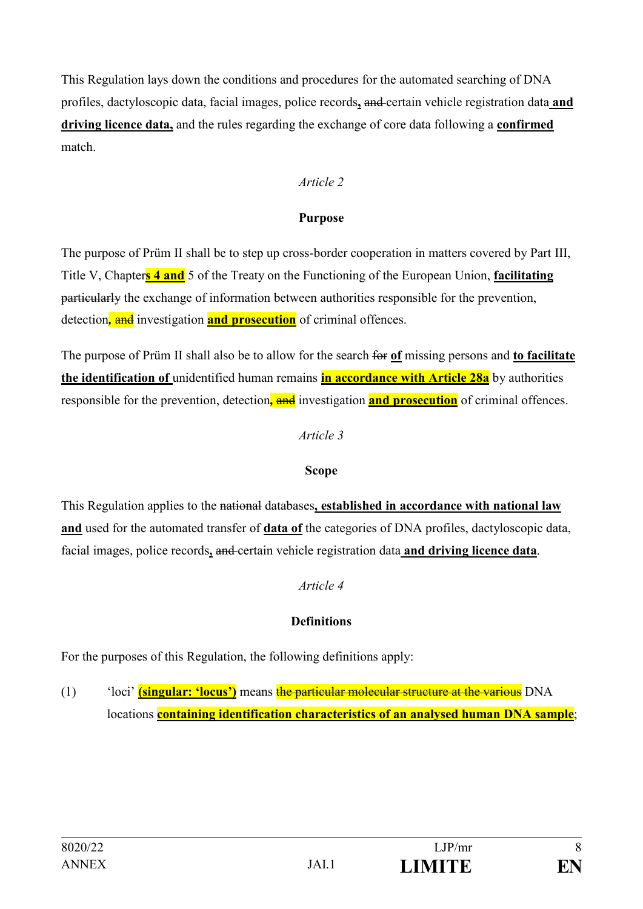This Regulation lays down the conditions and procedures for the automated searching of DNA profiles, dactyloscopic data, facial images, police records**,** and certain vehicle registration data **and driving licence data,** and the rules regarding the exchange of core data following a **confirmed** match.

### *Article 2*

### **Purpose**

The purpose of Prüm II shall be to step up cross-border cooperation in matters covered by Part III, Title V, Chapter**s 4 and** 5 of the Treaty on the Functioning of the European Union, **facilitating** particularly the exchange of information between authorities responsible for the prevention, detection*,* and investigation **and prosecution** of criminal offences.

The purpose of Prüm II shall also be to allow for the search for **of** missing persons and **to facilitate the identification of** unidentified human remains **in accordance with Article 28a** by authorities responsible for the prevention, detection, and investigation and **prosecution** of criminal offences.

### *Article 3*

### **Scope**

This Regulation applies to the national databases**, established in accordance with national law and** used for the automated transfer of **data of** the categories of DNA profiles, dactyloscopic data, facial images, police records**,** and certain vehicle registration data **and driving licence data**.

### *Article 4*

# **Definitions**

For the purposes of this Regulation, the following definitions apply:

(1) 'loci' **(singular: 'locus')** means the particular molecular structure at the various DNA locations **containing identification characteristics of an analysed human DNA sample**;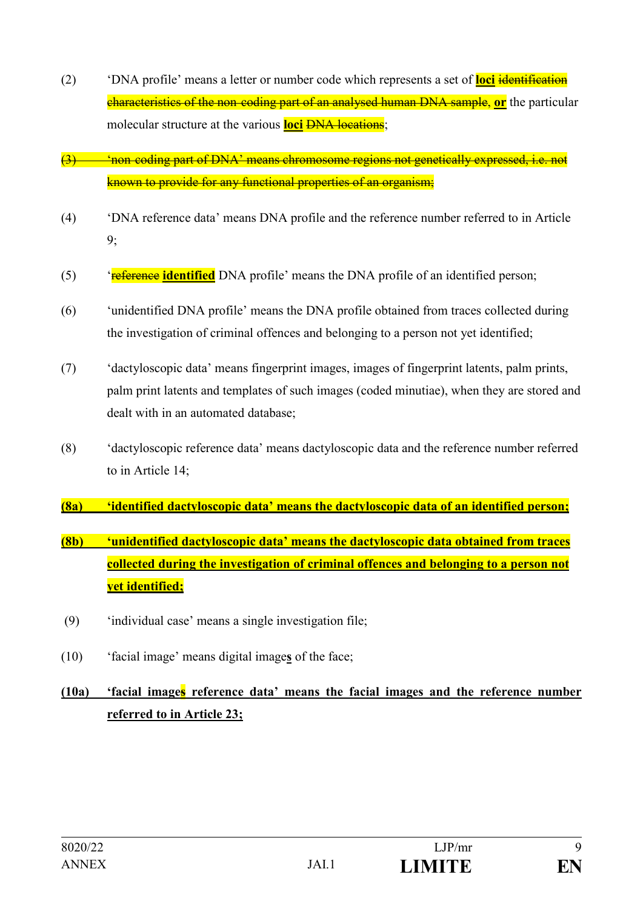- (2) 'DNA profile' means a letter or number code which represents a set of **loci** identification characteristics of the non coding part of an analysed human DNA sample, **or** the particular molecular structure at the various **loci** <del>DNA locations</del>;
- (3)  $\longrightarrow$  'non coding part of DNA' means chromosome regions not genetically expressed, i.e. not known to provide for any functional properties of an organism;
- (4) 'DNA reference data' means DNA profile and the reference number referred to in Article 9;
- (5) 'reference **identified** DNA profile' means the DNA profile of an identified person;
- (6) 'unidentified DNA profile' means the DNA profile obtained from traces collected during the investigation of criminal offences and belonging to a person not yet identified;
- (7) 'dactyloscopic data' means fingerprint images, images of fingerprint latents, palm prints, palm print latents and templates of such images (coded minutiae), when they are stored and dealt with in an automated database;
- (8) 'dactyloscopic reference data' means dactyloscopic data and the reference number referred to in Article 14;
- **(8a) 'identified dactyloscopic data' means the dactyloscopic data of an identified person;**
- **(8b) 'unidentified dactyloscopic data' means the dactyloscopic data obtained from traces collected during the investigation of criminal offences and belonging to a person not yet identified;**
- (9) 'individual case' means a single investigation file;
- (10) 'facial image' means digital image**s** of the face;

# **(10a) 'facial images reference data' means the facial images and the reference number referred to in Article 23;**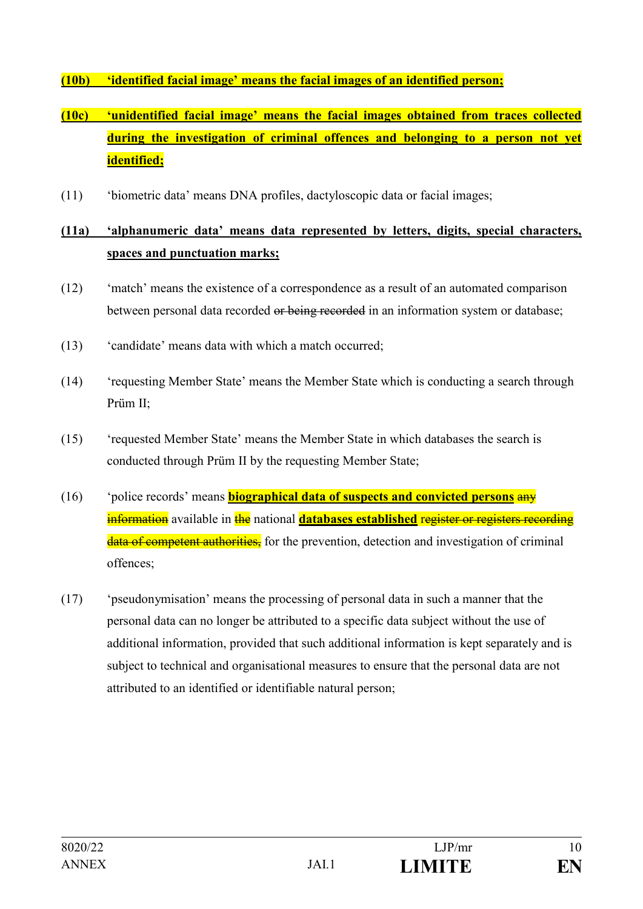### **(10b) 'identified facial image' means the facial images of an identified person;**

# **(10c) 'unidentified facial image' means the facial images obtained from traces collected during the investigation of criminal offences and belonging to a person not yet identified;**

(11) 'biometric data' means DNA profiles, dactyloscopic data or facial images;

# **(11a) 'alphanumeric data' means data represented by letters, digits, special characters, spaces and punctuation marks;**

- (12) 'match' means the existence of a correspondence as a result of an automated comparison between personal data recorded or being recorded in an information system or database;
- (13) 'candidate' means data with which a match occurred;
- (14) 'requesting Member State' means the Member State which is conducting a search through Prüm II;
- (15) 'requested Member State' means the Member State in which databases the search is conducted through Prüm II by the requesting Member State;
- (16) 'police records' means **biographical data of suspects and convicted persons** any **information** available in the national **databases established register or registers recording** data of competent authorities, for the prevention, detection and investigation of criminal offences;
- (17) 'pseudonymisation' means the processing of personal data in such a manner that the personal data can no longer be attributed to a specific data subject without the use of additional information, provided that such additional information is kept separately and is subject to technical and organisational measures to ensure that the personal data are not attributed to an identified or identifiable natural person;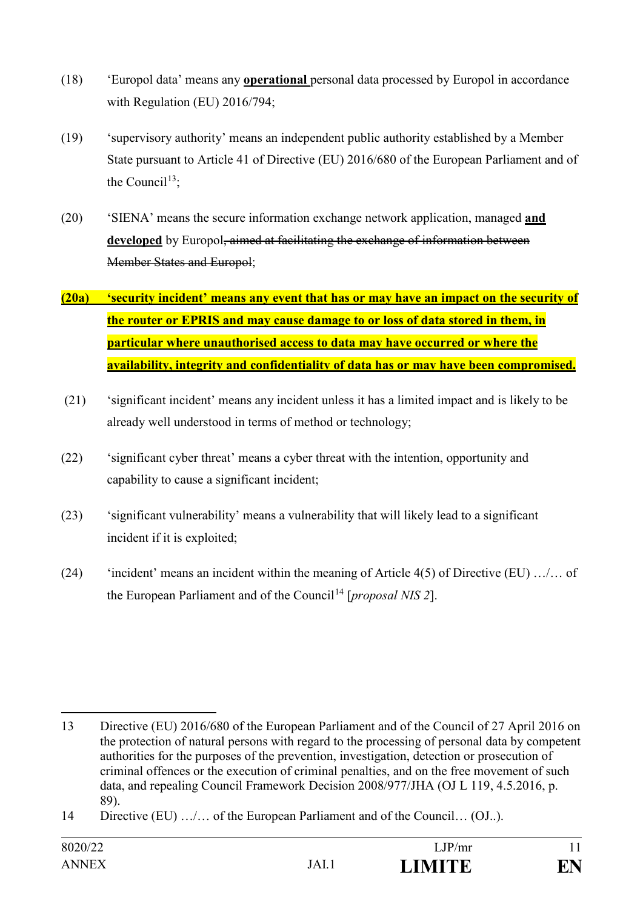- (18) 'Europol data' means any **operational** personal data processed by Europol in accordance with Regulation (EU) 2016/794;
- (19) 'supervisory authority' means an independent public authority established by a Member State pursuant to Article 41 of Directive (EU) 2016/680 of the European Parliament and of the Council<sup>13</sup>:
- (20) 'SIENA' means the secure information exchange network application, managed **and**  developed by Europol, aimed at facilitating the exchange of information between Member States and Europol;
- **(20a) 'security incident' means any event that has or may have an impact on the security of the router or EPRIS and may cause damage to or loss of data stored in them, in particular where unauthorised access to data may have occurred or where the availability, integrity and confidentiality of data has or may have been compromised.**
- (21) 'significant incident' means any incident unless it has a limited impact and is likely to be already well understood in terms of method or technology;
- (22) 'significant cyber threat' means a cyber threat with the intention, opportunity and capability to cause a significant incident;
- (23) 'significant vulnerability' means a vulnerability that will likely lead to a significant incident if it is exploited;
- (24) 'incident' means an incident within the meaning of Article 4(5) of Directive (EU) …/… of the European Parliament and of the Council<sup>14</sup> [*proposal NIS 2*].

<u>.</u>

<sup>13</sup> Directive (EU) 2016/680 of the European Parliament and of the Council of 27 April 2016 on the protection of natural persons with regard to the processing of personal data by competent authorities for the purposes of the prevention, investigation, detection or prosecution of criminal offences or the execution of criminal penalties, and on the free movement of such data, and repealing Council Framework Decision 2008/977/JHA (OJ L 119, 4.5.2016, p. 89).

<sup>14</sup> Directive (EU) …/… of the European Parliament and of the Council… (OJ..).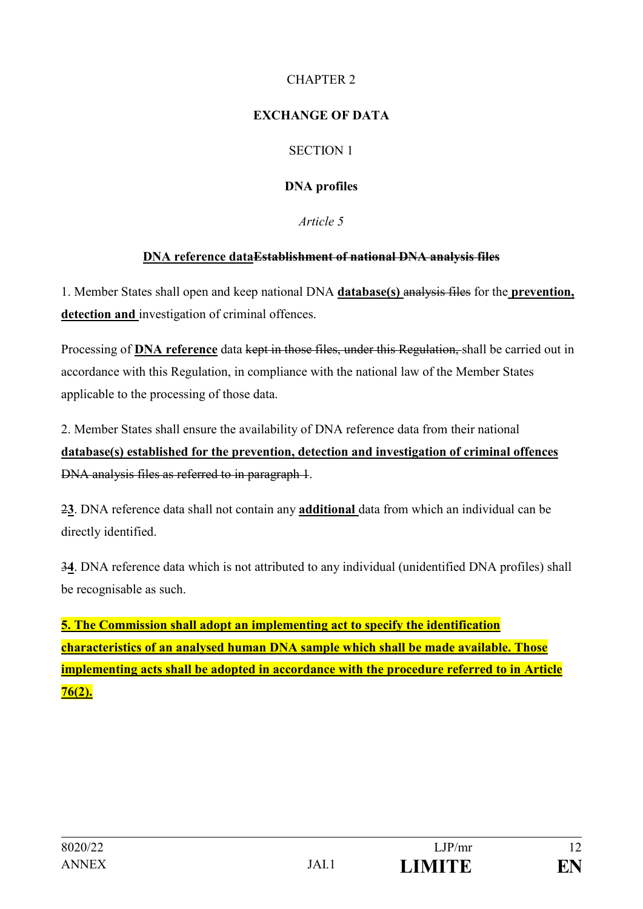# CHAPTER 2

# **EXCHANGE OF DATA**

# SECTION 1

# **DNA profiles**

*Article 5*

# **DNA reference dataEstablishment of national DNA analysis files**

1. Member States shall open and keep national DNA **database(s)** analysis files for the **prevention, detection and** investigation of criminal offences.

Processing of **DNA reference** data kept in those files, under this Regulation, shall be carried out in accordance with this Regulation, in compliance with the national law of the Member States applicable to the processing of those data.

2. Member States shall ensure the availability of DNA reference data from their national **database(s) established for the prevention, detection and investigation of criminal offences**  DNA analysis files as referred to in paragraph 1.

2**3**. DNA reference data shall not contain any **additional** data from which an individual can be directly identified.

3**4**. DNA reference data which is not attributed to any individual (unidentified DNA profiles) shall be recognisable as such.

**5. The Commission shall adopt an implementing act to specify the identification characteristics of an analysed human DNA sample which shall be made available. Those implementing acts shall be adopted in accordance with the procedure referred to in Article 76(2).**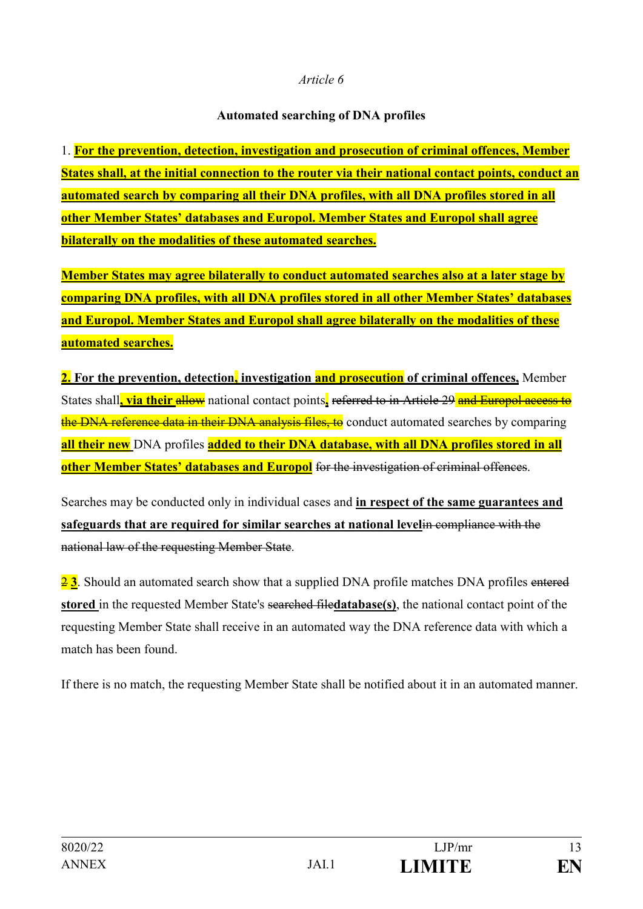### **Automated searching of DNA profiles**

1. **For the prevention, detection, investigation and prosecution of criminal offences, Member States shall, at the initial connection to the router via their national contact points, conduct an automated search by comparing all their DNA profiles, with all DNA profiles stored in all other Member States' databases and Europol. Member States and Europol shall agree bilaterally on the modalities of these automated searches.**

**Member States may agree bilaterally to conduct automated searches also at a later stage by comparing DNA profiles, with all DNA profiles stored in all other Member States' databases and Europol. Member States and Europol shall agree bilaterally on the modalities of these automated searches.**

**2. For the prevention, detection, investigation and prosecution of criminal offences,** Member States shall, via their allow national contact points, referred to in Article 29 and Europol access to the DNA reference data in their DNA analysis files, to conduct automated searches by comparing **all their new** DNA profiles **added to their DNA database, with all DNA profiles stored in all other Member States' databases and Europol** for the investigation of criminal offences.

Searches may be conducted only in individual cases and **in respect of the same guarantees and safeguards that are required for similar searches at national level**in compliance with the national law of the requesting Member State.

23. Should an automated search show that a supplied DNA profile matches DNA profiles entered **stored** in the requested Member State's searched file**database(s)**, the national contact point of the requesting Member State shall receive in an automated way the DNA reference data with which a match has been found.

If there is no match, the requesting Member State shall be notified about it in an automated manner.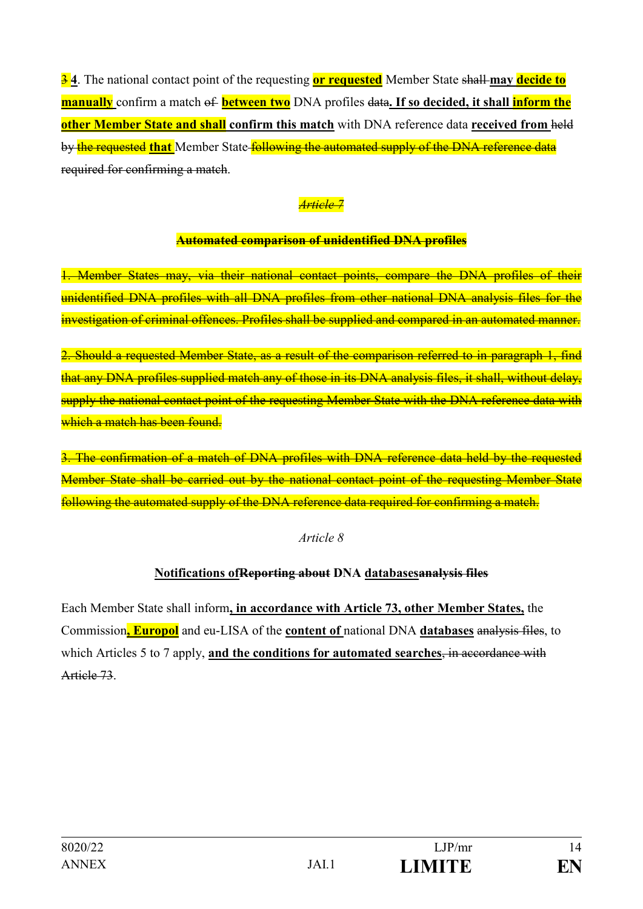3 **4**. The national contact point of the requesting **or requested** Member State shall **may decide to manually** confirm a match of **between two** DNA profiles data. If so decided, it shall **inform the other Member State and shall confirm this match** with DNA reference data **received from** held by the requested that Member State **following the automated supply of the DNA reference data** required for confirming a match.

# *Article 7*

# **Automated comparison of unidentified DNA profiles**

1. Member States may, via their national contact points, compare the DNA profiles of their unidentified DNA profiles with all DNA profiles from other national DNA analysis files for the investigation of criminal offences. Profiles shall be supplied and compared in an automated manner.

2. Should a requested Member State, as a result of the comparison referred to in paragraph 1, find that any DNA profiles supplied match any of those in its DNA analysis files, it shall, without delay, supply the national contact point of the requesting Member State with the DNA reference data with which a match has been found.

3. The confirmation of a match of DNA profiles with DNA reference data held by the requested Member State shall be carried out by the national contact point of the requesting Member State following the automated supply of the DNA reference data required for confirming a match.

### *Article 8*

# **Notifications ofReporting about DNA databasesanalysis files**

Each Member State shall inform**, in accordance with Article 73, other Member States,** the Commission**, Europol** and eu-LISA of the **content of** national DNA **databases** analysis files, to which Articles 5 to 7 apply, **and the conditions for automated searches**, in accordance with Article 73.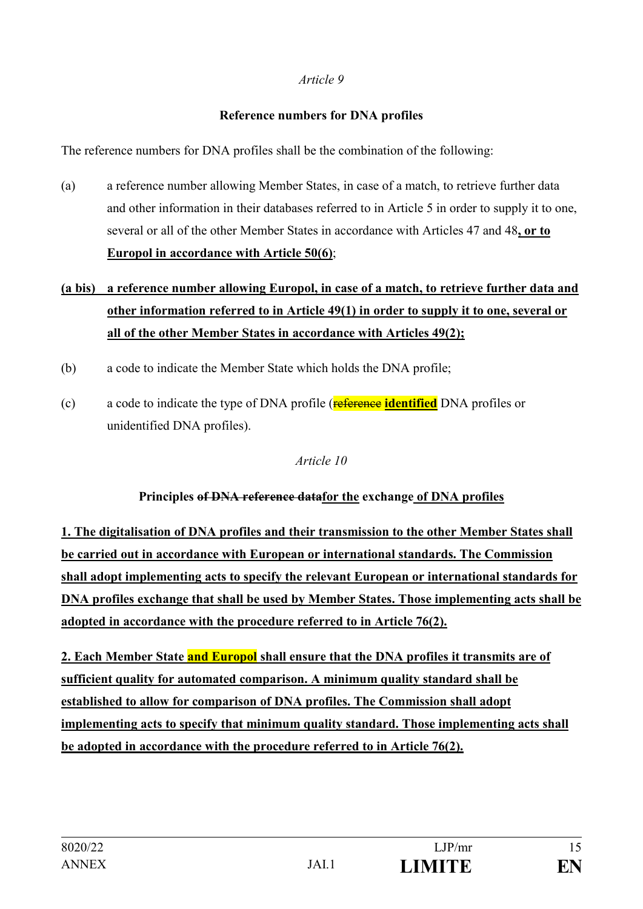### **Reference numbers for DNA profiles**

The reference numbers for DNA profiles shall be the combination of the following:

(a) a reference number allowing Member States, in case of a match, to retrieve further data and other information in their databases referred to in Article 5 in order to supply it to one, several or all of the other Member States in accordance with Articles 47 and 48**, or to Europol in accordance with Article 50(6)**;

# **(a bis) a reference number allowing Europol, in case of a match, to retrieve further data and other information referred to in Article 49(1) in order to supply it to one, several or all of the other Member States in accordance with Articles 49(2);**

- (b) a code to indicate the Member State which holds the DNA profile;
- (c) a code to indicate the type of DNA profile (**reference identified** DNA profiles or unidentified DNA profiles).

*Article 10*

# **Principles of DNA reference datafor the exchange of DNA profiles**

**1. The digitalisation of DNA profiles and their transmission to the other Member States shall be carried out in accordance with European or international standards. The Commission shall adopt implementing acts to specify the relevant European or international standards for DNA profiles exchange that shall be used by Member States. Those implementing acts shall be adopted in accordance with the procedure referred to in Article 76(2).**

**2. Each Member State and Europol shall ensure that the DNA profiles it transmits are of sufficient quality for automated comparison. A minimum quality standard shall be established to allow for comparison of DNA profiles. The Commission shall adopt implementing acts to specify that minimum quality standard. Those implementing acts shall be adopted in accordance with the procedure referred to in Article 76(2).**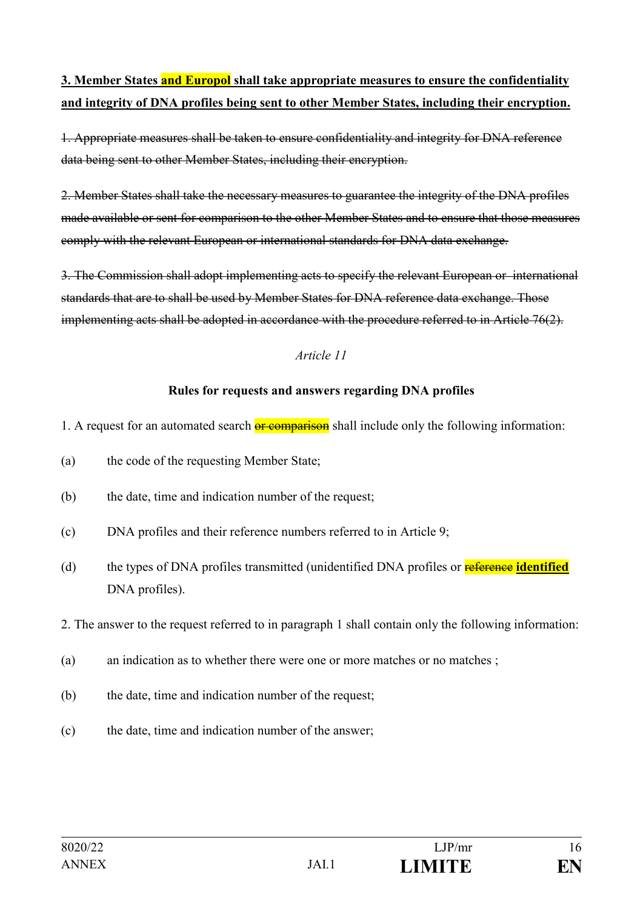# **3. Member States and Europol shall take appropriate measures to ensure the confidentiality and integrity of DNA profiles being sent to other Member States, including their encryption.**

1. Appropriate measures shall be taken to ensure confidentiality and integrity for DNA reference data being sent to other Member States, including their encryption.

2. Member States shall take the necessary measures to guarantee the integrity of the DNA profiles made available or sent for comparison to the other Member States and to ensure that those measures comply with the relevant European or international standards for DNA data exchange.

3. The Commission shall adopt implementing acts to specify the relevant European or international standards that are to shall be used by Member States for DNA reference data exchange. Those implementing acts shall be adopted in accordance with the procedure referred to in Article 76(2).

### *Article 11*

### **Rules for requests and answers regarding DNA profiles**

- 1. A request for an automated search **or comparison** shall include only the following information:
- (a) the code of the requesting Member State;
- (b) the date, time and indication number of the request;
- (c) DNA profiles and their reference numbers referred to in Article 9;
- (d) the types of DNA profiles transmitted (unidentified DNA profiles or **reference identified** DNA profiles).

### 2. The answer to the request referred to in paragraph 1 shall contain only the following information:

- (a) an indication as to whether there were one or more matches or no matches ;
- (b) the date, time and indication number of the request;
- (c) the date, time and indication number of the answer;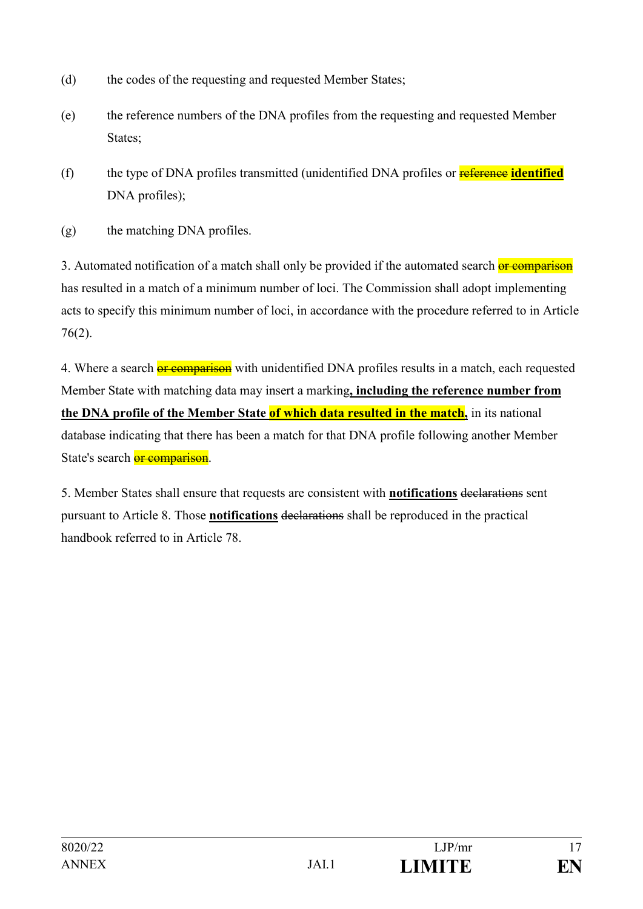- (d) the codes of the requesting and requested Member States;
- (e) the reference numbers of the DNA profiles from the requesting and requested Member States;
- (f) the type of DNA profiles transmitted (unidentified DNA profiles or reference **identified** DNA profiles);
- (g) the matching DNA profiles.

3. Automated notification of a match shall only be provided if the automated search or comparison has resulted in a match of a minimum number of loci. The Commission shall adopt implementing acts to specify this minimum number of loci, in accordance with the procedure referred to in Article 76(2).

4. Where a search **or comparison** with unidentified DNA profiles results in a match, each requested Member State with matching data may insert a marking**, including the reference number from the DNA profile of the Member State of which data resulted in the match,** in its national database indicating that there has been a match for that DNA profile following another Member State's search **or comparison**.

5. Member States shall ensure that requests are consistent with **notifications** declarations sent pursuant to Article 8. Those **notifications** declarations shall be reproduced in the practical handbook referred to in Article 78.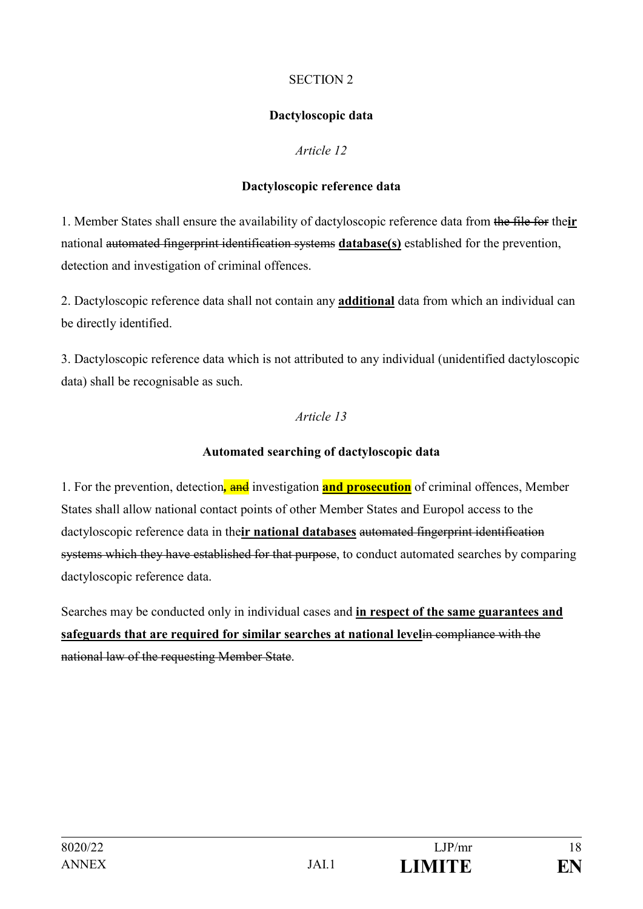### SECTION 2

### **Dactyloscopic data**

### *Article 12*

### **Dactyloscopic reference data**

1. Member States shall ensure the availability of dactyloscopic reference data from the file for the**ir** national automated fingerprint identification systems **database(s)** established for the prevention, detection and investigation of criminal offences.

2. Dactyloscopic reference data shall not contain any **additional** data from which an individual can be directly identified.

3. Dactyloscopic reference data which is not attributed to any individual (unidentified dactyloscopic data) shall be recognisable as such.

### *Article 13*

### **Automated searching of dactyloscopic data**

1. For the prevention, detection*,* and investigation **and prosecution** of criminal offences, Member States shall allow national contact points of other Member States and Europol access to the dactyloscopic reference data in the**ir national databases** automated fingerprint identification systems which they have established for that purpose, to conduct automated searches by comparing dactyloscopic reference data.

Searches may be conducted only in individual cases and **in respect of the same guarantees and safeguards that are required for similar searches at national level**in compliance with the national law of the requesting Member State.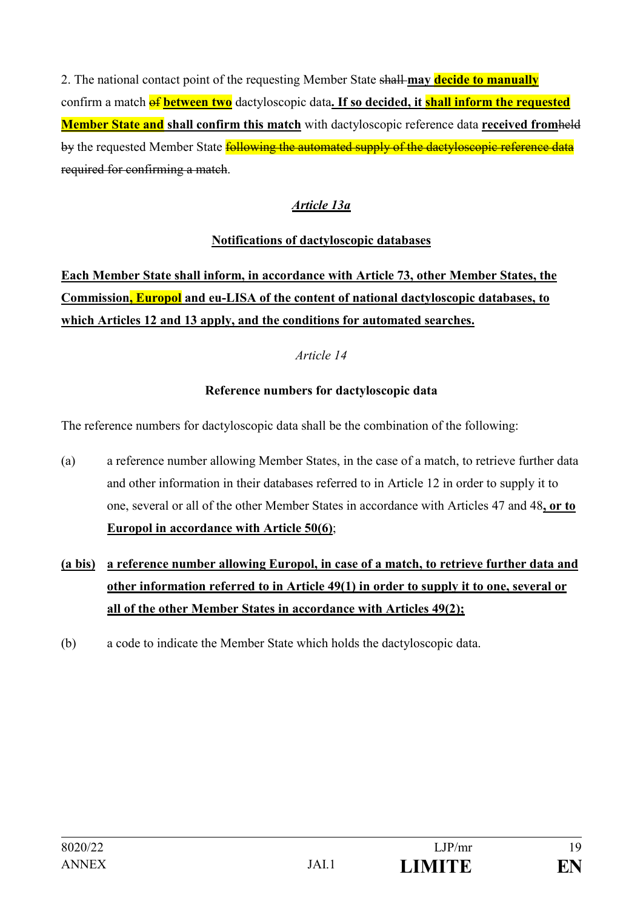2. The national contact point of the requesting Member State shall **may decide to manually** confirm a match **of between two** dactyloscopic data. If so decided, it **shall inform the requested Member State and shall confirm this match** with dactyloscopic reference data **received from**held by the requested Member State **following the automated supply of the dactyloscopic reference data** required for confirming a match.

# *Article 13a*

# **Notifications of dactyloscopic databases**

**Each Member State shall inform, in accordance with Article 73, other Member States, the Commission, Europol and eu-LISA of the content of national dactyloscopic databases, to which Articles 12 and 13 apply, and the conditions for automated searches.**

# *Article 14*

# **Reference numbers for dactyloscopic data**

The reference numbers for dactyloscopic data shall be the combination of the following:

- (a) a reference number allowing Member States, in the case of a match, to retrieve further data and other information in their databases referred to in Article 12 in order to supply it to one, several or all of the other Member States in accordance with Articles 47 and 48**, or to Europol in accordance with Article 50(6)**;
- **(a bis) a reference number allowing Europol, in case of a match, to retrieve further data and other information referred to in Article 49(1) in order to supply it to one, several or all of the other Member States in accordance with Articles 49(2);**
- (b) a code to indicate the Member State which holds the dactyloscopic data.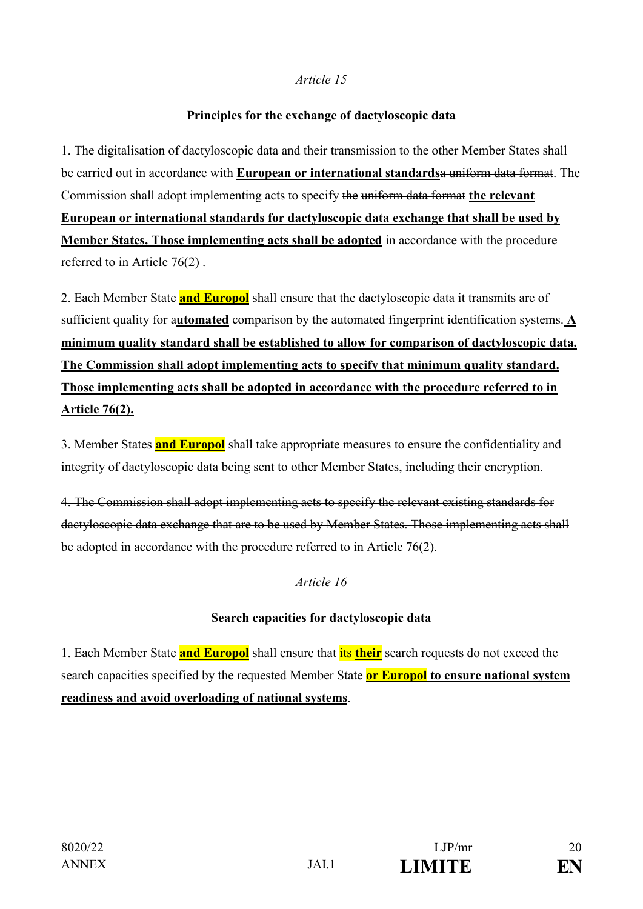#### **Principles for the exchange of dactyloscopic data**

1. The digitalisation of dactyloscopic data and their transmission to the other Member States shall be carried out in accordance with **European or international standards**a uniform data format. The Commission shall adopt implementing acts to specify the uniform data format **the relevant European or international standards for dactyloscopic data exchange that shall be used by Member States. Those implementing acts shall be adopted** in accordance with the procedure referred to in Article 76(2) .

2. Each Member State **and Europol** shall ensure that the dactyloscopic data it transmits are of sufficient quality for a**utomated** comparison by the automated fingerprint identification systems. **A minimum quality standard shall be established to allow for comparison of dactyloscopic data. The Commission shall adopt implementing acts to specify that minimum quality standard. Those implementing acts shall be adopted in accordance with the procedure referred to in Article 76(2).**

3. Member States **and Europol** shall take appropriate measures to ensure the confidentiality and integrity of dactyloscopic data being sent to other Member States, including their encryption.

4. The Commission shall adopt implementing acts to specify the relevant existing standards for dactyloscopic data exchange that are to be used by Member States. Those implementing acts shall be adopted in accordance with the procedure referred to in Article 76(2).

### *Article 16*

### **Search capacities for dactyloscopic data**

1. Each Member State **and Europol** shall ensure that **its their** search requests do not exceed the search capacities specified by the requested Member State **or Europol to ensure national system readiness and avoid overloading of national systems**.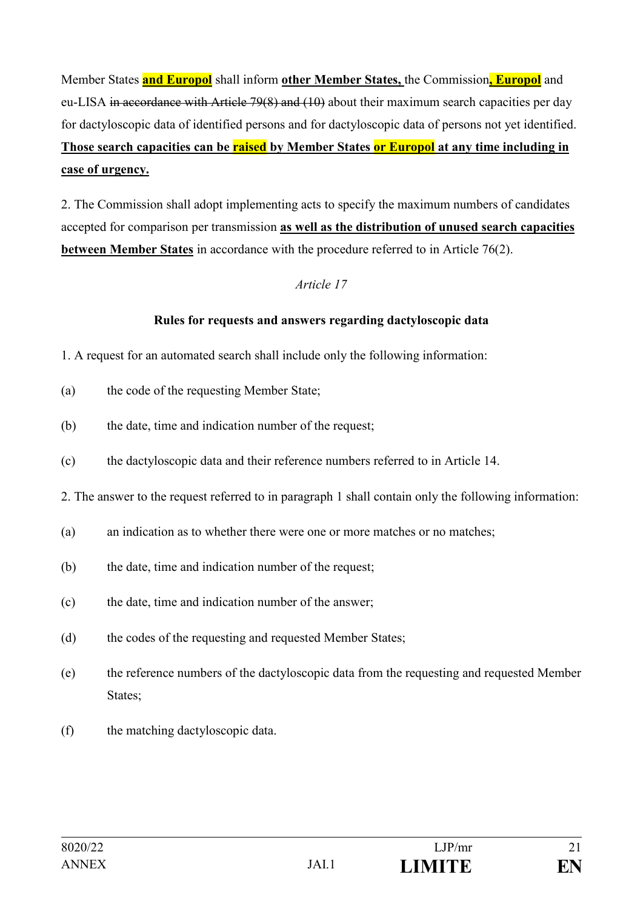Member States **and Europol** shall inform **other Member States,** the Commission**, Europol** and eu-LISA in accordance with Article 79(8) and (10) about their maximum search capacities per day for dactyloscopic data of identified persons and for dactyloscopic data of persons not yet identified. **Those search capacities can be raised by Member States or Europol at any time including in case of urgency.**

2. The Commission shall adopt implementing acts to specify the maximum numbers of candidates accepted for comparison per transmission **as well as the distribution of unused search capacities between Member States** in accordance with the procedure referred to in Article 76(2).

### *Article 17*

### **Rules for requests and answers regarding dactyloscopic data**

- 1. A request for an automated search shall include only the following information:
- (a) the code of the requesting Member State;
- (b) the date, time and indication number of the request;
- (c) the dactyloscopic data and their reference numbers referred to in Article 14.
- 2. The answer to the request referred to in paragraph 1 shall contain only the following information:
- (a) an indication as to whether there were one or more matches or no matches;
- (b) the date, time and indication number of the request;
- (c) the date, time and indication number of the answer;
- (d) the codes of the requesting and requested Member States;
- (e) the reference numbers of the dactyloscopic data from the requesting and requested Member States;
- (f) the matching dactyloscopic data.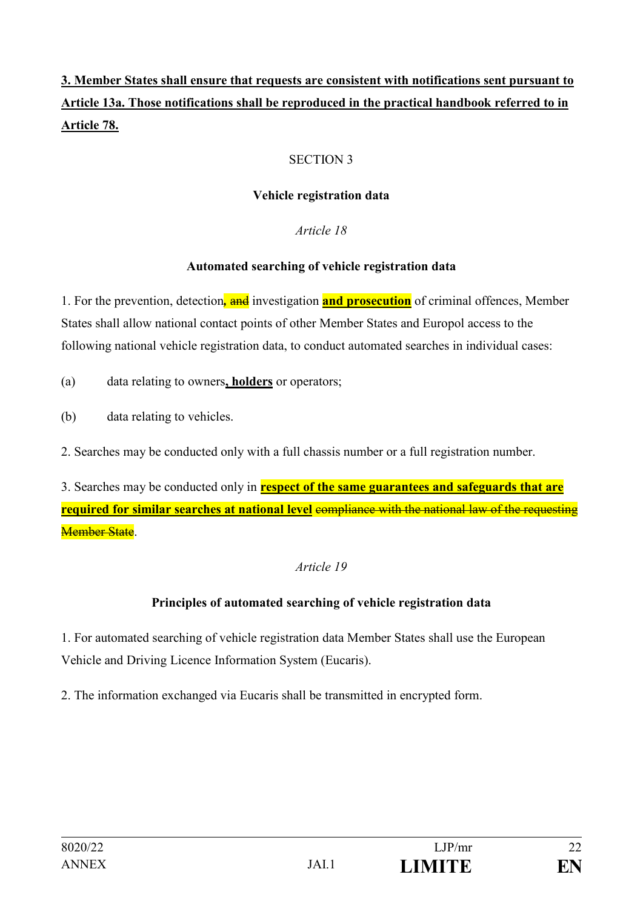# **3. Member States shall ensure that requests are consistent with notifications sent pursuant to Article 13a. Those notifications shall be reproduced in the practical handbook referred to in Article 78.**

# SECTION 3

### **Vehicle registration data**

### *Article 18*

### **Automated searching of vehicle registration data**

1. For the prevention, detection*,* and investigation **and prosecution** of criminal offences, Member States shall allow national contact points of other Member States and Europol access to the following national vehicle registration data, to conduct automated searches in individual cases:

(a) data relating to owners**, holders** or operators;

(b) data relating to vehicles.

2. Searches may be conducted only with a full chassis number or a full registration number.

3. Searches may be conducted only in **respect of the same guarantees and safeguards that are required for similar searches at national level** compliance with the national law of the requesting Member State.

# *Article 19*

# **Principles of automated searching of vehicle registration data**

1. For automated searching of vehicle registration data Member States shall use the European Vehicle and Driving Licence Information System (Eucaris).

2. The information exchanged via Eucaris shall be transmitted in encrypted form.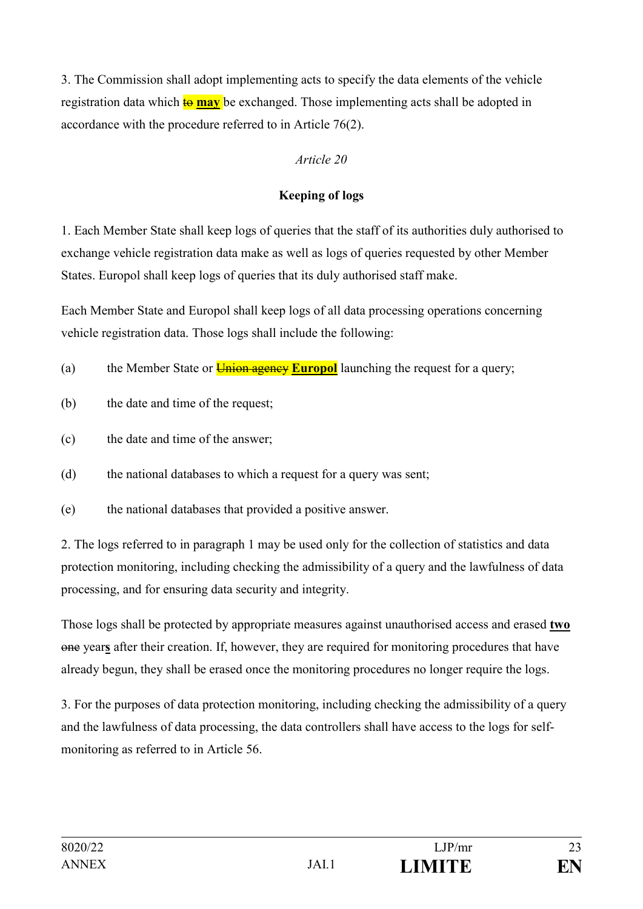3. The Commission shall adopt implementing acts to specify the data elements of the vehicle registration data which **to may** be exchanged. Those implementing acts shall be adopted in accordance with the procedure referred to in Article 76(2).

# *Article 20*

# **Keeping of logs**

1. Each Member State shall keep logs of queries that the staff of its authorities duly authorised to exchange vehicle registration data make as well as logs of queries requested by other Member States. Europol shall keep logs of queries that its duly authorised staff make.

Each Member State and Europol shall keep logs of all data processing operations concerning vehicle registration data. Those logs shall include the following:

- (a) the Member State or **Union agency Europol** launching the request for a query;
- (b) the date and time of the request;
- (c) the date and time of the answer;
- (d) the national databases to which a request for a query was sent;
- (e) the national databases that provided a positive answer.

2. The logs referred to in paragraph 1 may be used only for the collection of statistics and data protection monitoring, including checking the admissibility of a query and the lawfulness of data processing, and for ensuring data security and integrity.

Those logs shall be protected by appropriate measures against unauthorised access and erased **two** one year**s** after their creation. If, however, they are required for monitoring procedures that have already begun, they shall be erased once the monitoring procedures no longer require the logs.

3. For the purposes of data protection monitoring, including checking the admissibility of a query and the lawfulness of data processing, the data controllers shall have access to the logs for selfmonitoring as referred to in Article 56.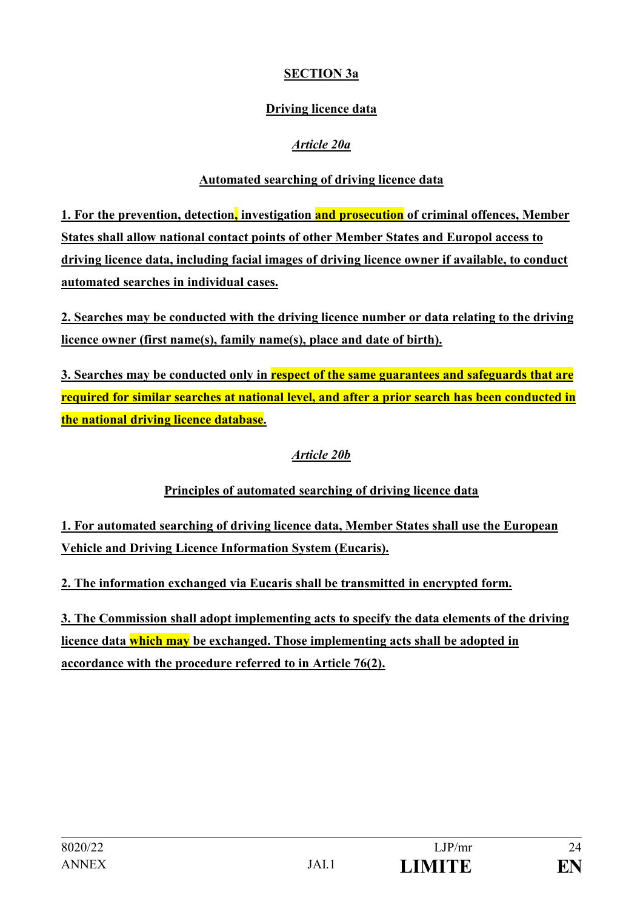# **SECTION 3a**

# **Driving licence data**

# *Article 20a*

# **Automated searching of driving licence data**

**1. For the prevention, detection, investigation and prosecution of criminal offences, Member States shall allow national contact points of other Member States and Europol access to driving licence data, including facial images of driving licence owner if available, to conduct automated searches in individual cases.**

**2. Searches may be conducted with the driving licence number or data relating to the driving licence owner (first name(s), family name(s), place and date of birth).**

**3. Searches may be conducted only in respect of the same guarantees and safeguards that are required for similar searches at national level, and after a prior search has been conducted in the national driving licence database.**

# *Article 20b*

# **Principles of automated searching of driving licence data**

**1. For automated searching of driving licence data, Member States shall use the European Vehicle and Driving Licence Information System (Eucaris).**

**2. The information exchanged via Eucaris shall be transmitted in encrypted form.**

**3. The Commission shall adopt implementing acts to specify the data elements of the driving licence data which may be exchanged. Those implementing acts shall be adopted in accordance with the procedure referred to in Article 76(2).**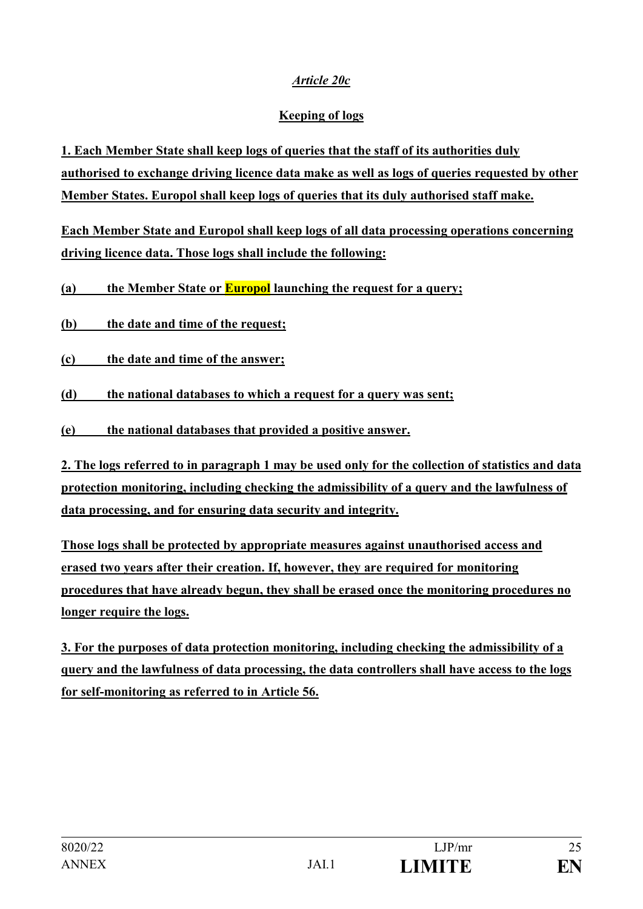# *Article 20c*

# **Keeping of logs**

**1. Each Member State shall keep logs of queries that the staff of its authorities duly authorised to exchange driving licence data make as well as logs of queries requested by other Member States. Europol shall keep logs of queries that its duly authorised staff make.**

**Each Member State and Europol shall keep logs of all data processing operations concerning driving licence data. Those logs shall include the following:** 

**(a) the Member State or Europol launching the request for a query;** 

**(b) the date and time of the request;**

**(c) the date and time of the answer;**

**(d) the national databases to which a request for a query was sent;** 

**(e) the national databases that provided a positive answer.**

**2. The logs referred to in paragraph 1 may be used only for the collection of statistics and data protection monitoring, including checking the admissibility of a query and the lawfulness of data processing, and for ensuring data security and integrity.** 

**Those logs shall be protected by appropriate measures against unauthorised access and erased two years after their creation. If, however, they are required for monitoring procedures that have already begun, they shall be erased once the monitoring procedures no longer require the logs.**

**3. For the purposes of data protection monitoring, including checking the admissibility of a query and the lawfulness of data processing, the data controllers shall have access to the logs for self-monitoring as referred to in Article 56.**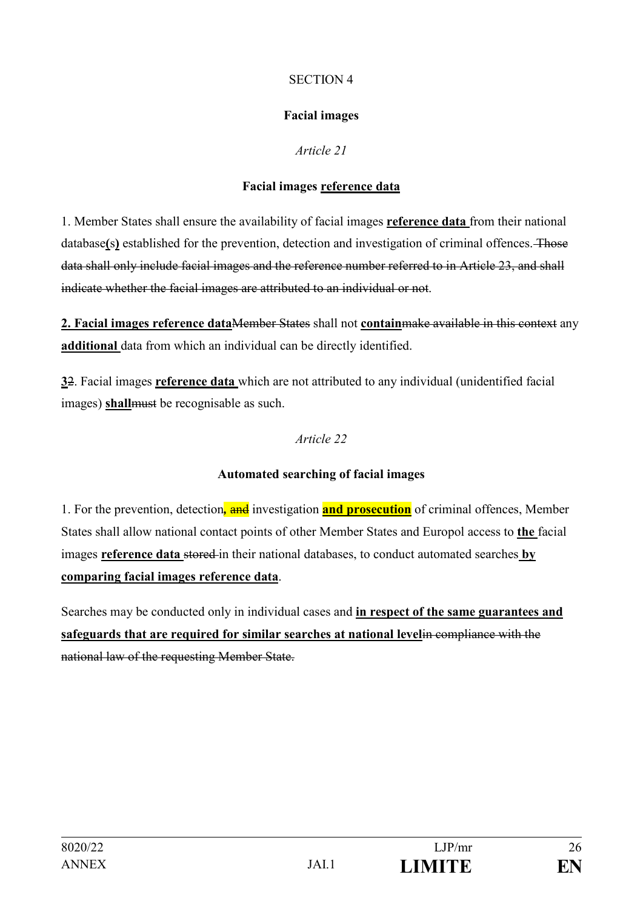### SECTION 4

# **Facial images**

# *Article 21*

# **Facial images reference data**

1. Member States shall ensure the availability of facial images **reference data** from their national database**(**s**)** established for the prevention, detection and investigation of criminal offences. Those data shall only include facial images and the reference number referred to in Article 23, and shall indicate whether the facial images are attributed to an individual or not.

**2. Facial images reference data**Member States shall not **contain**make available in this context any **additional** data from which an individual can be directly identified.

**3**2. Facial images **reference data** which are not attributed to any individual (unidentified facial images) **shall**must be recognisable as such.

# *Article 22*

# **Automated searching of facial images**

1. For the prevention, detection*,* and investigation **and prosecution** of criminal offences, Member States shall allow national contact points of other Member States and Europol access to **the** facial images **reference data** stored in their national databases, to conduct automated searches **by comparing facial images reference data**.

Searches may be conducted only in individual cases and **in respect of the same guarantees and safeguards that are required for similar searches at national level**in compliance with the national law of the requesting Member State.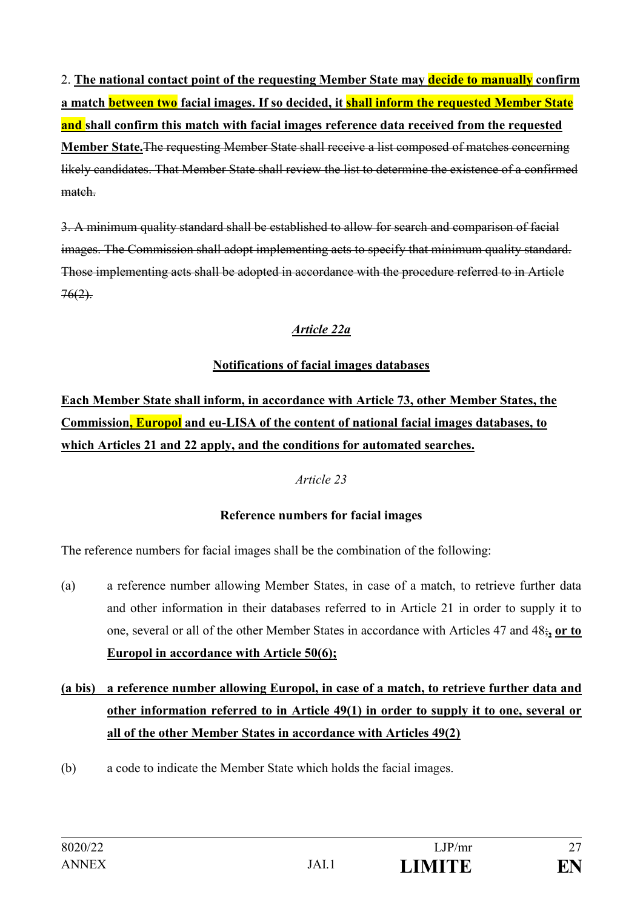2. **The national contact point of the requesting Member State may decide to manually confirm a match between two facial images. If so decided, it shall inform the requested Member State and shall confirm this match with facial images reference data received from the requested Member State.**The requesting Member State shall receive a list composed of matches concerning likely candidates. That Member State shall review the list to determine the existence of a confirmed match.

3. A minimum quality standard shall be established to allow for search and comparison of facial images. The Commission shall adopt implementing acts to specify that minimum quality standard. Those implementing acts shall be adopted in accordance with the procedure referred to in Article  $76(2)$ .

# *Article 22a*

# **Notifications of facial images databases**

**Each Member State shall inform, in accordance with Article 73, other Member States, the Commission, Europol and eu-LISA of the content of national facial images databases, to which Articles 21 and 22 apply, and the conditions for automated searches.** 

# *Article 23*

# **Reference numbers for facial images**

The reference numbers for facial images shall be the combination of the following:

- (a) a reference number allowing Member States, in case of a match, to retrieve further data and other information in their databases referred to in Article 21 in order to supply it to one, several or all of the other Member States in accordance with Articles 47 and 48;**, or to Europol in accordance with Article 50(6);**
- **(a bis) a reference number allowing Europol, in case of a match, to retrieve further data and other information referred to in Article 49(1) in order to supply it to one, several or all of the other Member States in accordance with Articles 49(2)**
- (b) a code to indicate the Member State which holds the facial images.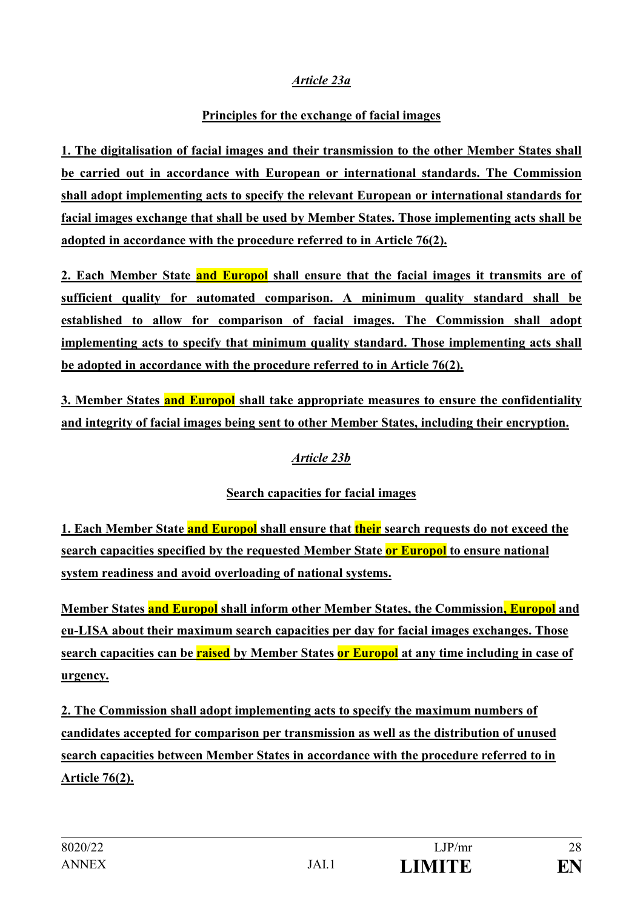# *Article 23a*

# **Principles for the exchange of facial images**

**1. The digitalisation of facial images and their transmission to the other Member States shall be carried out in accordance with European or international standards. The Commission shall adopt implementing acts to specify the relevant European or international standards for facial images exchange that shall be used by Member States. Those implementing acts shall be adopted in accordance with the procedure referred to in Article 76(2).**

**2. Each Member State and Europol shall ensure that the facial images it transmits are of sufficient quality for automated comparison. A minimum quality standard shall be established to allow for comparison of facial images. The Commission shall adopt implementing acts to specify that minimum quality standard. Those implementing acts shall be adopted in accordance with the procedure referred to in Article 76(2).**

**3. Member States and Europol shall take appropriate measures to ensure the confidentiality and integrity of facial images being sent to other Member States, including their encryption.**

# *Article 23b*

# **Search capacities for facial images**

**1. Each Member State and Europol shall ensure that their search requests do not exceed the search capacities specified by the requested Member State or Europol to ensure national system readiness and avoid overloading of national systems.** 

**Member States and Europol shall inform other Member States, the Commission, Europol and eu-LISA about their maximum search capacities per day for facial images exchanges. Those search capacities can be raised by Member States or Europol at any time including in case of urgency.**

**2. The Commission shall adopt implementing acts to specify the maximum numbers of candidates accepted for comparison per transmission as well as the distribution of unused search capacities between Member States in accordance with the procedure referred to in Article 76(2).**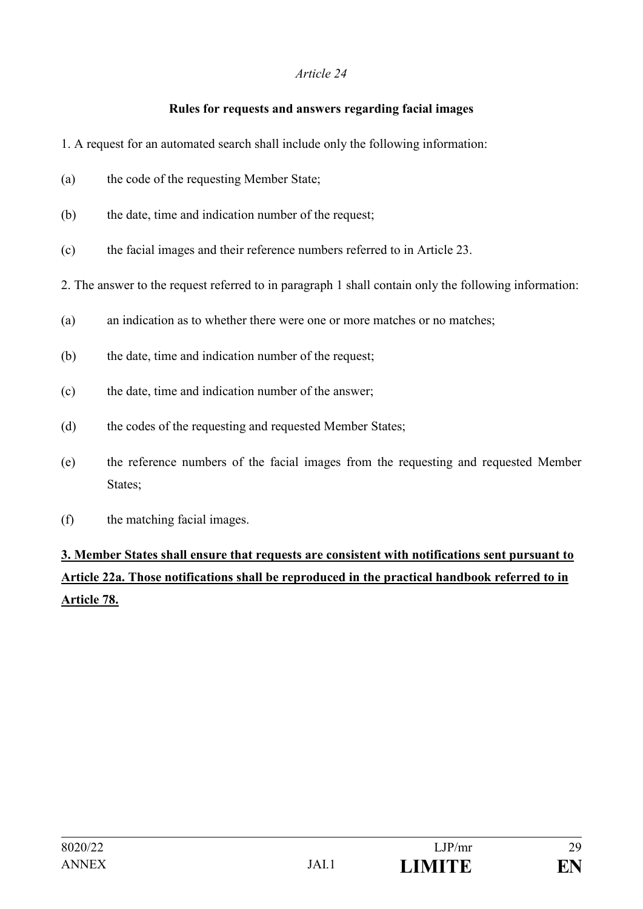# **Rules for requests and answers regarding facial images**

- 1. A request for an automated search shall include only the following information:
- (a) the code of the requesting Member State;
- (b) the date, time and indication number of the request;
- (c) the facial images and their reference numbers referred to in Article 23.
- 2. The answer to the request referred to in paragraph 1 shall contain only the following information:
- (a) an indication as to whether there were one or more matches or no matches;
- (b) the date, time and indication number of the request;
- (c) the date, time and indication number of the answer;
- (d) the codes of the requesting and requested Member States;
- (e) the reference numbers of the facial images from the requesting and requested Member States;
- (f) the matching facial images.

# **3. Member States shall ensure that requests are consistent with notifications sent pursuant to Article 22a. Those notifications shall be reproduced in the practical handbook referred to in Article 78.**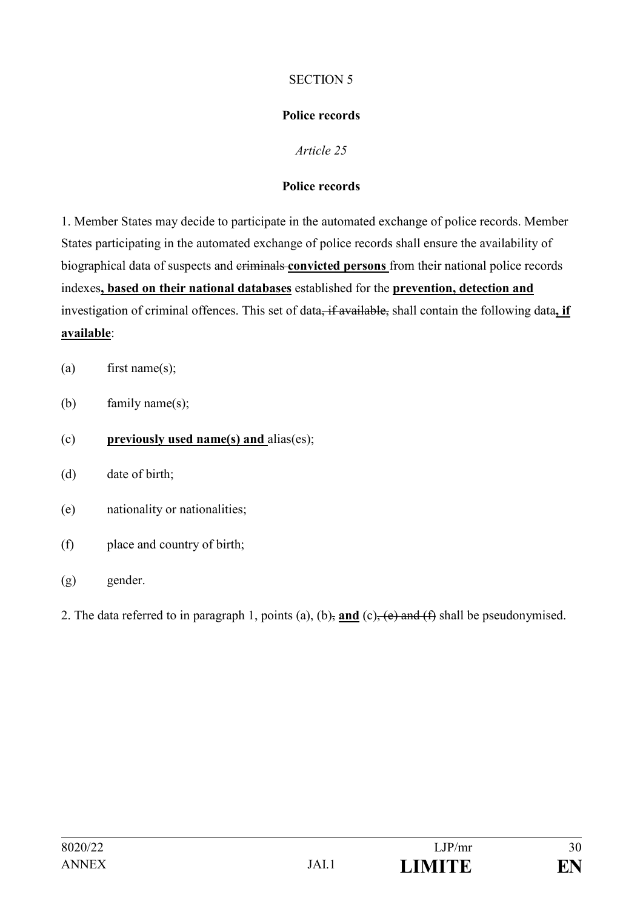### SECTION 5

# **Police records**

# *Article 25*

# **Police records**

1. Member States may decide to participate in the automated exchange of police records. Member States participating in the automated exchange of police records shall ensure the availability of biographical data of suspects and criminals **convicted persons** from their national police records indexes**, based on their national databases** established for the **prevention, detection and**  investigation of criminal offences. This set of data<del>, if available,</del> shall contain the following data, if **available**:

- (a) first name(s);
- (b) family name(s);
- (c) **previously used name(s) and** alias(es);
- (d) date of birth;
- (e) nationality or nationalities;
- (f) place and country of birth;
- (g) gender.
- 2. The data referred to in paragraph 1, points (a), (b), **and** (c), (e) and (f) shall be pseudonymised.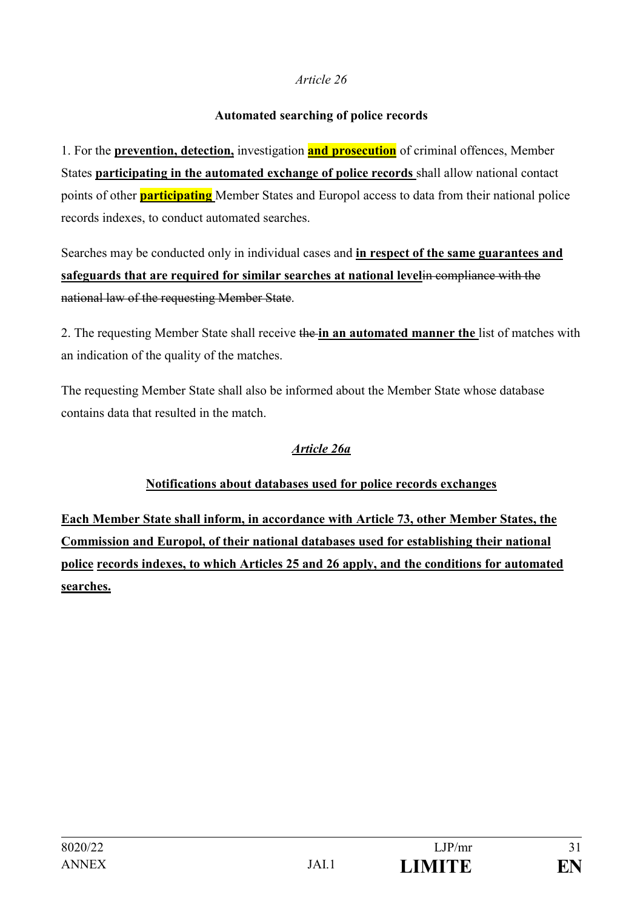### **Automated searching of police records**

1. For the **prevention, detection,** investigation **and prosecution** of criminal offences, Member States **participating in the automated exchange of police records** shall allow national contact points of other **participating** Member States and Europol access to data from their national police records indexes, to conduct automated searches.

Searches may be conducted only in individual cases and **in respect of the same guarantees and safeguards that are required for similar searches at national level**in compliance with the national law of the requesting Member State.

2. The requesting Member State shall receive the **in an automated manner the** list of matches with an indication of the quality of the matches.

The requesting Member State shall also be informed about the Member State whose database contains data that resulted in the match.

# *Article 26a*

# **Notifications about databases used for police records exchanges**

**Each Member State shall inform, in accordance with Article 73, other Member States, the Commission and Europol, of their national databases used for establishing their national police records indexes, to which Articles 25 and 26 apply, and the conditions for automated searches.**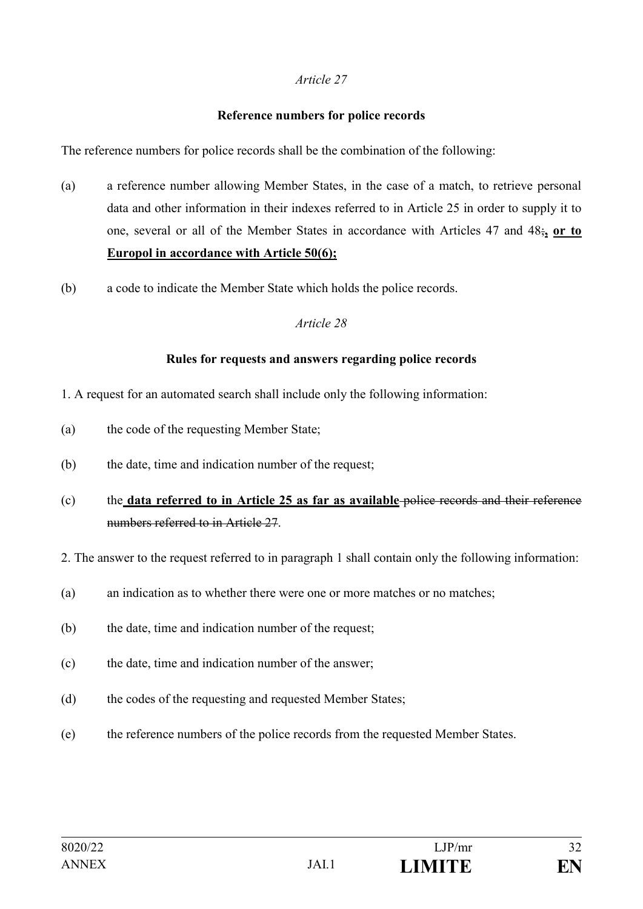#### **Reference numbers for police records**

The reference numbers for police records shall be the combination of the following:

- (a) a reference number allowing Member States, in the case of a match, to retrieve personal data and other information in their indexes referred to in Article 25 in order to supply it to one, several or all of the Member States in accordance with Articles 47 and 48;**, or to Europol in accordance with Article 50(6);**
- (b) a code to indicate the Member State which holds the police records.

#### *Article 28*

#### **Rules for requests and answers regarding police records**

- 1. A request for an automated search shall include only the following information:
- (a) the code of the requesting Member State;
- (b) the date, time and indication number of the request;
- (c) the **data referred to in Article 25 as far as available** police records and their reference numbers referred to in Article 27.
- 2. The answer to the request referred to in paragraph 1 shall contain only the following information:
- (a) an indication as to whether there were one or more matches or no matches;
- (b) the date, time and indication number of the request;
- (c) the date, time and indication number of the answer;
- (d) the codes of the requesting and requested Member States;
- (e) the reference numbers of the police records from the requested Member States.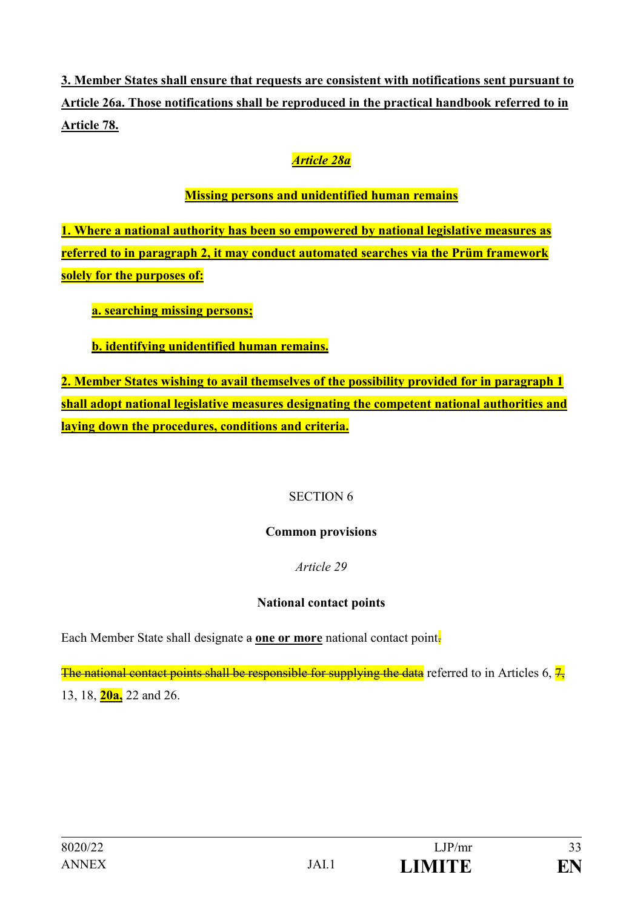**3. Member States shall ensure that requests are consistent with notifications sent pursuant to Article 26a. Those notifications shall be reproduced in the practical handbook referred to in Article 78.**

# *Article 28a*

# **Missing persons and unidentified human remains**

**1. Where a national authority has been so empowered by national legislative measures as referred to in paragraph 2, it may conduct automated searches via the Prüm framework solely for the purposes of:**

 **a. searching missing persons;**

**b. identifying unidentified human remains.**

**2. Member States wishing to avail themselves of the possibility provided for in paragraph 1 shall adopt national legislative measures designating the competent national authorities and laying down the procedures, conditions and criteria.**

### SECTION 6

### **Common provisions**

# *Article 29*

# **National contact points**

Each Member State shall designate a **one or more** national contact point.

The national contact points shall be responsible for supplying the data referred to in Articles 6,  $\frac{7}{2}$ 13, 18, **20a,** 22 and 26.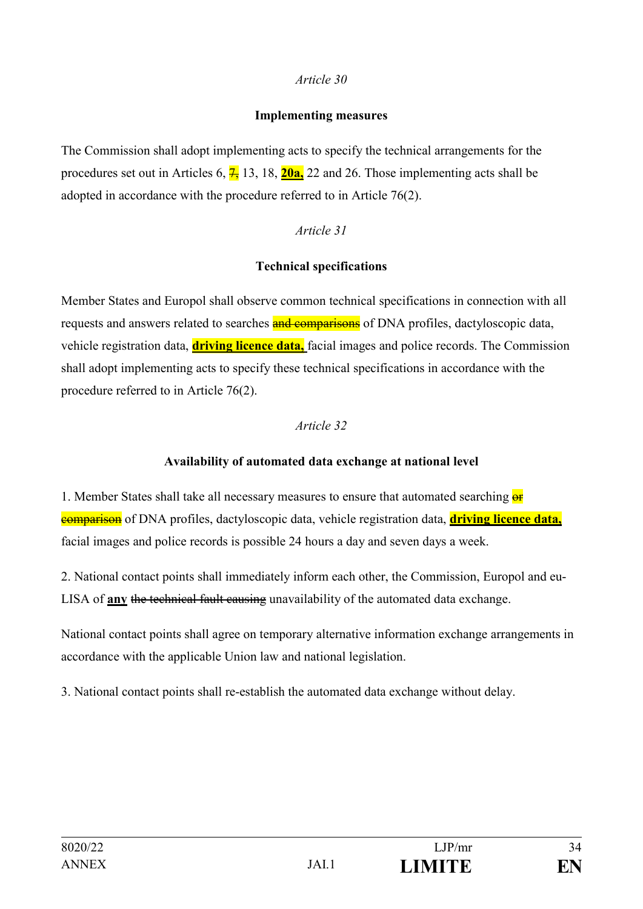#### **Implementing measures**

The Commission shall adopt implementing acts to specify the technical arrangements for the procedures set out in Articles  $6, \frac{7}{1}$ , 13, 18, 20a, 22 and 26. Those implementing acts shall be adopted in accordance with the procedure referred to in Article 76(2).

### *Article 31*

### **Technical specifications**

Member States and Europol shall observe common technical specifications in connection with all requests and answers related to searches **and comparisons** of DNA profiles, dactyloscopic data, vehicle registration data, **driving licence data,** facial images and police records. The Commission shall adopt implementing acts to specify these technical specifications in accordance with the procedure referred to in Article 76(2).

### *Article 32*

### **Availability of automated data exchange at national level**

1. Member States shall take all necessary measures to ensure that automated searching  $\frac{1}{x}$ comparison of DNA profiles, dactyloscopic data, vehicle registration data, **driving licence data,** facial images and police records is possible 24 hours a day and seven days a week.

2. National contact points shall immediately inform each other, the Commission, Europol and eu-LISA of **any** the technical fault causing unavailability of the automated data exchange.

National contact points shall agree on temporary alternative information exchange arrangements in accordance with the applicable Union law and national legislation.

3. National contact points shall re-establish the automated data exchange without delay.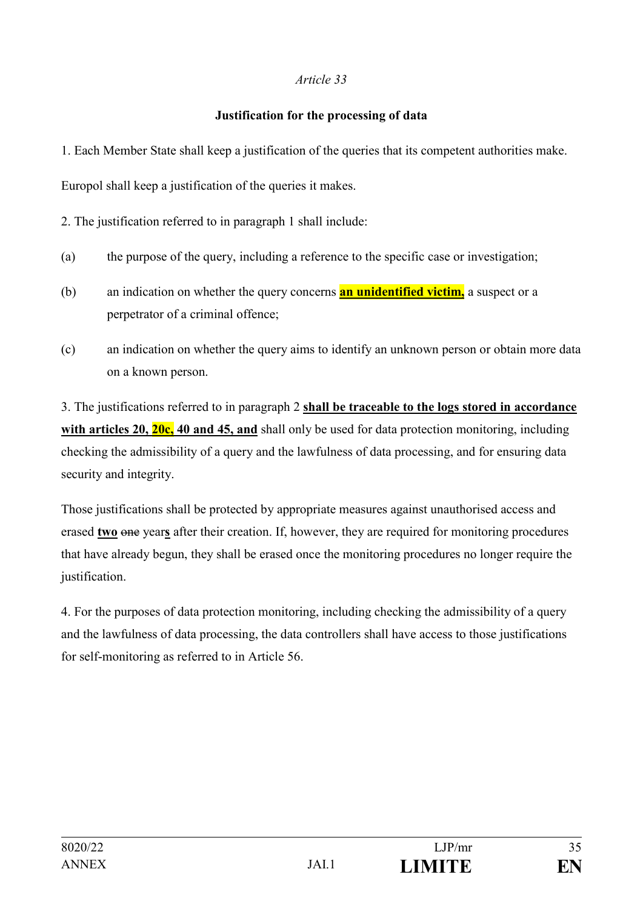### **Justification for the processing of data**

1. Each Member State shall keep a justification of the queries that its competent authorities make.

Europol shall keep a justification of the queries it makes.

2. The justification referred to in paragraph 1 shall include:

- (a) the purpose of the query, including a reference to the specific case or investigation;
- (b) an indication on whether the query concerns **an unidentified victim,** a suspect or a perpetrator of a criminal offence;
- (c) an indication on whether the query aims to identify an unknown person or obtain more data on a known person.

3. The justifications referred to in paragraph 2 **shall be traceable to the logs stored in accordance**  with articles 20, 20c, 40 and 45, and shall only be used for data protection monitoring, including checking the admissibility of a query and the lawfulness of data processing, and for ensuring data security and integrity.

Those justifications shall be protected by appropriate measures against unauthorised access and erased **two** one year**s** after their creation. If, however, they are required for monitoring procedures that have already begun, they shall be erased once the monitoring procedures no longer require the justification.

4. For the purposes of data protection monitoring, including checking the admissibility of a query and the lawfulness of data processing, the data controllers shall have access to those justifications for self-monitoring as referred to in Article 56.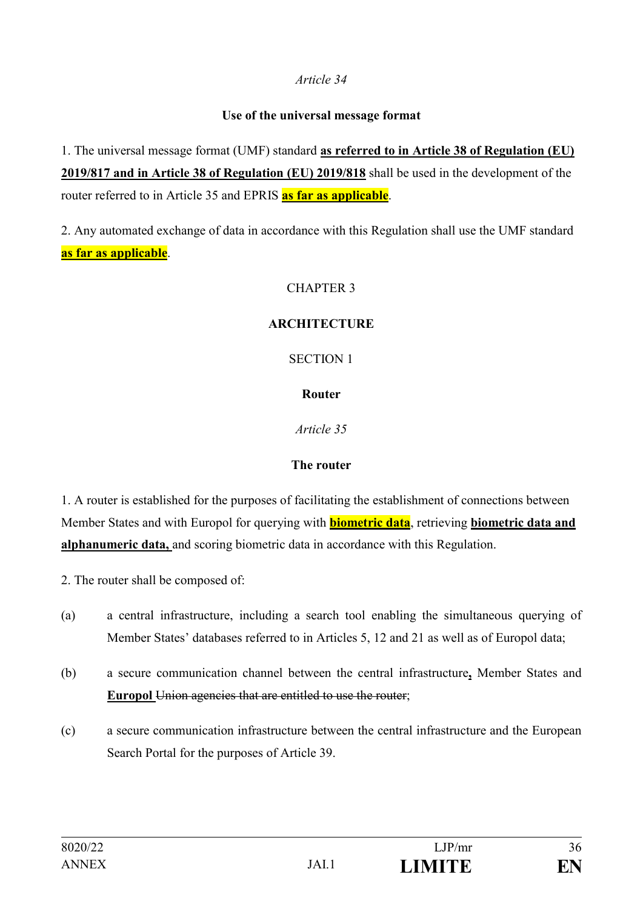### **Use of the universal message format**

1. The universal message format (UMF) standard **as referred to in Article 38 of Regulation (EU) 2019/817 and in Article 38 of Regulation (EU) 2019/818** shall be used in the development of the router referred to in Article 35 and EPRIS **as far as applicable**.

2. Any automated exchange of data in accordance with this Regulation shall use the UMF standard **as far as applicable**.

# CHAPTER 3

# **ARCHITECTURE**

# SECTION 1

# **Router**

*Article 35*

# **The router**

1. A router is established for the purposes of facilitating the establishment of connections between Member States and with Europol for querying with **biometric data**, retrieving **biometric data and alphanumeric data,** and scoring biometric data in accordance with this Regulation.

- 2. The router shall be composed of:
- (a) a central infrastructure, including a search tool enabling the simultaneous querying of Member States' databases referred to in Articles 5, 12 and 21 as well as of Europol data;
- (b) a secure communication channel between the central infrastructure**,** Member States and **Europol** Union agencies that are entitled to use the router;
- (c) a secure communication infrastructure between the central infrastructure and the European Search Portal for the purposes of Article 39.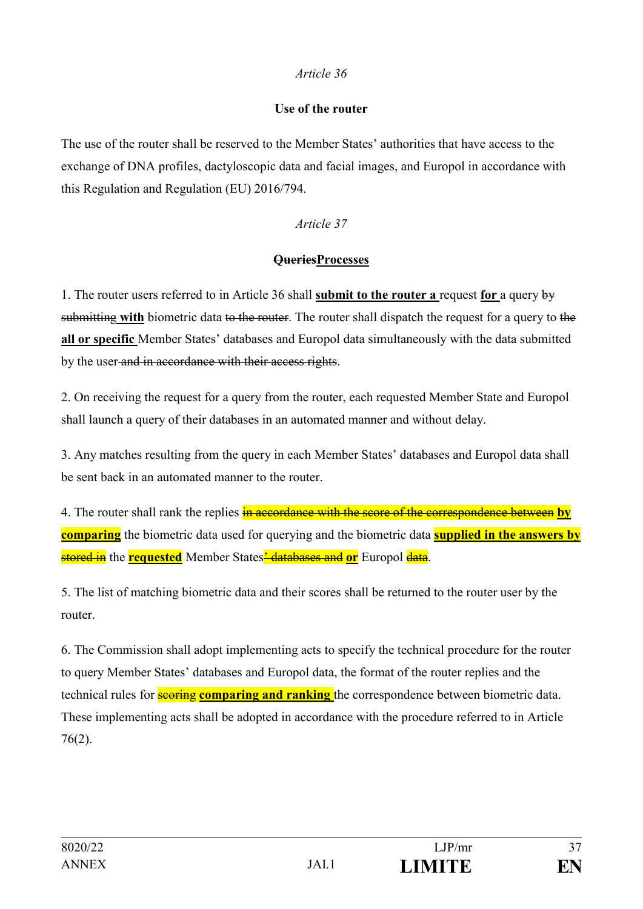#### **Use of the router**

The use of the router shall be reserved to the Member States' authorities that have access to the exchange of DNA profiles, dactyloscopic data and facial images, and Europol in accordance with this Regulation and Regulation (EU) 2016/794.

#### *Article 37*

#### **QueriesProcesses**

1. The router users referred to in Article 36 shall **submit to the router a** request **for** a query by submitting **with** biometric data to the router. The router shall dispatch the request for a query to the **all or specific** Member States' databases and Europol data simultaneously with the data submitted by the user and in accordance with their access rights.

2. On receiving the request for a query from the router, each requested Member State and Europol shall launch a query of their databases in an automated manner and without delay.

3. Any matches resulting from the query in each Member States' databases and Europol data shall be sent back in an automated manner to the router.

4. The router shall rank the replies in accordance with the score of the correspondence between **by comparing** the biometric data used for querying and the biometric data **supplied in the answers by** stored in the **requested** Member States' databases and **or** Europol data.

5. The list of matching biometric data and their scores shall be returned to the router user by the router.

6. The Commission shall adopt implementing acts to specify the technical procedure for the router to query Member States' databases and Europol data, the format of the router replies and the technical rules for **scoring comparing and ranking** the correspondence between biometric data. These implementing acts shall be adopted in accordance with the procedure referred to in Article 76(2).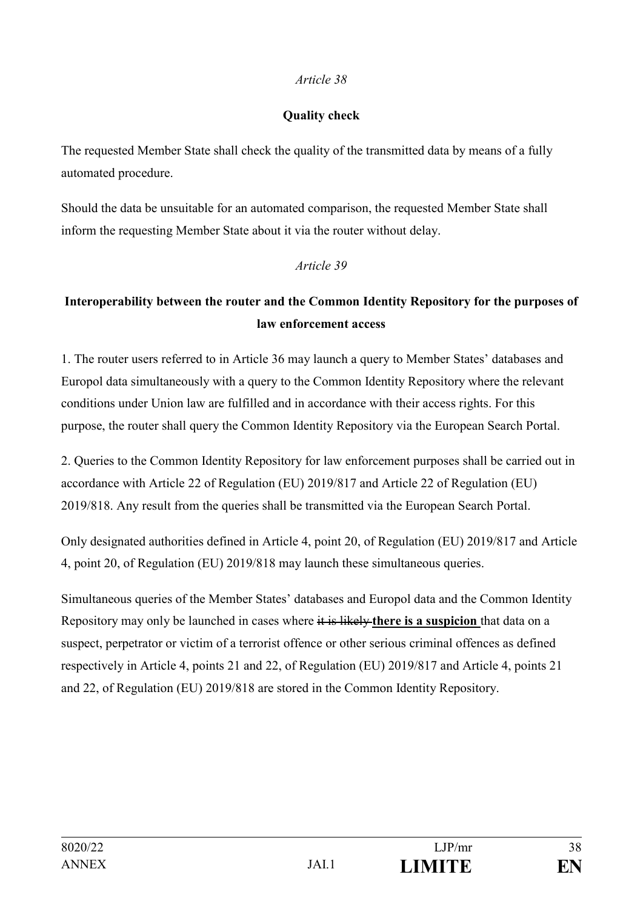#### **Quality check**

The requested Member State shall check the quality of the transmitted data by means of a fully automated procedure.

Should the data be unsuitable for an automated comparison, the requested Member State shall inform the requesting Member State about it via the router without delay.

### *Article 39*

# **Interoperability between the router and the Common Identity Repository for the purposes of law enforcement access**

1. The router users referred to in Article 36 may launch a query to Member States' databases and Europol data simultaneously with a query to the Common Identity Repository where the relevant conditions under Union law are fulfilled and in accordance with their access rights. For this purpose, the router shall query the Common Identity Repository via the European Search Portal.

2. Queries to the Common Identity Repository for law enforcement purposes shall be carried out in accordance with Article 22 of Regulation (EU) 2019/817 and Article 22 of Regulation (EU) 2019/818. Any result from the queries shall be transmitted via the European Search Portal.

Only designated authorities defined in Article 4, point 20, of Regulation (EU) 2019/817 and Article 4, point 20, of Regulation (EU) 2019/818 may launch these simultaneous queries.

Simultaneous queries of the Member States' databases and Europol data and the Common Identity Repository may only be launched in cases where it is likely **there is a suspicion** that data on a suspect, perpetrator or victim of a terrorist offence or other serious criminal offences as defined respectively in Article 4, points 21 and 22, of Regulation (EU) 2019/817 and Article 4, points 21 and 22, of Regulation (EU) 2019/818 are stored in the Common Identity Repository.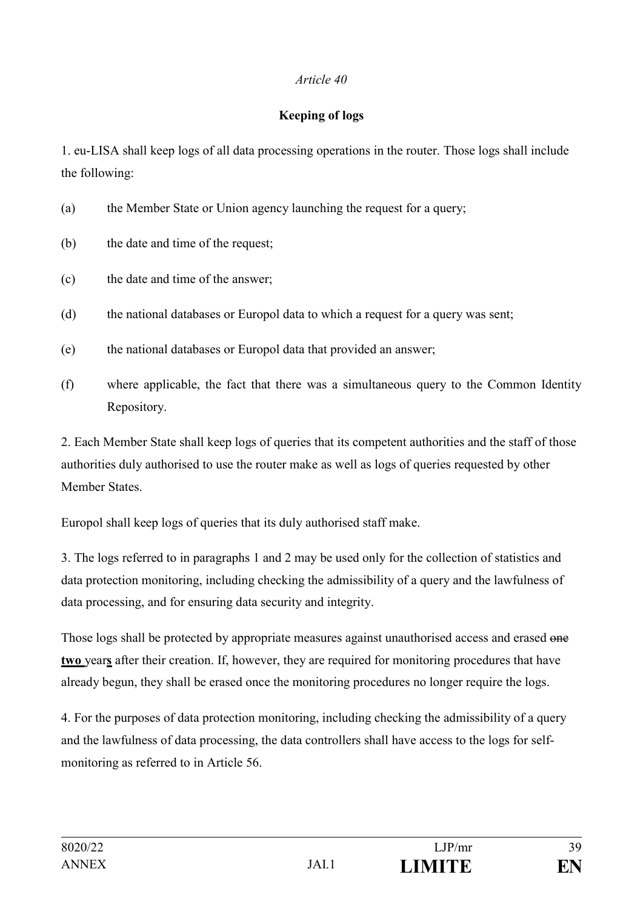### **Keeping of logs**

1. eu-LISA shall keep logs of all data processing operations in the router. Those logs shall include the following:

- (a) the Member State or Union agency launching the request for a query;
- (b) the date and time of the request;
- (c) the date and time of the answer;
- (d) the national databases or Europol data to which a request for a query was sent;
- (e) the national databases or Europol data that provided an answer;
- (f) where applicable, the fact that there was a simultaneous query to the Common Identity Repository.

2. Each Member State shall keep logs of queries that its competent authorities and the staff of those authorities duly authorised to use the router make as well as logs of queries requested by other Member States.

Europol shall keep logs of queries that its duly authorised staff make.

3. The logs referred to in paragraphs 1 and 2 may be used only for the collection of statistics and data protection monitoring, including checking the admissibility of a query and the lawfulness of data processing, and for ensuring data security and integrity.

Those logs shall be protected by appropriate measures against unauthorised access and erased one **two** year**s** after their creation. If, however, they are required for monitoring procedures that have already begun, they shall be erased once the monitoring procedures no longer require the logs.

4. For the purposes of data protection monitoring, including checking the admissibility of a query and the lawfulness of data processing, the data controllers shall have access to the logs for selfmonitoring as referred to in Article 56.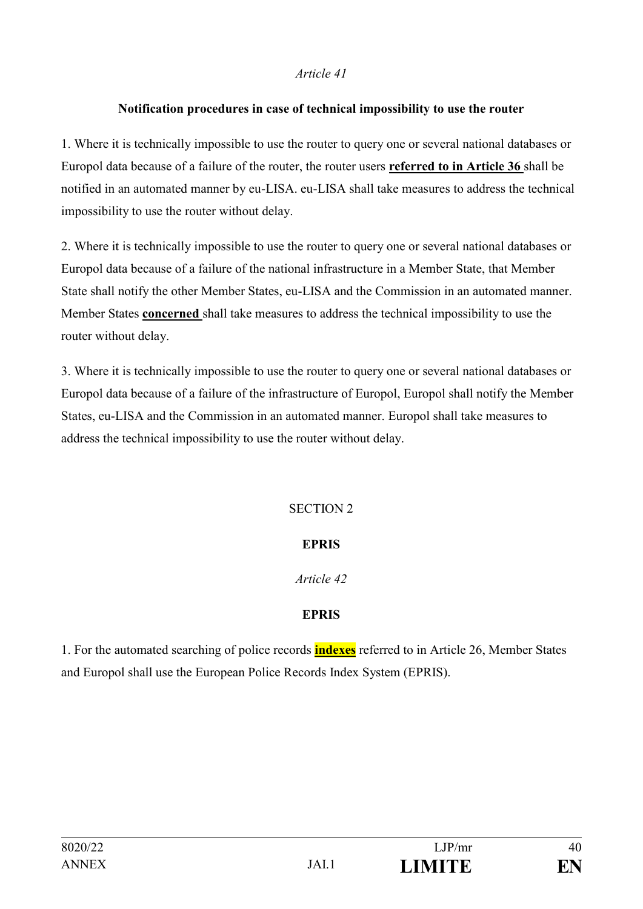### **Notification procedures in case of technical impossibility to use the router**

1. Where it is technically impossible to use the router to query one or several national databases or Europol data because of a failure of the router, the router users **referred to in Article 36** shall be notified in an automated manner by eu-LISA. eu-LISA shall take measures to address the technical impossibility to use the router without delay.

2. Where it is technically impossible to use the router to query one or several national databases or Europol data because of a failure of the national infrastructure in a Member State, that Member State shall notify the other Member States, eu-LISA and the Commission in an automated manner. Member States **concerned** shall take measures to address the technical impossibility to use the router without delay.

3. Where it is technically impossible to use the router to query one or several national databases or Europol data because of a failure of the infrastructure of Europol, Europol shall notify the Member States, eu-LISA and the Commission in an automated manner. Europol shall take measures to address the technical impossibility to use the router without delay.

## SECTION 2

### **EPRIS**

### *Article 42*

### **EPRIS**

1. For the automated searching of police records **indexes** referred to in Article 26, Member States and Europol shall use the European Police Records Index System (EPRIS).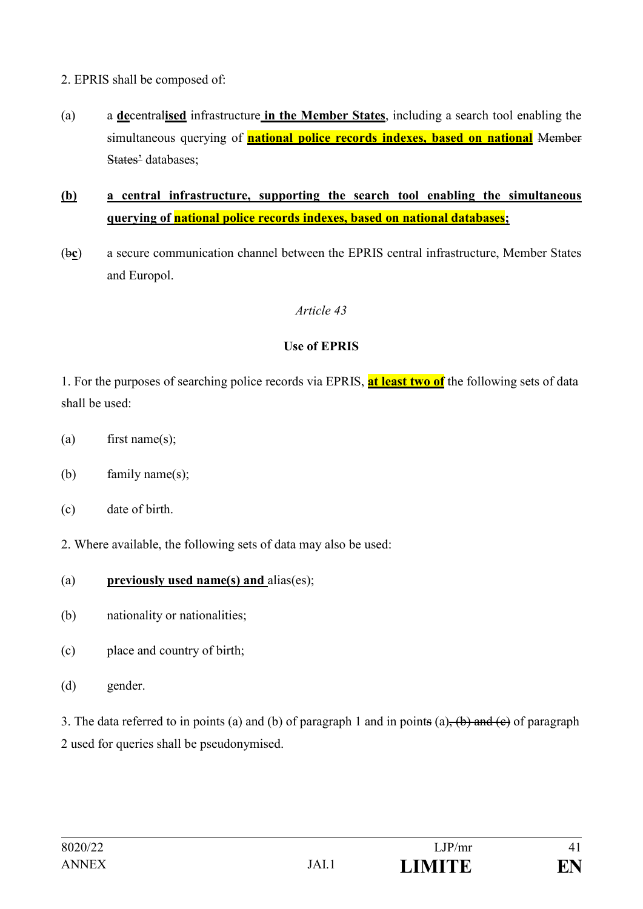- 2. EPRIS shall be composed of:
- (a) a **de**central**ised** infrastructure **in the Member States**, including a search tool enabling the simultaneous querying of **national police records indexes, based on national** Member States' databases;
- **(b) a central infrastructure, supporting the search tool enabling the simultaneous querying of national police records indexes, based on national databases;**
- (b**c**) a secure communication channel between the EPRIS central infrastructure, Member States and Europol.

### **Use of EPRIS**

1. For the purposes of searching police records via EPRIS, **at least two of** the following sets of data shall be used:

- (a) first name(s);
- (b) family name(s);
- (c) date of birth.
- 2. Where available, the following sets of data may also be used:
- (a) **previously used name(s) and** alias(es);
- (b) nationality or nationalities;
- (c) place and country of birth;
- (d) gender.

3. The data referred to in points (a) and (b) of paragraph 1 and in points (a),  $(b)$  and  $(c)$  of paragraph 2 used for queries shall be pseudonymised.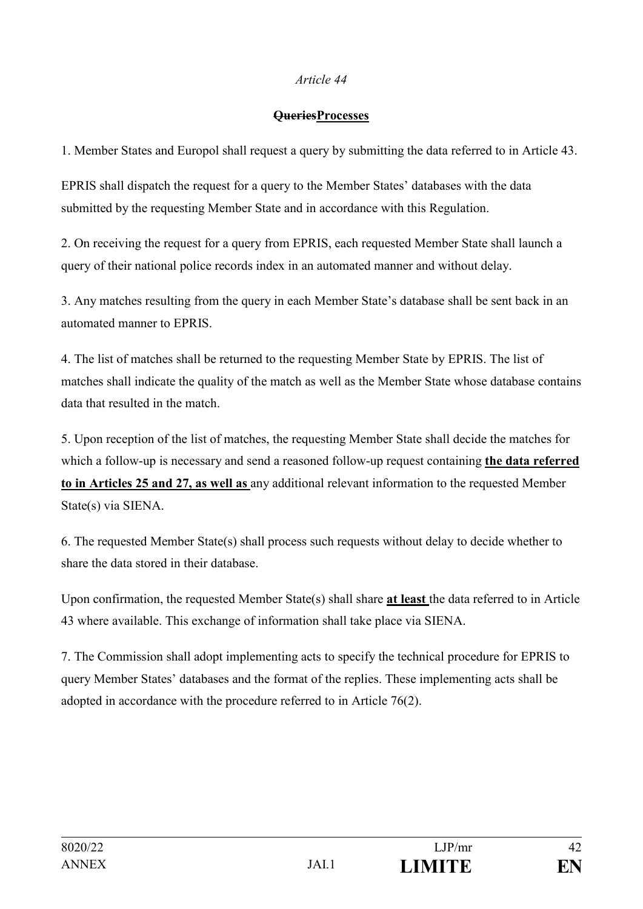#### **QueriesProcesses**

1. Member States and Europol shall request a query by submitting the data referred to in Article 43.

EPRIS shall dispatch the request for a query to the Member States' databases with the data submitted by the requesting Member State and in accordance with this Regulation.

2. On receiving the request for a query from EPRIS, each requested Member State shall launch a query of their national police records index in an automated manner and without delay.

3. Any matches resulting from the query in each Member State's database shall be sent back in an automated manner to EPRIS.

4. The list of matches shall be returned to the requesting Member State by EPRIS. The list of matches shall indicate the quality of the match as well as the Member State whose database contains data that resulted in the match.

5. Upon reception of the list of matches, the requesting Member State shall decide the matches for which a follow-up is necessary and send a reasoned follow-up request containing **the data referred to in Articles 25 and 27, as well as** any additional relevant information to the requested Member State(s) via SIENA.

6. The requested Member State(s) shall process such requests without delay to decide whether to share the data stored in their database.

Upon confirmation, the requested Member State(s) shall share **at least** the data referred to in Article 43 where available. This exchange of information shall take place via SIENA.

7. The Commission shall adopt implementing acts to specify the technical procedure for EPRIS to query Member States' databases and the format of the replies. These implementing acts shall be adopted in accordance with the procedure referred to in Article 76(2).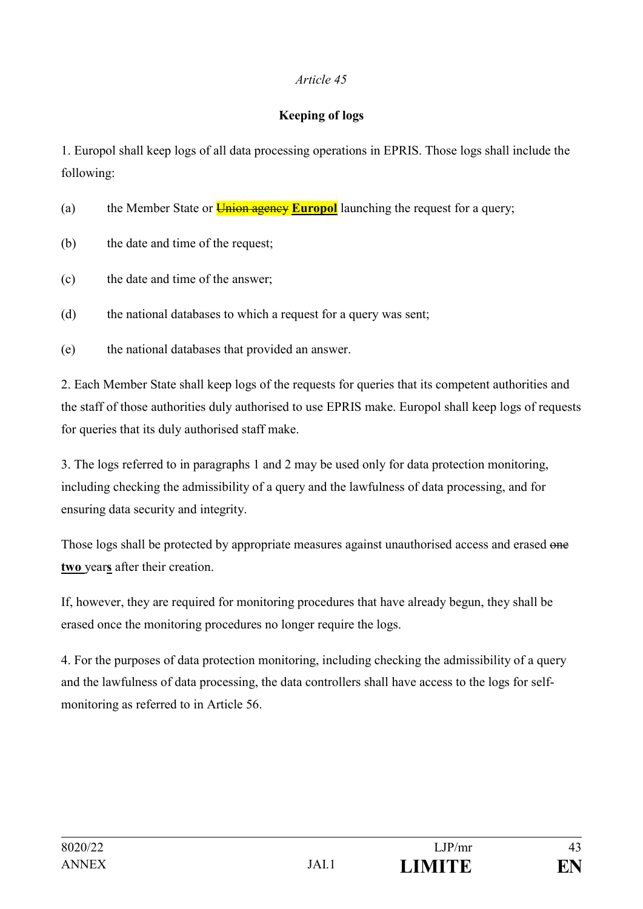### **Keeping of logs**

1. Europol shall keep logs of all data processing operations in EPRIS. Those logs shall include the following:

(a) the Member State or **Union agency Europol** launching the request for a query;

- (b) the date and time of the request;
- (c) the date and time of the answer;

(d) the national databases to which a request for a query was sent;

(e) the national databases that provided an answer.

2. Each Member State shall keep logs of the requests for queries that its competent authorities and the staff of those authorities duly authorised to use EPRIS make. Europol shall keep logs of requests for queries that its duly authorised staff make.

3. The logs referred to in paragraphs 1 and 2 may be used only for data protection monitoring, including checking the admissibility of a query and the lawfulness of data processing, and for ensuring data security and integrity.

Those logs shall be protected by appropriate measures against unauthorised access and erased one **two** year**s** after their creation.

If, however, they are required for monitoring procedures that have already begun, they shall be erased once the monitoring procedures no longer require the logs.

4. For the purposes of data protection monitoring, including checking the admissibility of a query and the lawfulness of data processing, the data controllers shall have access to the logs for selfmonitoring as referred to in Article 56.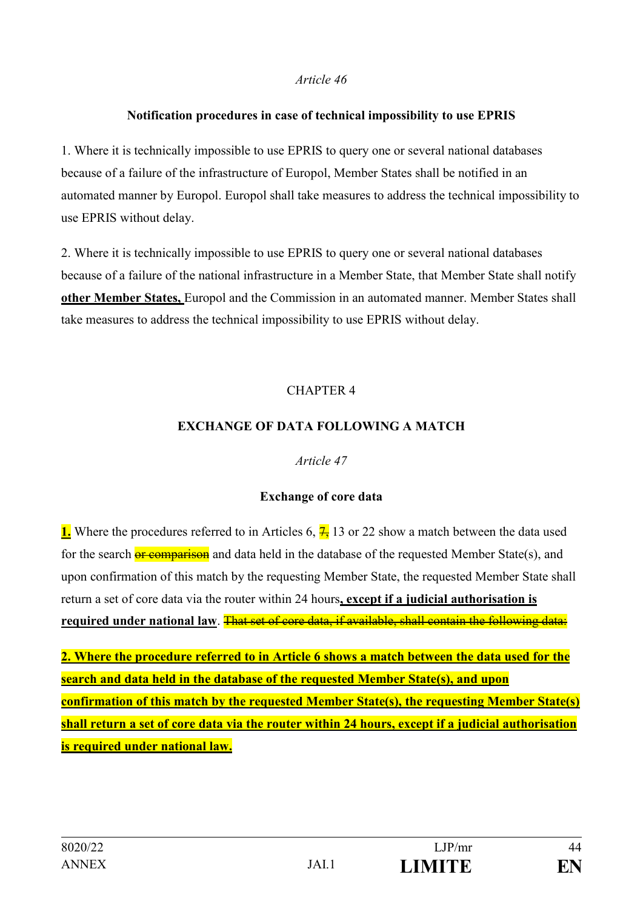#### **Notification procedures in case of technical impossibility to use EPRIS**

1. Where it is technically impossible to use EPRIS to query one or several national databases because of a failure of the infrastructure of Europol, Member States shall be notified in an automated manner by Europol. Europol shall take measures to address the technical impossibility to use EPRIS without delay.

2. Where it is technically impossible to use EPRIS to query one or several national databases because of a failure of the national infrastructure in a Member State, that Member State shall notify **other Member States,** Europol and the Commission in an automated manner. Member States shall take measures to address the technical impossibility to use EPRIS without delay.

### CHAPTER 4

### **EXCHANGE OF DATA FOLLOWING A MATCH**

#### *Article 47*

### **Exchange of core data**

**1.** Where the procedures referred to in Articles 6,  $\frac{7}{2}$  13 or 22 show a match between the data used for the search  $\frac{1}{\alpha r}$  comparison and data held in the database of the requested Member State(s), and upon confirmation of this match by the requesting Member State, the requested Member State shall return a set of core data via the router within 24 hours**, except if a judicial authorisation is required under national law**. That set of core data, if available, shall contain the following data:

**2. Where the procedure referred to in Article 6 shows a match between the data used for the search and data held in the database of the requested Member State(s), and upon confirmation of this match by the requested Member State(s), the requesting Member State(s) shall return a set of core data via the router within 24 hours, except if a judicial authorisation is required under national law.**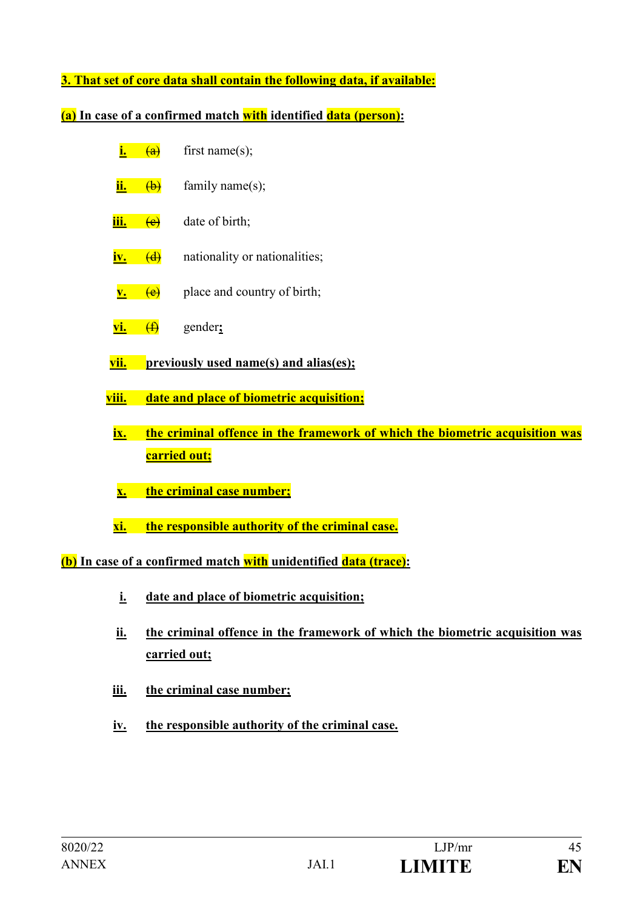**3. That set of core data shall contain the following data, if available:** 

**(a) In case of a confirmed match with identified data (person):**

- $\frac{1}{2}$  (a) first name(s):
- $\frac{\mathbf{ii.}}{\mathbf{iii.}}$  (b) family name(s);
- **iii.** <del>(e)</del> date of birth;
- **iv.** (d) nationality or nationalities;
- $v.$  (e) place and country of birth;
- **vi.** (f) gender**;**
- **vii. previously used name(s) and alias(es);**
- **viii. date and place of biometric acquisition;**
- **ix. the criminal offence in the framework of which the biometric acquisition was carried out;**
- **x. the criminal case number;**
- **xi. the responsible authority of the criminal case.**

**(b) In case of a confirmed match with unidentified data (trace):**

- **i. date and place of biometric acquisition;**
- **ii. the criminal offence in the framework of which the biometric acquisition was carried out;**
- **iii. the criminal case number;**
- **iv. the responsible authority of the criminal case.**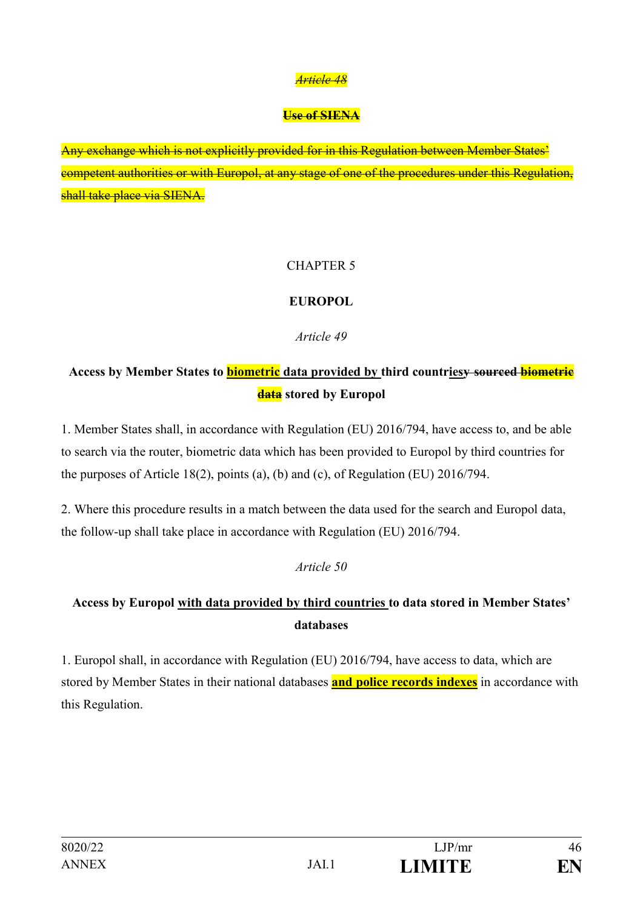#### **Use of SIENA**

Any exchange which is not explicitly provided for in this Regulation between Member States' competent authorities or with Europol, at any stage of one of the procedures under this Regulation, shall take place via SIENA.

### CHAPTER 5

### **EUROPOL**

### *Article 49*

# **Access by Member States to biometric data provided by third countriesy sourced biometric data stored by Europol**

1. Member States shall, in accordance with Regulation (EU) 2016/794, have access to, and be able to search via the router, biometric data which has been provided to Europol by third countries for the purposes of Article 18(2), points (a), (b) and (c), of Regulation (EU) 2016/794.

2. Where this procedure results in a match between the data used for the search and Europol data, the follow-up shall take place in accordance with Regulation (EU) 2016/794.

#### *Article 50*

# **Access by Europol with data provided by third countries to data stored in Member States' databases**

1. Europol shall, in accordance with Regulation (EU) 2016/794, have access to data, which are stored by Member States in their national databases **and police records indexes** in accordance with this Regulation.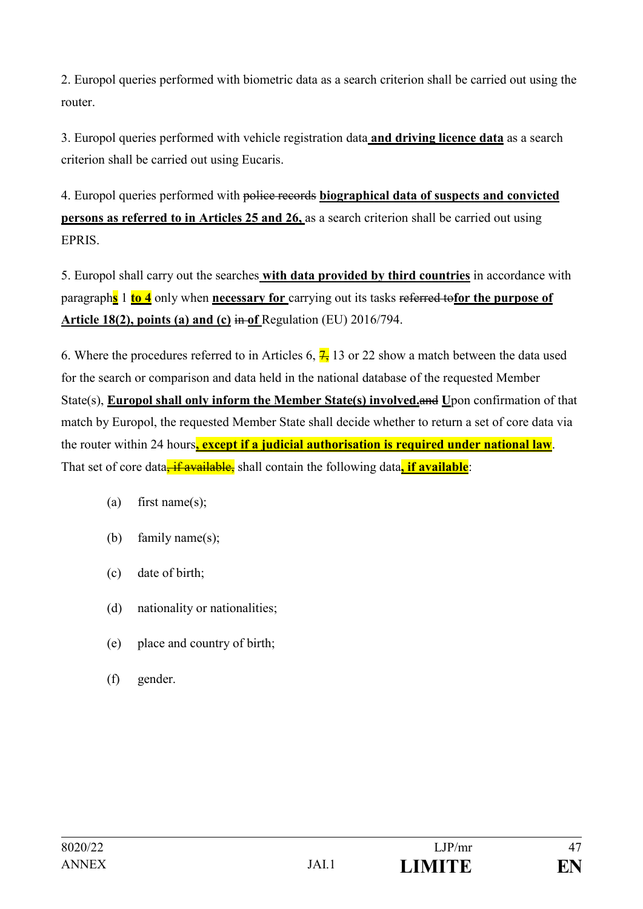2. Europol queries performed with biometric data as a search criterion shall be carried out using the router.

3. Europol queries performed with vehicle registration data **and driving licence data** as a search criterion shall be carried out using Eucaris.

4. Europol queries performed with police records **biographical data of suspects and convicted persons as referred to in Articles 25 and 26, as a search criterion shall be carried out using** EPRIS.

5. Europol shall carry out the searches **with data provided by third countries** in accordance with paragraph**s** 1 **to 4** only when **necessary for** carrying out its tasks referred to**for the purpose of Article 18(2), points (a) and (c)** in **of** Regulation (EU) 2016/794.

6. Where the procedures referred to in Articles 6,  $\frac{7}{1}$  13 or 22 show a match between the data used for the search or comparison and data held in the national database of the requested Member State(s), **Europol shall only inform the Member State(s) involved.**and **U**pon confirmation of that match by Europol, the requested Member State shall decide whether to return a set of core data via the router within 24 hours**, except if a judicial authorisation is required under national law**. That set of core data<sup>-if</sup> available, shall contain the following data, if available:

- (a) first name(s);
- (b) family name(s);
- (c) date of birth;
- (d) nationality or nationalities;
- (e) place and country of birth;
- (f) gender.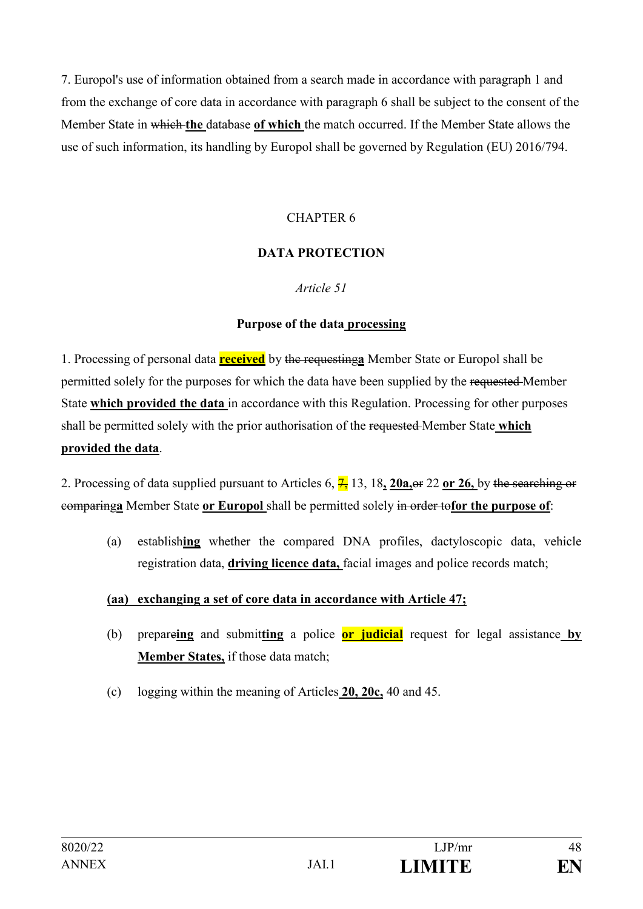7. Europol's use of information obtained from a search made in accordance with paragraph 1 and from the exchange of core data in accordance with paragraph 6 shall be subject to the consent of the Member State in which **the** database **of which** the match occurred. If the Member State allows the use of such information, its handling by Europol shall be governed by Regulation (EU) 2016/794.

### CHAPTER 6

### **DATA PROTECTION**

#### *Article 51*

#### **Purpose of the data processing**

1. Processing of personal data **received** by the requesting**a** Member State or Europol shall be permitted solely for the purposes for which the data have been supplied by the requested Member State **which provided the data** in accordance with this Regulation. Processing for other purposes shall be permitted solely with the prior authorisation of the requested Member State **which provided the data**.

2. Processing of data supplied pursuant to Articles 6, 7, 13, 18**, 20a,**or 22 **or 26,** by the searching or comparing**a** Member State **or Europol** shall be permitted solely in order to**for the purpose of**:

(a) establish**ing** whether the compared DNA profiles, dactyloscopic data, vehicle registration data, **driving licence data,** facial images and police records match;

#### **(aa) exchanging a set of core data in accordance with Article 47;**

- (b) prepare**ing** and submit**ting** a police **or judicial** request for legal assistance **by Member States,** if those data match;
- (c) logging within the meaning of Articles **20, 20c,** 40 and 45.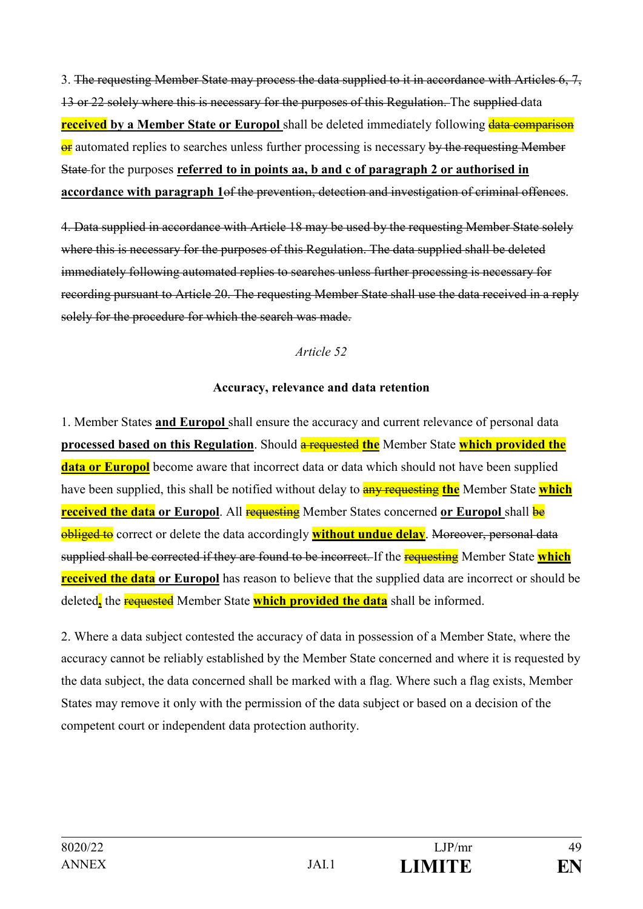3. The requesting Member State may process the data supplied to it in accordance with Articles 6, 7, 13 or 22 solely where this is necessary for the purposes of this Regulation. The supplied data **received** by a Member State or Europol shall be deleted immediately following **data comparison** or automated replies to searches unless further processing is necessary by the requesting Member State for the purposes **referred to in points aa, b and c of paragraph 2 or authorised in accordance with paragraph 1**of the prevention, detection and investigation of criminal offences.

4. Data supplied in accordance with Article 18 may be used by the requesting Member State solely where this is necessary for the purposes of this Regulation. The data supplied shall be deleted immediately following automated replies to searches unless further processing is necessary for recording pursuant to Article 20. The requesting Member State shall use the data received in a reply solely for the procedure for which the search was made.

#### *Article 52*

#### **Accuracy, relevance and data retention**

1. Member States **and Europol** shall ensure the accuracy and current relevance of personal data **processed based on this Regulation**. Should **a requested the** Member State **which provided the data or Europol** become aware that incorrect data or data which should not have been supplied have been supplied, this shall be notified without delay to **any requesting the** Member State which **received the data or Europol.** All **requesting** Member States concerned **or Europol** shall be **obliged to** correct or delete the data accordingly **without undue delay**. Moreover, personal data supplied shall be corrected if they are found to be incorrect. If the requesting Member State **which received the data or Europol** has reason to believe that the supplied data are incorrect or should be deleted**,** the requested Member State **which provided the data** shall be informed.

2. Where a data subject contested the accuracy of data in possession of a Member State, where the accuracy cannot be reliably established by the Member State concerned and where it is requested by the data subject, the data concerned shall be marked with a flag. Where such a flag exists, Member States may remove it only with the permission of the data subject or based on a decision of the competent court or independent data protection authority.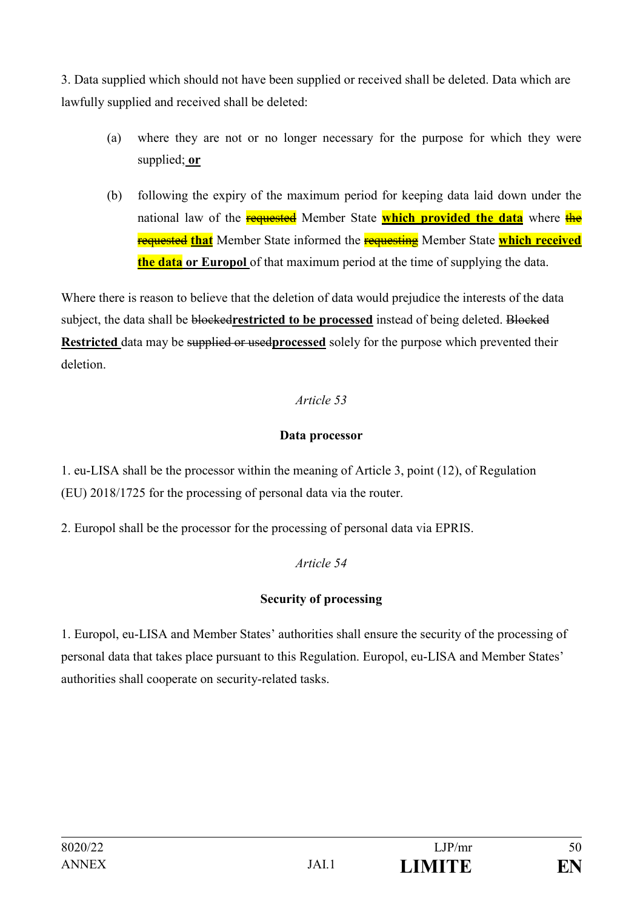3. Data supplied which should not have been supplied or received shall be deleted. Data which are lawfully supplied and received shall be deleted:

- (a) where they are not or no longer necessary for the purpose for which they were supplied; **or**
- (b) following the expiry of the maximum period for keeping data laid down under the national law of the **requested** Member State **which provided the data** where the requested **that** Member State informed the requesting Member State **which received the data or Europol** of that maximum period at the time of supplying the data.

Where there is reason to believe that the deletion of data would prejudice the interests of the data subject, the data shall be blocked**restricted to be processed** instead of being deleted. Blocked **Restricted** data may be supplied or used**processed** solely for the purpose which prevented their deletion.

### *Article 53*

### **Data processor**

1. eu-LISA shall be the processor within the meaning of Article 3, point (12), of Regulation (EU) 2018/1725 for the processing of personal data via the router.

2. Europol shall be the processor for the processing of personal data via EPRIS.

## *Article 54*

# **Security of processing**

1. Europol, eu-LISA and Member States' authorities shall ensure the security of the processing of personal data that takes place pursuant to this Regulation. Europol, eu-LISA and Member States' authorities shall cooperate on security-related tasks.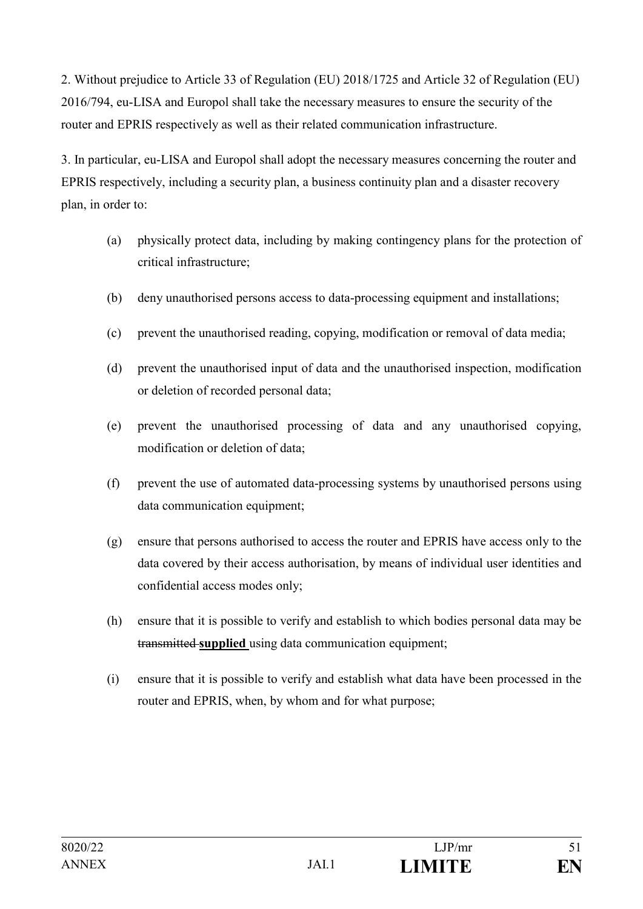2. Without prejudice to Article 33 of Regulation (EU) 2018/1725 and Article 32 of Regulation (EU) 2016/794, eu-LISA and Europol shall take the necessary measures to ensure the security of the router and EPRIS respectively as well as their related communication infrastructure.

3. In particular, eu-LISA and Europol shall adopt the necessary measures concerning the router and EPRIS respectively, including a security plan, a business continuity plan and a disaster recovery plan, in order to:

- (a) physically protect data, including by making contingency plans for the protection of critical infrastructure;
- (b) deny unauthorised persons access to data-processing equipment and installations;
- (c) prevent the unauthorised reading, copying, modification or removal of data media;
- (d) prevent the unauthorised input of data and the unauthorised inspection, modification or deletion of recorded personal data;
- (e) prevent the unauthorised processing of data and any unauthorised copying, modification or deletion of data;
- (f) prevent the use of automated data-processing systems by unauthorised persons using data communication equipment;
- (g) ensure that persons authorised to access the router and EPRIS have access only to the data covered by their access authorisation, by means of individual user identities and confidential access modes only;
- (h) ensure that it is possible to verify and establish to which bodies personal data may be transmitted **supplied** using data communication equipment;
- (i) ensure that it is possible to verify and establish what data have been processed in the router and EPRIS, when, by whom and for what purpose;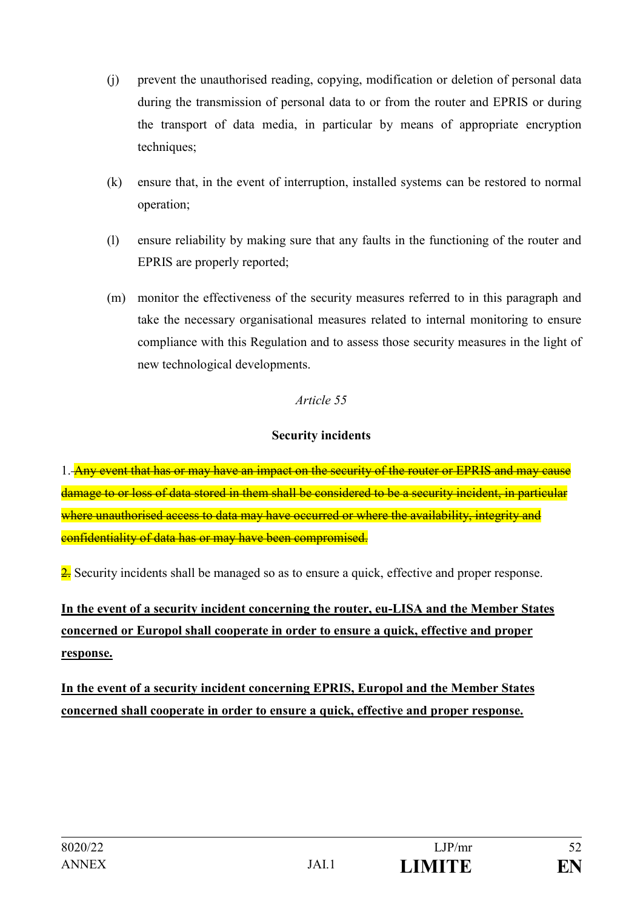- (j) prevent the unauthorised reading, copying, modification or deletion of personal data during the transmission of personal data to or from the router and EPRIS or during the transport of data media, in particular by means of appropriate encryption techniques;
- (k) ensure that, in the event of interruption, installed systems can be restored to normal operation;
- (l) ensure reliability by making sure that any faults in the functioning of the router and EPRIS are properly reported;
- (m) monitor the effectiveness of the security measures referred to in this paragraph and take the necessary organisational measures related to internal monitoring to ensure compliance with this Regulation and to assess those security measures in the light of new technological developments.

### **Security incidents**

1. Any event that has or may have an impact on the security of the router or EPRIS and may cause damage to or loss of data stored in them shall be considered to be a security incident, in particular where unauthorised access to data may have occurred or where the availability, integrity and confidentiality of data has or may have been compromised.

 $\frac{2}{2}$ . Security incidents shall be managed so as to ensure a quick, effective and proper response.

# **In the event of a security incident concerning the router, eu-LISA and the Member States concerned or Europol shall cooperate in order to ensure a quick, effective and proper response.**

**In the event of a security incident concerning EPRIS, Europol and the Member States concerned shall cooperate in order to ensure a quick, effective and proper response.**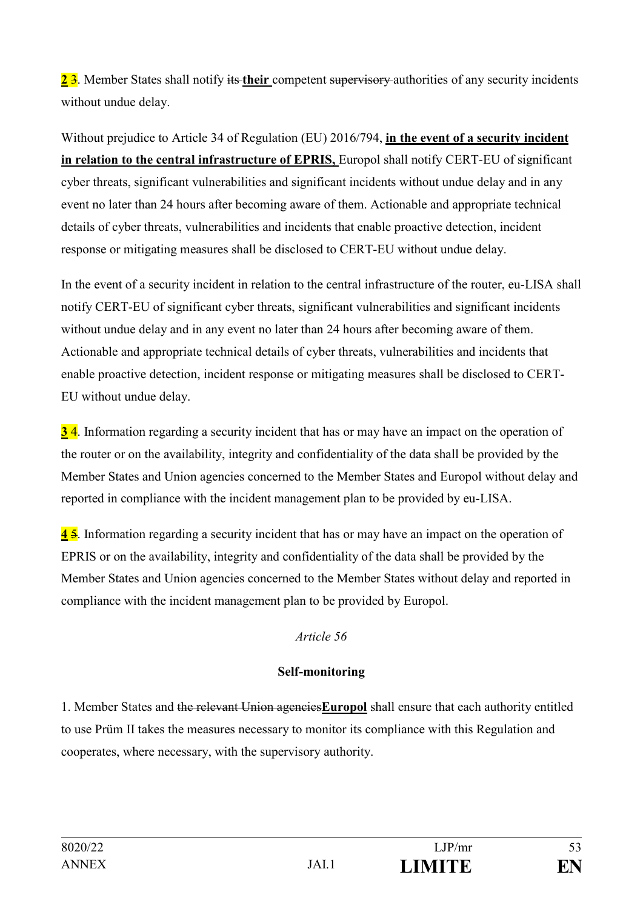2<sup>3</sup>. Member States shall notify its their competent supervisory authorities of any security incidents without undue delay.

Without prejudice to Article 34 of Regulation (EU) 2016/794, **in the event of a security incident in relation to the central infrastructure of EPRIS,** Europol shall notify CERT-EU of significant cyber threats, significant vulnerabilities and significant incidents without undue delay and in any event no later than 24 hours after becoming aware of them. Actionable and appropriate technical details of cyber threats, vulnerabilities and incidents that enable proactive detection, incident response or mitigating measures shall be disclosed to CERT-EU without undue delay.

In the event of a security incident in relation to the central infrastructure of the router, eu-LISA shall notify CERT-EU of significant cyber threats, significant vulnerabilities and significant incidents without undue delay and in any event no later than 24 hours after becoming aware of them. Actionable and appropriate technical details of cyber threats, vulnerabilities and incidents that enable proactive detection, incident response or mitigating measures shall be disclosed to CERT-EU without undue delay.

**3** 4. Information regarding a security incident that has or may have an impact on the operation of the router or on the availability, integrity and confidentiality of the data shall be provided by the Member States and Union agencies concerned to the Member States and Europol without delay and reported in compliance with the incident management plan to be provided by eu-LISA.

**4** 5. Information regarding a security incident that has or may have an impact on the operation of EPRIS or on the availability, integrity and confidentiality of the data shall be provided by the Member States and Union agencies concerned to the Member States without delay and reported in compliance with the incident management plan to be provided by Europol.

### *Article 56*

### **Self-monitoring**

1. Member States and the relevant Union agencies**Europol** shall ensure that each authority entitled to use Prüm II takes the measures necessary to monitor its compliance with this Regulation and cooperates, where necessary, with the supervisory authority.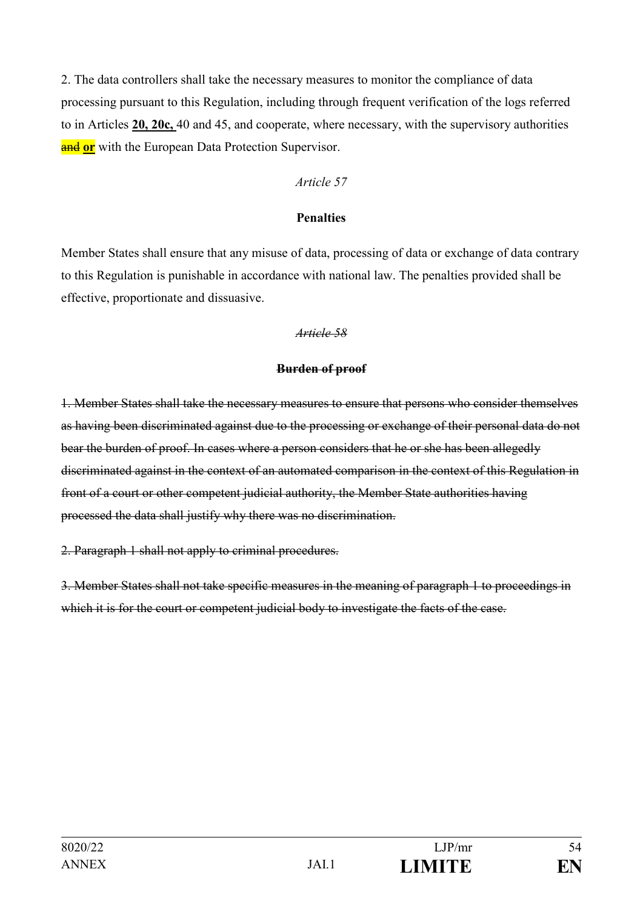2. The data controllers shall take the necessary measures to monitor the compliance of data processing pursuant to this Regulation, including through frequent verification of the logs referred to in Articles **20, 20c,** 40 and 45, and cooperate, where necessary, with the supervisory authorities **and or** with the European Data Protection Supervisor.

#### *Article 57*

#### **Penalties**

Member States shall ensure that any misuse of data, processing of data or exchange of data contrary to this Regulation is punishable in accordance with national law. The penalties provided shall be effective, proportionate and dissuasive.

#### *Article 58*

#### **Burden of proof**

1. Member States shall take the necessary measures to ensure that persons who consider themselves as having been discriminated against due to the processing or exchange of their personal data do not bear the burden of proof. In cases where a person considers that he or she has been allegedly discriminated against in the context of an automated comparison in the context of this Regulation in front of a court or other competent judicial authority, the Member State authorities having processed the data shall justify why there was no discrimination.

2. Paragraph 1 shall not apply to criminal procedures.

3. Member States shall not take specific measures in the meaning of paragraph 1 to proceedings in which it is for the court or competent judicial body to investigate the facts of the case.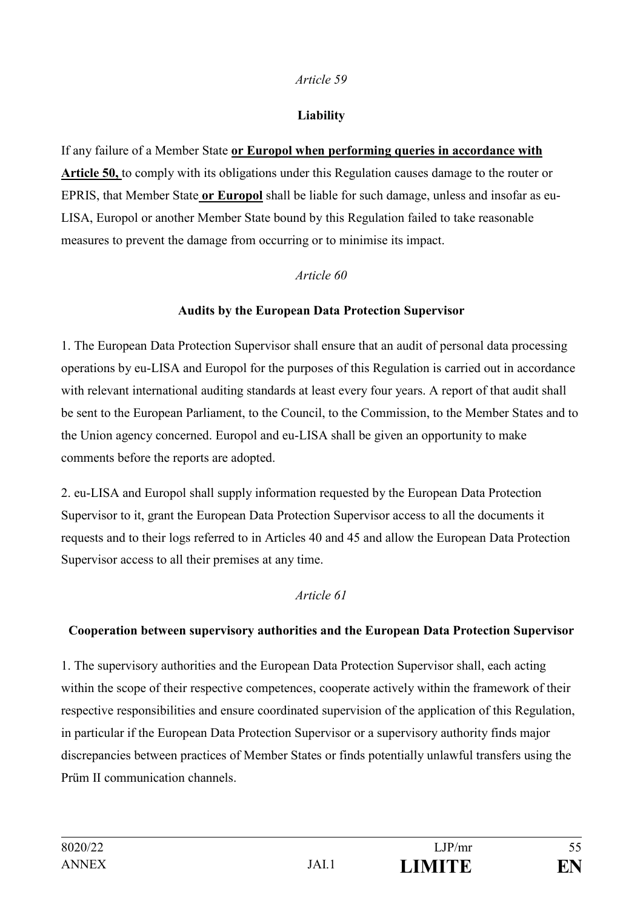#### **Liability**

If any failure of a Member State **or Europol when performing queries in accordance with Article 50,** to comply with its obligations under this Regulation causes damage to the router or EPRIS, that Member State **or Europol** shall be liable for such damage, unless and insofar as eu-LISA, Europol or another Member State bound by this Regulation failed to take reasonable measures to prevent the damage from occurring or to minimise its impact.

### *Article 60*

### **Audits by the European Data Protection Supervisor**

1. The European Data Protection Supervisor shall ensure that an audit of personal data processing operations by eu-LISA and Europol for the purposes of this Regulation is carried out in accordance with relevant international auditing standards at least every four years. A report of that audit shall be sent to the European Parliament, to the Council, to the Commission, to the Member States and to the Union agency concerned. Europol and eu-LISA shall be given an opportunity to make comments before the reports are adopted.

2. eu-LISA and Europol shall supply information requested by the European Data Protection Supervisor to it, grant the European Data Protection Supervisor access to all the documents it requests and to their logs referred to in Articles 40 and 45 and allow the European Data Protection Supervisor access to all their premises at any time.

### *Article 61*

#### **Cooperation between supervisory authorities and the European Data Protection Supervisor**

1. The supervisory authorities and the European Data Protection Supervisor shall, each acting within the scope of their respective competences, cooperate actively within the framework of their respective responsibilities and ensure coordinated supervision of the application of this Regulation, in particular if the European Data Protection Supervisor or a supervisory authority finds major discrepancies between practices of Member States or finds potentially unlawful transfers using the Prüm II communication channels.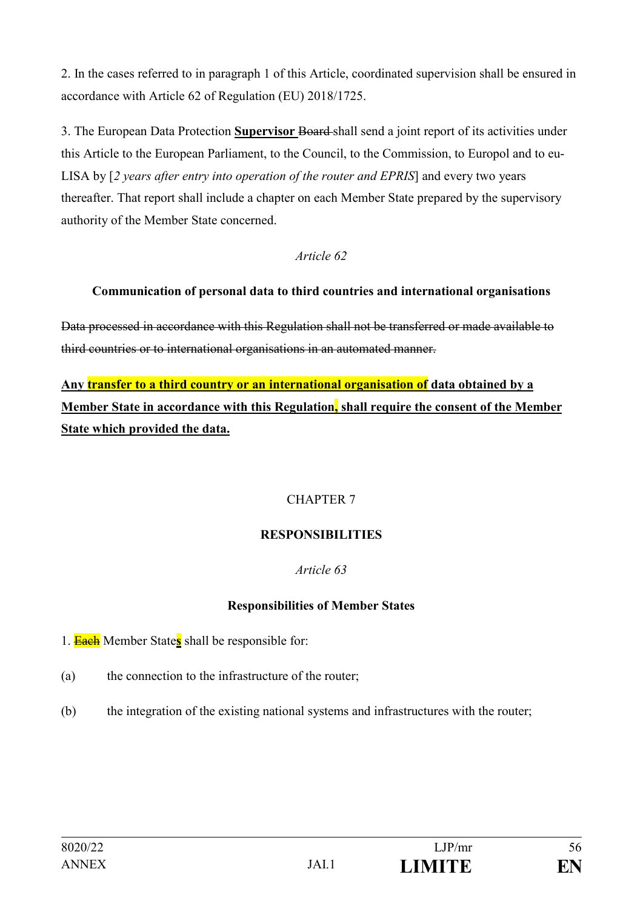2. In the cases referred to in paragraph 1 of this Article, coordinated supervision shall be ensured in accordance with Article 62 of Regulation (EU) 2018/1725.

3. The European Data Protection **Supervisor** Board shall send a joint report of its activities under this Article to the European Parliament, to the Council, to the Commission, to Europol and to eu-LISA by [*2 years after entry into operation of the router and EPRIS*] and every two years thereafter. That report shall include a chapter on each Member State prepared by the supervisory authority of the Member State concerned.

### *Article 62*

### **Communication of personal data to third countries and international organisations**

Data processed in accordance with this Regulation shall not be transferred or made available to third countries or to international organisations in an automated manner.

**Any transfer to a third country or an international organisation of data obtained by a Member State in accordance with this Regulation, shall require the consent of the Member State which provided the data.**

### CHAPTER 7

### **RESPONSIBILITIES**

### *Article 63*

### **Responsibilities of Member States**

- 1. Each Member State**s** shall be responsible for:
- (a) the connection to the infrastructure of the router;
- (b) the integration of the existing national systems and infrastructures with the router;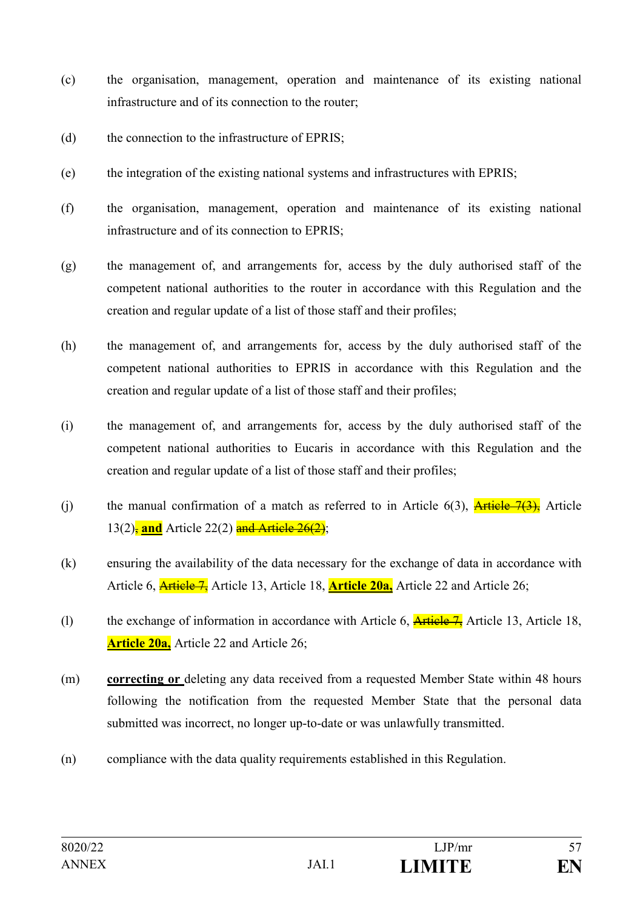- (c) the organisation, management, operation and maintenance of its existing national infrastructure and of its connection to the router;
- (d) the connection to the infrastructure of EPRIS;
- (e) the integration of the existing national systems and infrastructures with EPRIS;
- (f) the organisation, management, operation and maintenance of its existing national infrastructure and of its connection to EPRIS;
- (g) the management of, and arrangements for, access by the duly authorised staff of the competent national authorities to the router in accordance with this Regulation and the creation and regular update of a list of those staff and their profiles;
- (h) the management of, and arrangements for, access by the duly authorised staff of the competent national authorities to EPRIS in accordance with this Regulation and the creation and regular update of a list of those staff and their profiles;
- (i) the management of, and arrangements for, access by the duly authorised staff of the competent national authorities to Eucaris in accordance with this Regulation and the creation and regular update of a list of those staff and their profiles;
- (i) the manual confirmation of a match as referred to in Article  $6(3)$ , Article  $\overline{7(3)}$ , Article 13(2)<sup>-</sup> and Article 22(2) and Article 26(2):
- (k) ensuring the availability of the data necessary for the exchange of data in accordance with Article 6, Article 7, Article 13, Article 18, **Article 20a,** Article 22 and Article 26;
- (1) the exchange of information in accordance with Article 6,  $\frac{\text{Article 7}}{\text{Article 13}}}$  Article 13, Article 18, **Article 20a,** Article 22 and Article 26;
- (m) **correcting or** deleting any data received from a requested Member State within 48 hours following the notification from the requested Member State that the personal data submitted was incorrect, no longer up-to-date or was unlawfully transmitted.
- (n) compliance with the data quality requirements established in this Regulation.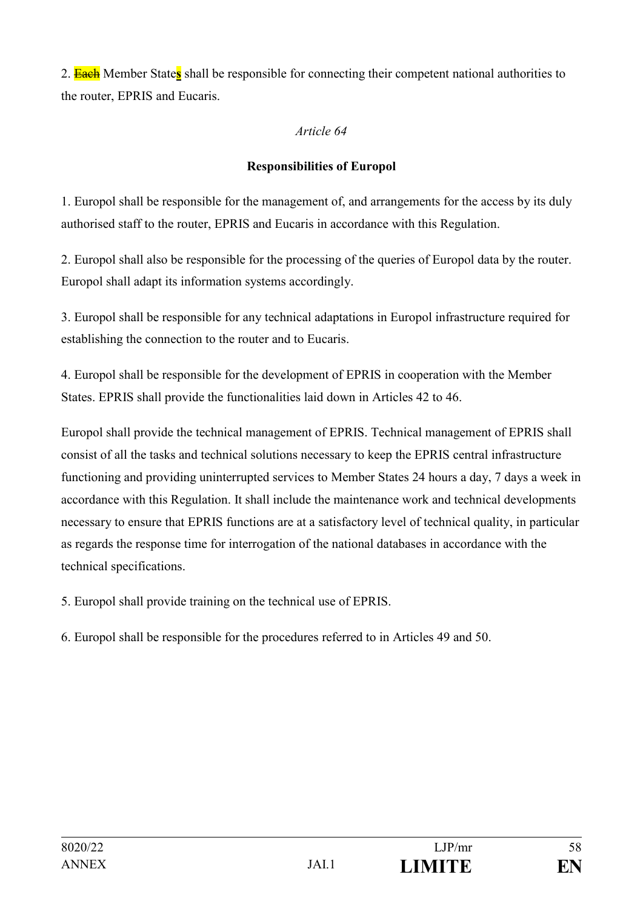2. Each Member State**s** shall be responsible for connecting their competent national authorities to the router, EPRIS and Eucaris.

#### *Article 64*

### **Responsibilities of Europol**

1. Europol shall be responsible for the management of, and arrangements for the access by its duly authorised staff to the router, EPRIS and Eucaris in accordance with this Regulation.

2. Europol shall also be responsible for the processing of the queries of Europol data by the router. Europol shall adapt its information systems accordingly.

3. Europol shall be responsible for any technical adaptations in Europol infrastructure required for establishing the connection to the router and to Eucaris.

4. Europol shall be responsible for the development of EPRIS in cooperation with the Member States. EPRIS shall provide the functionalities laid down in Articles 42 to 46.

Europol shall provide the technical management of EPRIS. Technical management of EPRIS shall consist of all the tasks and technical solutions necessary to keep the EPRIS central infrastructure functioning and providing uninterrupted services to Member States 24 hours a day, 7 days a week in accordance with this Regulation. It shall include the maintenance work and technical developments necessary to ensure that EPRIS functions are at a satisfactory level of technical quality, in particular as regards the response time for interrogation of the national databases in accordance with the technical specifications.

5. Europol shall provide training on the technical use of EPRIS.

6. Europol shall be responsible for the procedures referred to in Articles 49 and 50.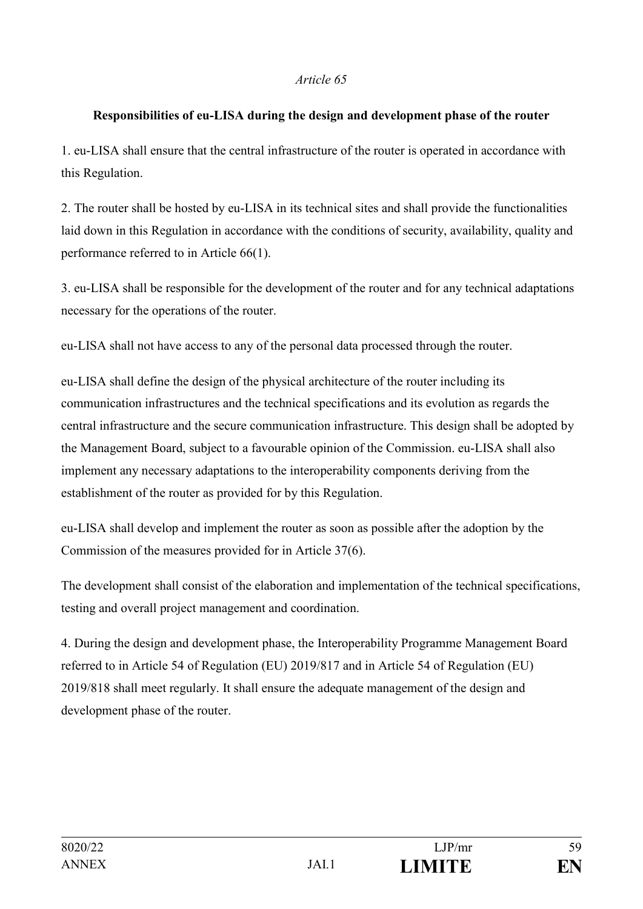#### **Responsibilities of eu-LISA during the design and development phase of the router**

1. eu-LISA shall ensure that the central infrastructure of the router is operated in accordance with this Regulation.

2. The router shall be hosted by eu-LISA in its technical sites and shall provide the functionalities laid down in this Regulation in accordance with the conditions of security, availability, quality and performance referred to in Article 66(1).

3. eu-LISA shall be responsible for the development of the router and for any technical adaptations necessary for the operations of the router.

eu-LISA shall not have access to any of the personal data processed through the router.

eu-LISA shall define the design of the physical architecture of the router including its communication infrastructures and the technical specifications and its evolution as regards the central infrastructure and the secure communication infrastructure. This design shall be adopted by the Management Board, subject to a favourable opinion of the Commission. eu-LISA shall also implement any necessary adaptations to the interoperability components deriving from the establishment of the router as provided for by this Regulation.

eu-LISA shall develop and implement the router as soon as possible after the adoption by the Commission of the measures provided for in Article 37(6).

The development shall consist of the elaboration and implementation of the technical specifications, testing and overall project management and coordination.

4. During the design and development phase, the Interoperability Programme Management Board referred to in Article 54 of Regulation (EU) 2019/817 and in Article 54 of Regulation (EU) 2019/818 shall meet regularly. It shall ensure the adequate management of the design and development phase of the router.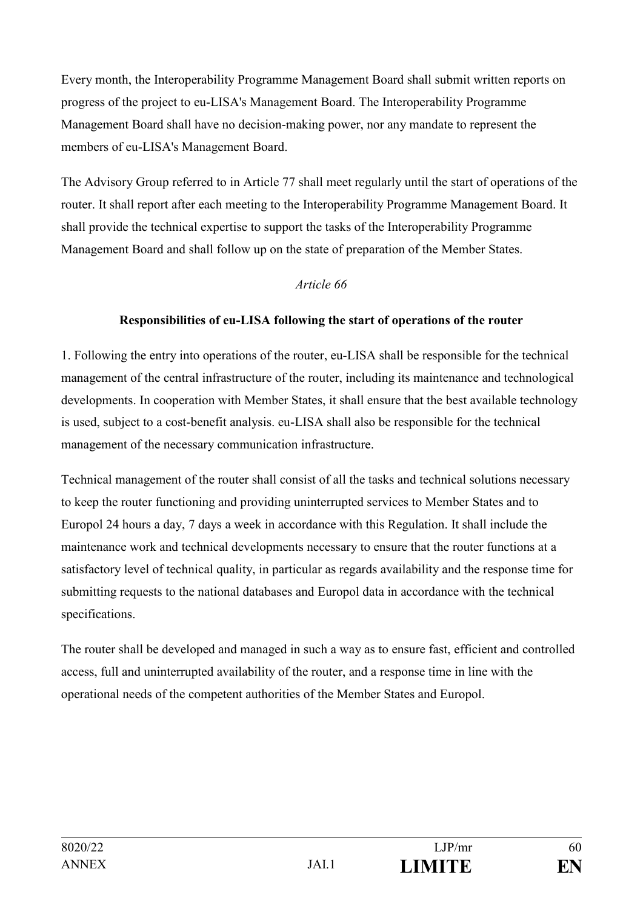Every month, the Interoperability Programme Management Board shall submit written reports on progress of the project to eu-LISA's Management Board. The Interoperability Programme Management Board shall have no decision-making power, nor any mandate to represent the members of eu-LISA's Management Board.

The Advisory Group referred to in Article 77 shall meet regularly until the start of operations of the router. It shall report after each meeting to the Interoperability Programme Management Board. It shall provide the technical expertise to support the tasks of the Interoperability Programme Management Board and shall follow up on the state of preparation of the Member States.

### *Article 66*

#### **Responsibilities of eu-LISA following the start of operations of the router**

1. Following the entry into operations of the router, eu-LISA shall be responsible for the technical management of the central infrastructure of the router, including its maintenance and technological developments. In cooperation with Member States, it shall ensure that the best available technology is used, subject to a cost-benefit analysis. eu-LISA shall also be responsible for the technical management of the necessary communication infrastructure.

Technical management of the router shall consist of all the tasks and technical solutions necessary to keep the router functioning and providing uninterrupted services to Member States and to Europol 24 hours a day, 7 days a week in accordance with this Regulation. It shall include the maintenance work and technical developments necessary to ensure that the router functions at a satisfactory level of technical quality, in particular as regards availability and the response time for submitting requests to the national databases and Europol data in accordance with the technical specifications.

The router shall be developed and managed in such a way as to ensure fast, efficient and controlled access, full and uninterrupted availability of the router, and a response time in line with the operational needs of the competent authorities of the Member States and Europol.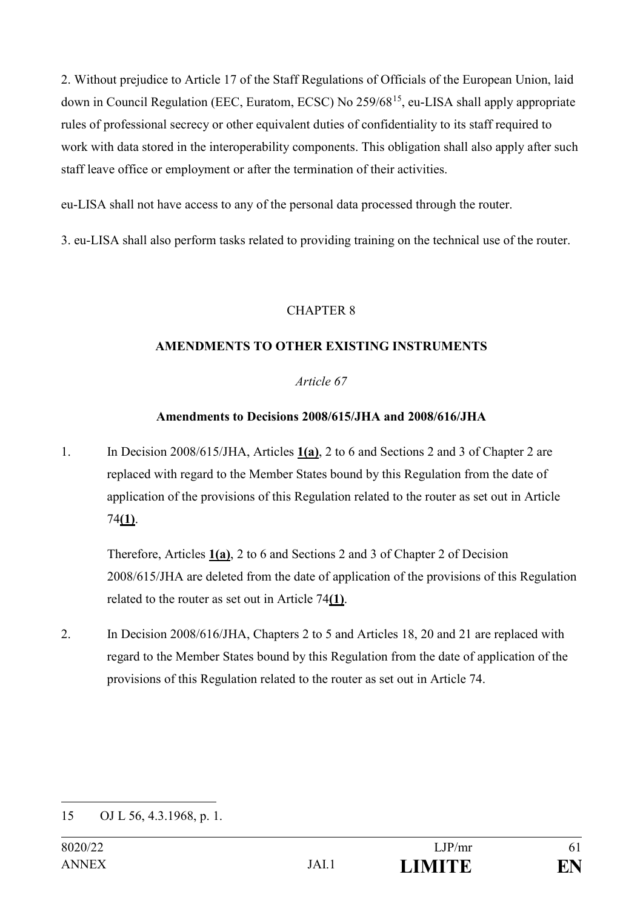2. Without prejudice to Article 17 of the Staff Regulations of Officials of the European Union, laid down in Council Regulation (EEC, Euratom, ECSC) No 259/6815, eu-LISA shall apply appropriate rules of professional secrecy or other equivalent duties of confidentiality to its staff required to work with data stored in the interoperability components. This obligation shall also apply after such staff leave office or employment or after the termination of their activities.

eu-LISA shall not have access to any of the personal data processed through the router.

3. eu-LISA shall also perform tasks related to providing training on the technical use of the router.

### CHAPTER 8

### **AMENDMENTS TO OTHER EXISTING INSTRUMENTS**

### *Article 67*

### **Amendments to Decisions 2008/615/JHA and 2008/616/JHA**

1. In Decision 2008/615/JHA, Articles **1(a)**, 2 to 6 and Sections 2 and 3 of Chapter 2 are replaced with regard to the Member States bound by this Regulation from the date of application of the provisions of this Regulation related to the router as set out in Article 74**(1)**.

Therefore, Articles **1(a)**, 2 to 6 and Sections 2 and 3 of Chapter 2 of Decision 2008/615/JHA are deleted from the date of application of the provisions of this Regulation related to the router as set out in Article 74**(1)**.

2. In Decision 2008/616/JHA, Chapters 2 to 5 and Articles 18, 20 and 21 are replaced with regard to the Member States bound by this Regulation from the date of application of the provisions of this Regulation related to the router as set out in Article 74.

<sup>&</sup>lt;u>.</u> 15 OJ L 56, 4.3.1968, p. 1.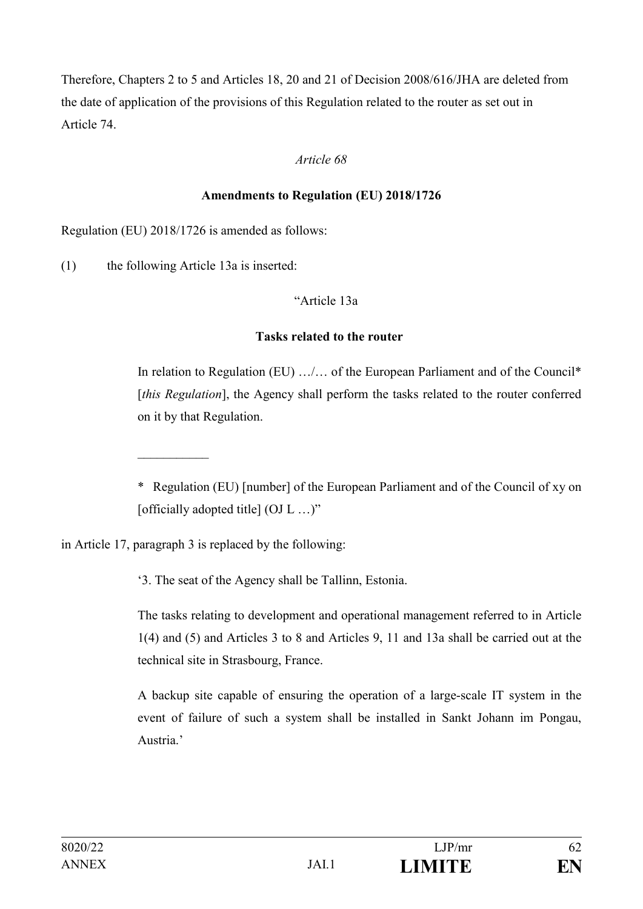Therefore, Chapters 2 to 5 and Articles 18, 20 and 21 of Decision 2008/616/JHA are deleted from the date of application of the provisions of this Regulation related to the router as set out in Article 74.

### *Article 68*

#### **Amendments to Regulation (EU) 2018/1726**

Regulation (EU) 2018/1726 is amended as follows:

(1) the following Article 13a is inserted:

 $\frac{1}{2}$  . The set of the set of the set of the set of the set of the set of the set of the set of the set of the set of the set of the set of the set of the set of the set of the set of the set of the set of the set of

#### "Article 13a

#### **Tasks related to the router**

In relation to Regulation (EU) .../... of the European Parliament and of the Council\* [*this Regulation*], the Agency shall perform the tasks related to the router conferred on it by that Regulation.

\* Regulation (EU) [number] of the European Parliament and of the Council of xy on [officially adopted title] (OJ L ...)"

in Article 17, paragraph 3 is replaced by the following:

'3. The seat of the Agency shall be Tallinn, Estonia.

The tasks relating to development and operational management referred to in Article 1(4) and (5) and Articles 3 to 8 and Articles 9, 11 and 13a shall be carried out at the technical site in Strasbourg, France.

A backup site capable of ensuring the operation of a large-scale IT system in the event of failure of such a system shall be installed in Sankt Johann im Pongau, Austria.'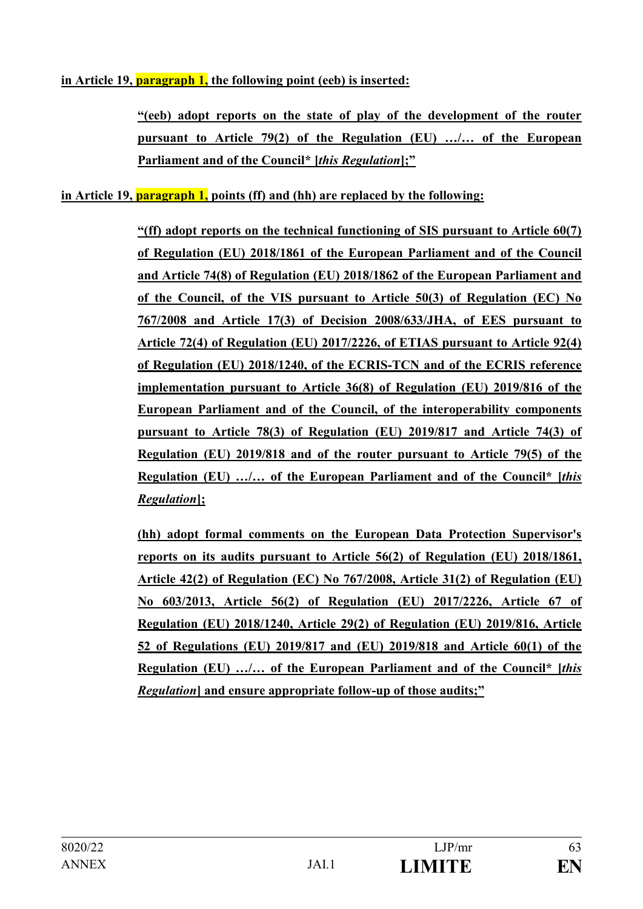### **in Article 19, paragraph 1, the following point (eeb) is inserted:**

**"(eeb) adopt reports on the state of play of the development of the router pursuant to Article 79(2) of the Regulation (EU) …/… of the European Parliament and of the Council\* [***this Regulation***];"**

### **in Article 19, paragraph 1, points (ff) and (hh) are replaced by the following:**

**"(ff) adopt reports on the technical functioning of SIS pursuant to Article 60(7) of Regulation (EU) 2018/1861 of the European Parliament and of the Council and Article 74(8) of Regulation (EU) 2018/1862 of the European Parliament and of the Council, of the VIS pursuant to Article 50(3) of Regulation (EC) No 767/2008 and Article 17(3) of Decision 2008/633/JHA, of EES pursuant to Article 72(4) of Regulation (EU) 2017/2226, of ETIAS pursuant to Article 92(4) of Regulation (EU) 2018/1240, of the ECRIS-TCN and of the ECRIS reference implementation pursuant to Article 36(8) of Regulation (EU) 2019/816 of the European Parliament and of the Council, of the interoperability components pursuant to Article 78(3) of Regulation (EU) 2019/817 and Article 74(3) of Regulation (EU) 2019/818 and of the router pursuant to Article 79(5) of the Regulation (EU) …/… of the European Parliament and of the Council\* [***this Regulation***];** 

**(hh) adopt formal comments on the European Data Protection Supervisor's reports on its audits pursuant to Article 56(2) of Regulation (EU) 2018/1861, Article 42(2) of Regulation (EC) No 767/2008, Article 31(2) of Regulation (EU) No 603/2013, Article 56(2) of Regulation (EU) 2017/2226, Article 67 of Regulation (EU) 2018/1240, Article 29(2) of Regulation (EU) 2019/816, Article 52 of Regulations (EU) 2019/817 and (EU) 2019/818 and Article 60(1) of the Regulation (EU) …/… of the European Parliament and of the Council\* [***this Regulation***] and ensure appropriate follow-up of those audits;"**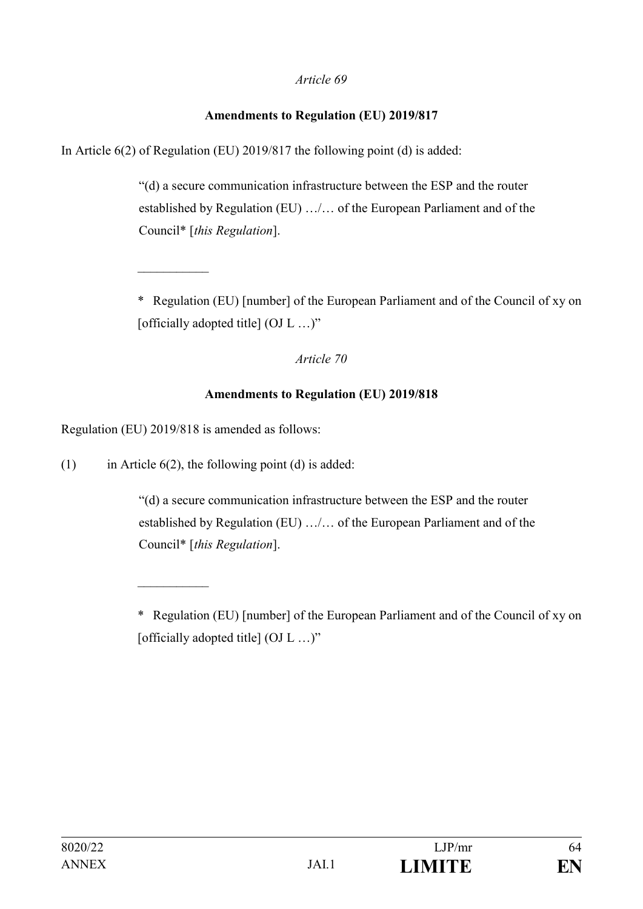#### **Amendments to Regulation (EU) 2019/817**

In Article 6(2) of Regulation (EU) 2019/817 the following point (d) is added:

"(d) a secure communication infrastructure between the ESP and the router established by Regulation (EU) …/… of the European Parliament and of the Council\* [*this Regulation*].

\* Regulation (EU) [number] of the European Parliament and of the Council of xy on [officially adopted title] (OJ L ...)"

*Article 70*

### **Amendments to Regulation (EU) 2019/818**

Regulation (EU) 2019/818 is amended as follows:

 $\frac{1}{2}$  . The set of the set of the set of the set of the set of the set of the set of the set of the set of the set of the set of the set of the set of the set of the set of the set of the set of the set of the set of

(1) in Article  $6(2)$ , the following point (d) is added:

"(d) a secure communication infrastructure between the ESP and the router established by Regulation (EU) …/… of the European Parliament and of the Council\* [*this Regulation*].

<sup>\*</sup> Regulation (EU) [number] of the European Parliament and of the Council of xy on [officially adopted title] (OJ L ...)"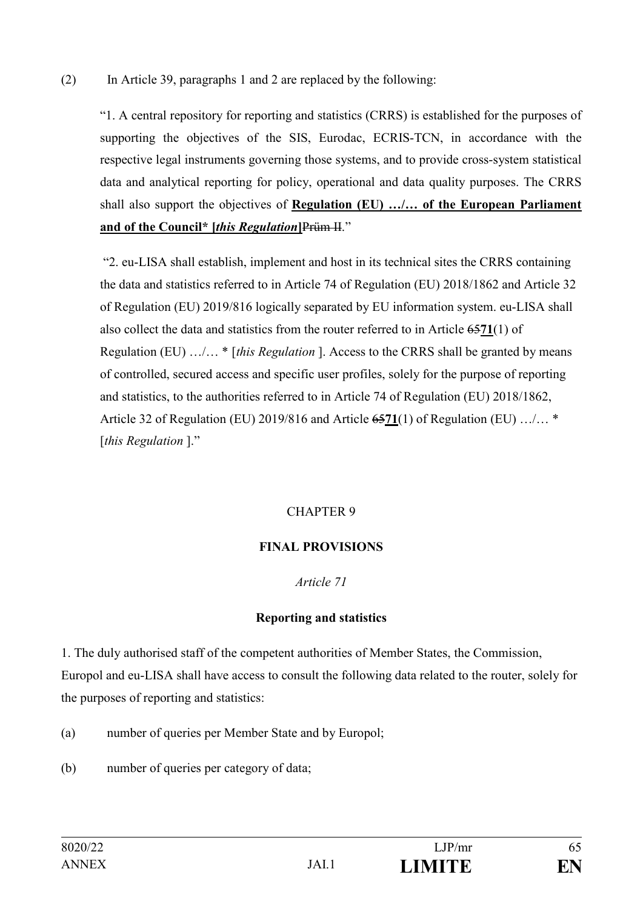### (2) In Article 39, paragraphs 1 and 2 are replaced by the following:

"1. A central repository for reporting and statistics (CRRS) is established for the purposes of supporting the objectives of the SIS, Eurodac, ECRIS-TCN, in accordance with the respective legal instruments governing those systems, and to provide cross-system statistical data and analytical reporting for policy, operational and data quality purposes. The CRRS shall also support the objectives of **Regulation (EU) …/… of the European Parliament and of the Council\* [***this Regulation***]**Prüm II."

"2. eu-LISA shall establish, implement and host in its technical sites the CRRS containing the data and statistics referred to in Article 74 of Regulation (EU) 2018/1862 and Article 32 of Regulation (EU) 2019/816 logically separated by EU information system. eu-LISA shall also collect the data and statistics from the router referred to in Article 65**71**(1) of Regulation (EU) …/… \* [*this Regulation* ]. Access to the CRRS shall be granted by means of controlled, secured access and specific user profiles, solely for the purpose of reporting and statistics, to the authorities referred to in Article 74 of Regulation (EU) 2018/1862, Article 32 of Regulation (EU) 2019/816 and Article 65**71**(1) of Regulation (EU) …/… \* [*this Regulation* ]."

### CHAPTER 9

### **FINAL PROVISIONS**

#### *Article 71*

#### **Reporting and statistics**

1. The duly authorised staff of the competent authorities of Member States, the Commission, Europol and eu-LISA shall have access to consult the following data related to the router, solely for the purposes of reporting and statistics:

- (a) number of queries per Member State and by Europol;
- (b) number of queries per category of data;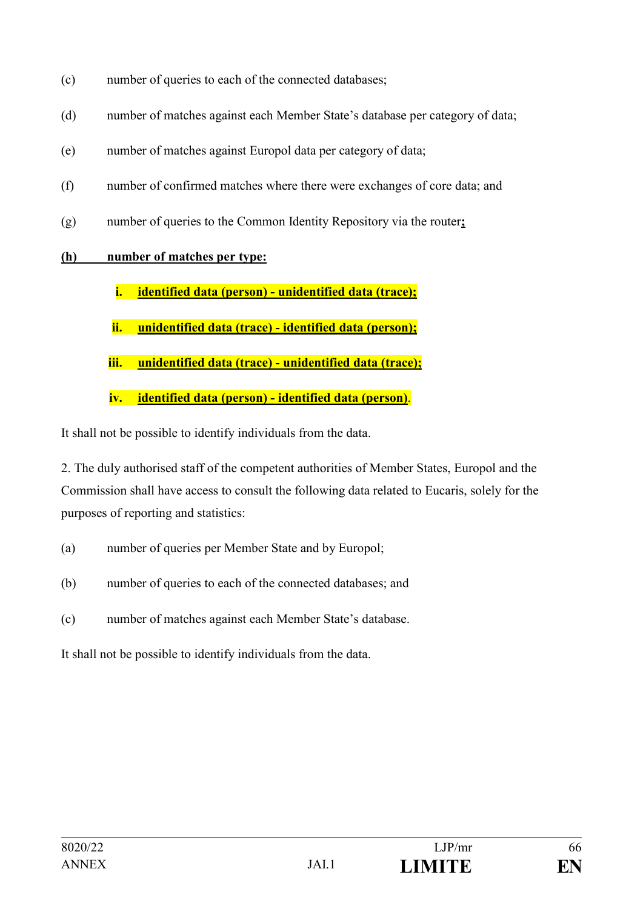- (c) number of queries to each of the connected databases;
- (d) number of matches against each Member State's database per category of data;
- (e) number of matches against Europol data per category of data;
- (f) number of confirmed matches where there were exchanges of core data; and
- (g) number of queries to the Common Identity Repository via the router**;**

# **(h) number of matches per type:**

- **i. identified data (person) unidentified data (trace);**
- **ii. unidentified data (trace) identified data (person);**
- **iii. unidentified data (trace) unidentified data (trace);**
- **iv. identified data (person) identified data (person)**.

It shall not be possible to identify individuals from the data.

2. The duly authorised staff of the competent authorities of Member States, Europol and the Commission shall have access to consult the following data related to Eucaris, solely for the purposes of reporting and statistics:

- (a) number of queries per Member State and by Europol;
- (b) number of queries to each of the connected databases; and
- (c) number of matches against each Member State's database.

It shall not be possible to identify individuals from the data.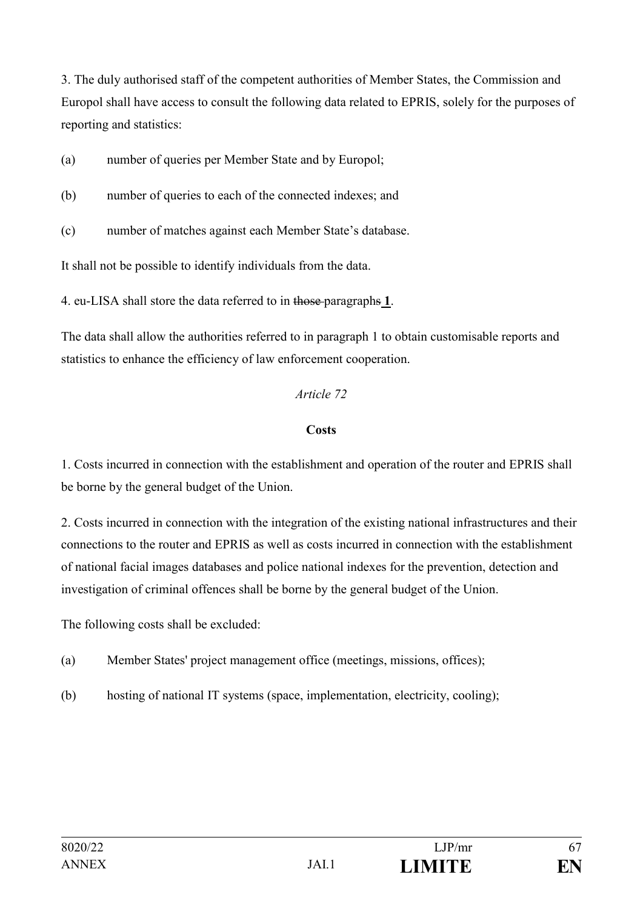3. The duly authorised staff of the competent authorities of Member States, the Commission and Europol shall have access to consult the following data related to EPRIS, solely for the purposes of reporting and statistics:

(a) number of queries per Member State and by Europol;

- (b) number of queries to each of the connected indexes; and
- (c) number of matches against each Member State's database.

It shall not be possible to identify individuals from the data.

4. eu-LISA shall store the data referred to in those paragraphs **1**.

The data shall allow the authorities referred to in paragraph 1 to obtain customisable reports and statistics to enhance the efficiency of law enforcement cooperation.

### *Article 72*

#### **Costs**

1. Costs incurred in connection with the establishment and operation of the router and EPRIS shall be borne by the general budget of the Union.

2. Costs incurred in connection with the integration of the existing national infrastructures and their connections to the router and EPRIS as well as costs incurred in connection with the establishment of national facial images databases and police national indexes for the prevention, detection and investigation of criminal offences shall be borne by the general budget of the Union.

The following costs shall be excluded:

- (a) Member States' project management office (meetings, missions, offices);
- (b) hosting of national IT systems (space, implementation, electricity, cooling);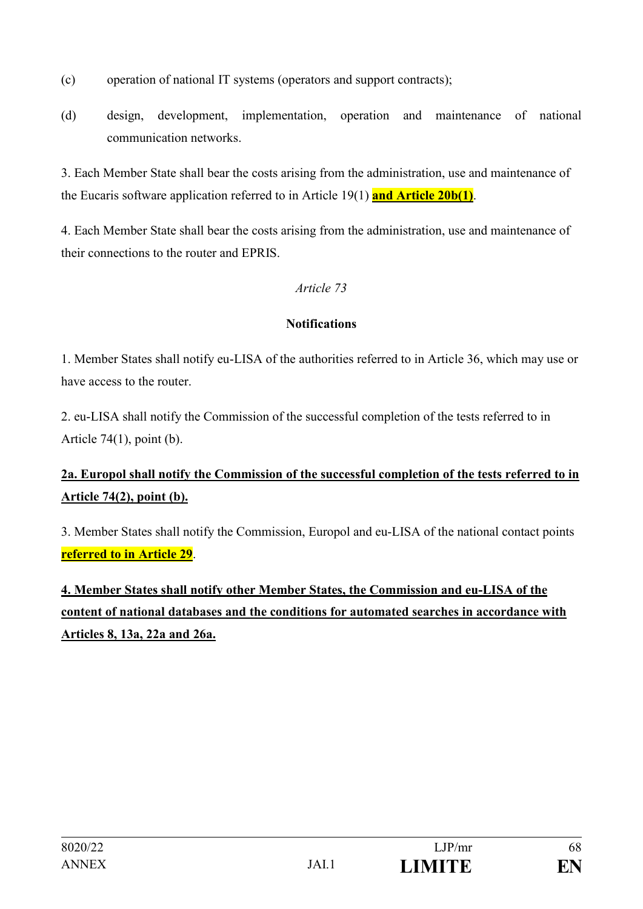- (c) operation of national IT systems (operators and support contracts);
- (d) design, development, implementation, operation and maintenance of national communication networks.

3. Each Member State shall bear the costs arising from the administration, use and maintenance of the Eucaris software application referred to in Article 19(1) **and Article 20b(1)**.

4. Each Member State shall bear the costs arising from the administration, use and maintenance of their connections to the router and EPRIS.

### *Article 73*

### **Notifications**

1. Member States shall notify eu-LISA of the authorities referred to in Article 36, which may use or have access to the router.

2. eu-LISA shall notify the Commission of the successful completion of the tests referred to in Article  $74(1)$ , point (b).

# **2a. Europol shall notify the Commission of the successful completion of the tests referred to in Article 74(2), point (b).**

3. Member States shall notify the Commission, Europol and eu-LISA of the national contact points **referred to in Article 29**.

**4. Member States shall notify other Member States, the Commission and eu-LISA of the content of national databases and the conditions for automated searches in accordance with Articles 8, 13a, 22a and 26a.**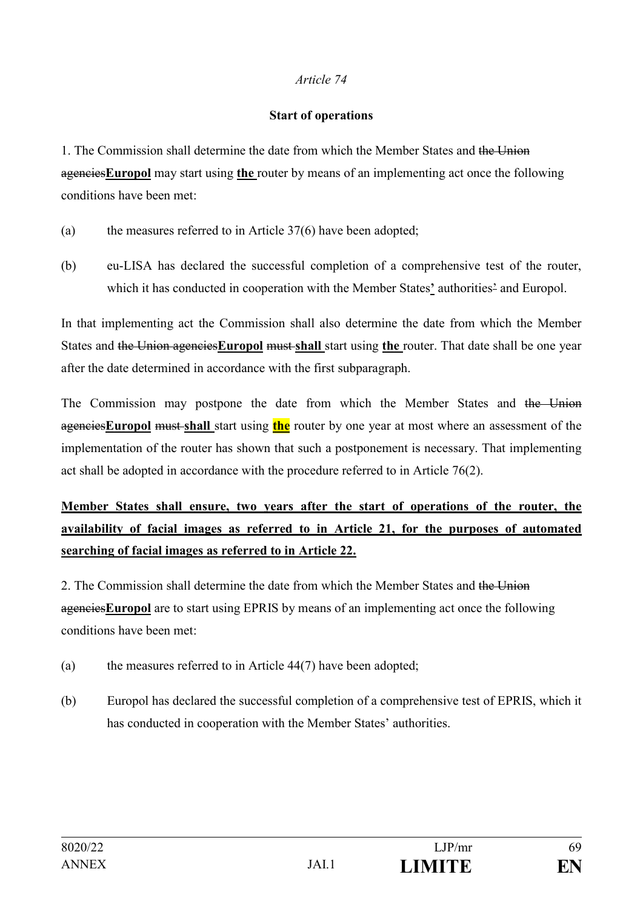#### **Start of operations**

1. The Commission shall determine the date from which the Member States and the Union agencies**Europol** may start using **the** router by means of an implementing act once the following conditions have been met:

- (a) the measures referred to in Article 37(6) have been adopted;
- (b) eu-LISA has declared the successful completion of a comprehensive test of the router, which it has conducted in cooperation with the Member States**'** authorities' and Europol.

In that implementing act the Commission shall also determine the date from which the Member States and the Union agencies**Europol** must **shall** start using **the** router. That date shall be one year after the date determined in accordance with the first subparagraph.

The Commission may postpone the date from which the Member States and the Union agencies**Europol** must **shall** start using **the** router by one year at most where an assessment of the implementation of the router has shown that such a postponement is necessary. That implementing act shall be adopted in accordance with the procedure referred to in Article 76(2).

**Member States shall ensure, two years after the start of operations of the router, the availability of facial images as referred to in Article 21, for the purposes of automated searching of facial images as referred to in Article 22.**

2. The Commission shall determine the date from which the Member States and the Union agencies**Europol** are to start using EPRIS by means of an implementing act once the following conditions have been met:

- (a) the measures referred to in Article 44(7) have been adopted;
- (b) Europol has declared the successful completion of a comprehensive test of EPRIS, which it has conducted in cooperation with the Member States' authorities.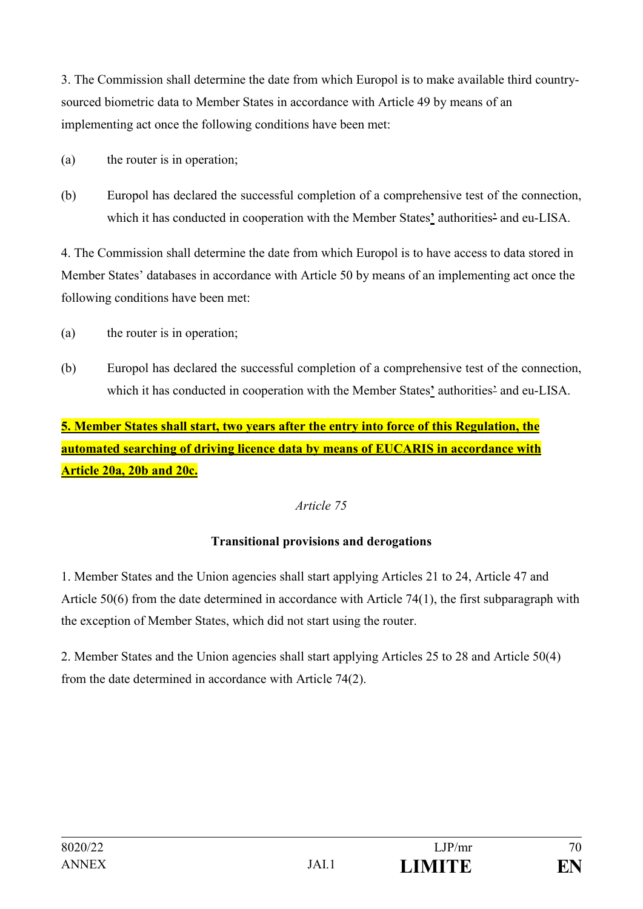3. The Commission shall determine the date from which Europol is to make available third countrysourced biometric data to Member States in accordance with Article 49 by means of an implementing act once the following conditions have been met:

- (a) the router is in operation;
- (b) Europol has declared the successful completion of a comprehensive test of the connection, which it has conducted in cooperation with the Member States**'** authorities' and eu-LISA.

4. The Commission shall determine the date from which Europol is to have access to data stored in Member States' databases in accordance with Article 50 by means of an implementing act once the following conditions have been met:

- (a) the router is in operation;
- (b) Europol has declared the successful completion of a comprehensive test of the connection, which it has conducted in cooperation with the Member States**'** authorities' and eu-LISA.

**5. Member States shall start, two years after the entry into force of this Regulation, the automated searching of driving licence data by means of EUCARIS in accordance with Article 20a, 20b and 20c.** 

#### *Article 75*

### **Transitional provisions and derogations**

1. Member States and the Union agencies shall start applying Articles 21 to 24, Article 47 and Article 50(6) from the date determined in accordance with Article 74(1), the first subparagraph with the exception of Member States, which did not start using the router.

2. Member States and the Union agencies shall start applying Articles 25 to 28 and Article 50(4) from the date determined in accordance with Article 74(2).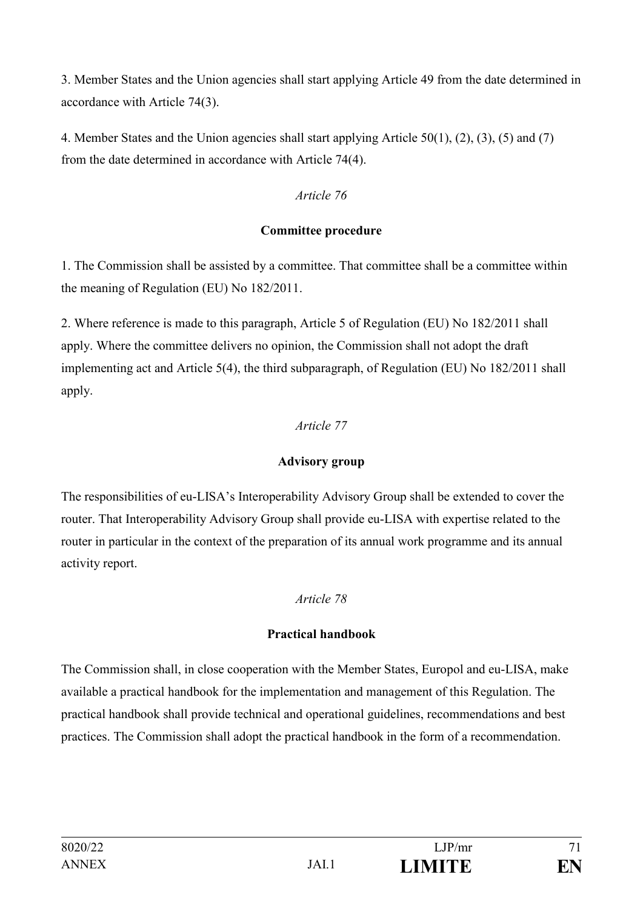3. Member States and the Union agencies shall start applying Article 49 from the date determined in accordance with Article 74(3).

4. Member States and the Union agencies shall start applying Article 50(1), (2), (3), (5) and (7) from the date determined in accordance with Article 74(4).

### *Article 76*

### **Committee procedure**

1. The Commission shall be assisted by a committee. That committee shall be a committee within the meaning of Regulation (EU) No 182/2011.

2. Where reference is made to this paragraph, Article 5 of Regulation (EU) No 182/2011 shall apply. Where the committee delivers no opinion, the Commission shall not adopt the draft implementing act and Article 5(4), the third subparagraph, of Regulation (EU) No 182/2011 shall apply.

### *Article 77*

### **Advisory group**

The responsibilities of eu-LISA's Interoperability Advisory Group shall be extended to cover the router. That Interoperability Advisory Group shall provide eu-LISA with expertise related to the router in particular in the context of the preparation of its annual work programme and its annual activity report.

### *Article 78*

### **Practical handbook**

The Commission shall, in close cooperation with the Member States, Europol and eu-LISA, make available a practical handbook for the implementation and management of this Regulation. The practical handbook shall provide technical and operational guidelines, recommendations and best practices. The Commission shall adopt the practical handbook in the form of a recommendation.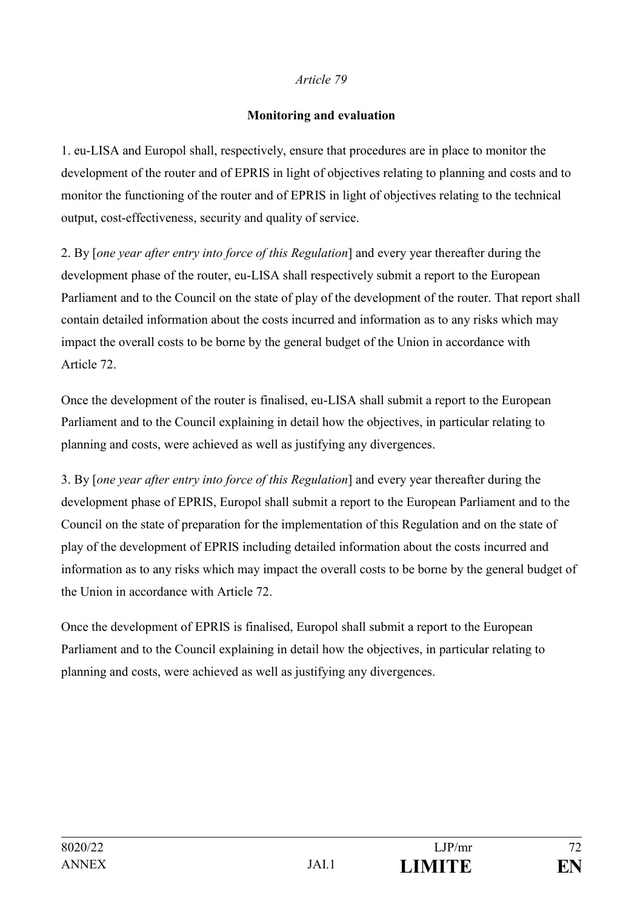#### **Monitoring and evaluation**

1. eu-LISA and Europol shall, respectively, ensure that procedures are in place to monitor the development of the router and of EPRIS in light of objectives relating to planning and costs and to monitor the functioning of the router and of EPRIS in light of objectives relating to the technical output, cost-effectiveness, security and quality of service.

2. By [*one year after entry into force of this Regulation*] and every year thereafter during the development phase of the router, eu-LISA shall respectively submit a report to the European Parliament and to the Council on the state of play of the development of the router. That report shall contain detailed information about the costs incurred and information as to any risks which may impact the overall costs to be borne by the general budget of the Union in accordance with Article 72.

Once the development of the router is finalised, eu-LISA shall submit a report to the European Parliament and to the Council explaining in detail how the objectives, in particular relating to planning and costs, were achieved as well as justifying any divergences.

3. By [*one year after entry into force of this Regulation*] and every year thereafter during the development phase of EPRIS, Europol shall submit a report to the European Parliament and to the Council on the state of preparation for the implementation of this Regulation and on the state of play of the development of EPRIS including detailed information about the costs incurred and information as to any risks which may impact the overall costs to be borne by the general budget of the Union in accordance with Article 72.

Once the development of EPRIS is finalised, Europol shall submit a report to the European Parliament and to the Council explaining in detail how the objectives, in particular relating to planning and costs, were achieved as well as justifying any divergences.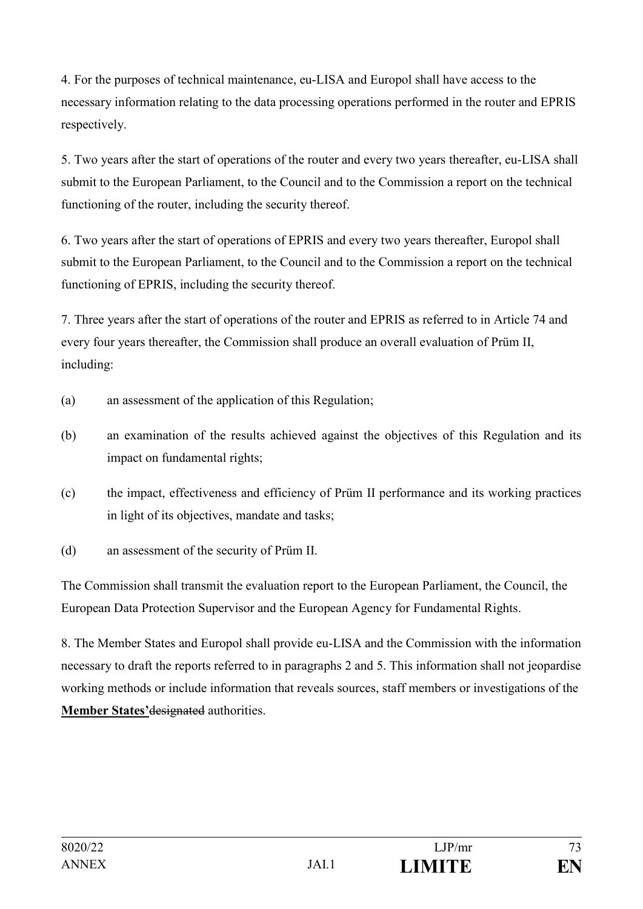4. For the purposes of technical maintenance, eu-LISA and Europol shall have access to the necessary information relating to the data processing operations performed in the router and EPRIS respectively.

5. Two years after the start of operations of the router and every two years thereafter, eu-LISA shall submit to the European Parliament, to the Council and to the Commission a report on the technical functioning of the router, including the security thereof.

6. Two years after the start of operations of EPRIS and every two years thereafter, Europol shall submit to the European Parliament, to the Council and to the Commission a report on the technical functioning of EPRIS, including the security thereof.

7. Three years after the start of operations of the router and EPRIS as referred to in Article 74 and every four years thereafter, the Commission shall produce an overall evaluation of Prüm II, including:

- (a) an assessment of the application of this Regulation;
- (b) an examination of the results achieved against the objectives of this Regulation and its impact on fundamental rights;
- (c) the impact, effectiveness and efficiency of Prüm II performance and its working practices in light of its objectives, mandate and tasks;
- (d) an assessment of the security of Prüm II.

The Commission shall transmit the evaluation report to the European Parliament, the Council, the European Data Protection Supervisor and the European Agency for Fundamental Rights.

8. The Member States and Europol shall provide eu-LISA and the Commission with the information necessary to draft the reports referred to in paragraphs 2 and 5. This information shall not jeopardise working methods or include information that reveals sources, staff members or investigations of the **Member States'**designated authorities.